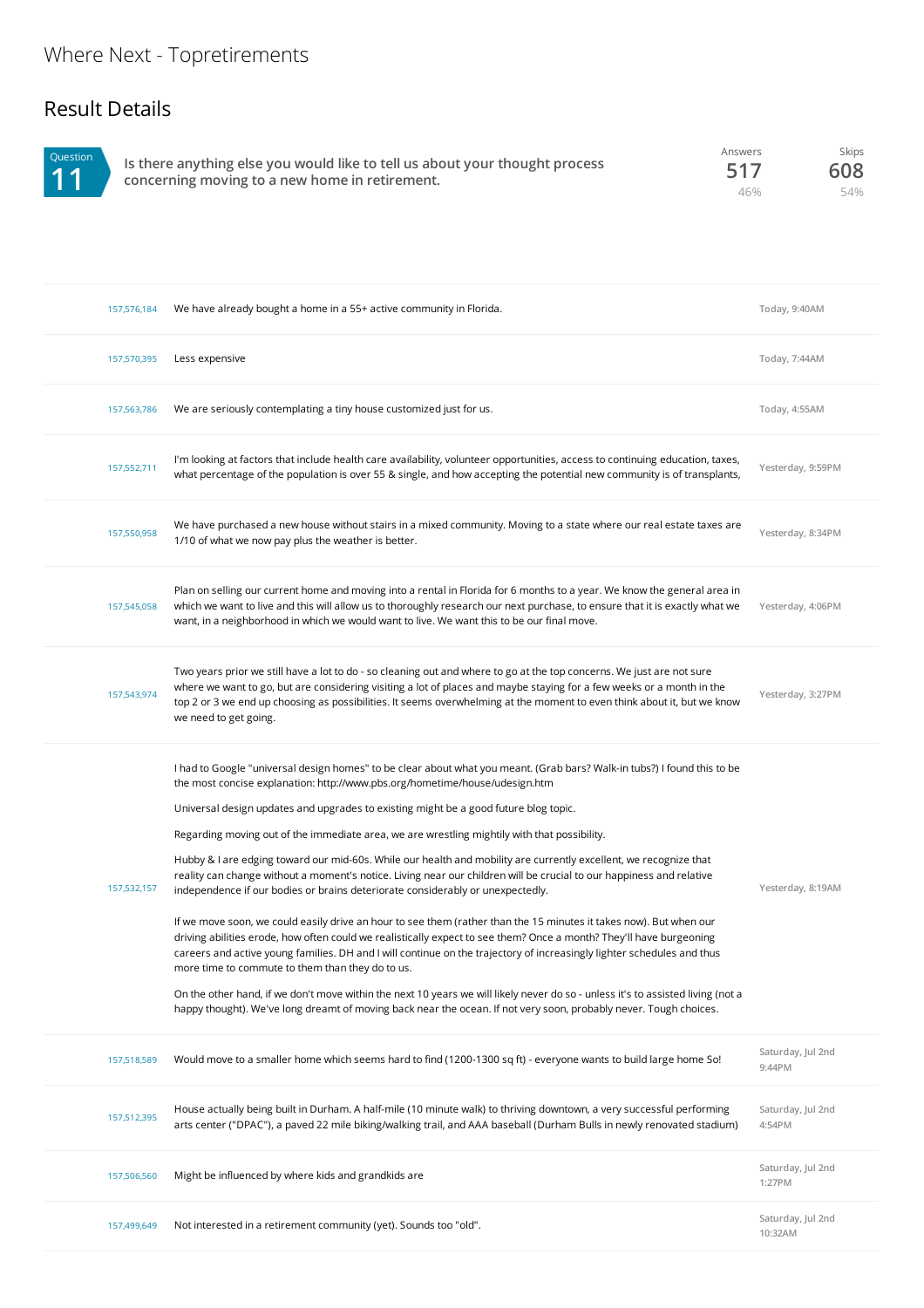## Result Details



**Is there anything else you would like to tell us about your thought process concerning moving to a new home in retirement.** Answers **517** 46%

Skips **608** 54%

| 157,576,184 | We have already bought a home in a 55+ active community in Florida.                                                                                                                                                                                                                                                                                                                                                                                                                                                                                                                                                                                                                                                                                                                                                                                                                                                                                                                                                                                                                                                                                                                                                                                                                                                                                                                                               | Today, 9:40AM                |
|-------------|-------------------------------------------------------------------------------------------------------------------------------------------------------------------------------------------------------------------------------------------------------------------------------------------------------------------------------------------------------------------------------------------------------------------------------------------------------------------------------------------------------------------------------------------------------------------------------------------------------------------------------------------------------------------------------------------------------------------------------------------------------------------------------------------------------------------------------------------------------------------------------------------------------------------------------------------------------------------------------------------------------------------------------------------------------------------------------------------------------------------------------------------------------------------------------------------------------------------------------------------------------------------------------------------------------------------------------------------------------------------------------------------------------------------|------------------------------|
| 157,570,395 | Less expensive                                                                                                                                                                                                                                                                                                                                                                                                                                                                                                                                                                                                                                                                                                                                                                                                                                                                                                                                                                                                                                                                                                                                                                                                                                                                                                                                                                                                    | Today, 7:44AM                |
| 157,563,786 | We are seriously contemplating a tiny house customized just for us.                                                                                                                                                                                                                                                                                                                                                                                                                                                                                                                                                                                                                                                                                                                                                                                                                                                                                                                                                                                                                                                                                                                                                                                                                                                                                                                                               | Today, 4:55AM                |
| 157,552,711 | I'm looking at factors that include health care availability, volunteer opportunities, access to continuing education, taxes,<br>what percentage of the population is over 55 & single, and how accepting the potential new community is of transplants,                                                                                                                                                                                                                                                                                                                                                                                                                                                                                                                                                                                                                                                                                                                                                                                                                                                                                                                                                                                                                                                                                                                                                          | Yesterday, 9:59PM            |
| 157,550,958 | We have purchased a new house without stairs in a mixed community. Moving to a state where our real estate taxes are<br>1/10 of what we now pay plus the weather is better.                                                                                                                                                                                                                                                                                                                                                                                                                                                                                                                                                                                                                                                                                                                                                                                                                                                                                                                                                                                                                                                                                                                                                                                                                                       | Yesterday, 8:34PM            |
| 157,545,058 | Plan on selling our current home and moving into a rental in Florida for 6 months to a year. We know the general area in<br>which we want to live and this will allow us to thoroughly research our next purchase, to ensure that it is exactly what we<br>want, in a neighborhood in which we would want to live. We want this to be our final move.                                                                                                                                                                                                                                                                                                                                                                                                                                                                                                                                                                                                                                                                                                                                                                                                                                                                                                                                                                                                                                                             | Yesterday, 4:06PM            |
| 157.543.974 | Two years prior we still have a lot to do - so cleaning out and where to go at the top concerns. We just are not sure<br>where we want to go, but are considering visiting a lot of places and maybe staying for a few weeks or a month in the<br>top 2 or 3 we end up choosing as possibilities. It seems overwhelming at the moment to even think about it, but we know<br>we need to get going.                                                                                                                                                                                                                                                                                                                                                                                                                                                                                                                                                                                                                                                                                                                                                                                                                                                                                                                                                                                                                | Yesterday, 3:27PM            |
| 157,532,157 | I had to Google "universal design homes" to be clear about what you meant. (Grab bars? Walk-in tubs?) I found this to be<br>the most concise explanation: http://www.pbs.org/hometime/house/udesign.htm<br>Universal design updates and upgrades to existing might be a good future blog topic.<br>Regarding moving out of the immediate area, we are wrestling mightily with that possibility.<br>Hubby & I are edging toward our mid-60s. While our health and mobility are currently excellent, we recognize that<br>reality can change without a moment's notice. Living near our children will be crucial to our happiness and relative<br>independence if our bodies or brains deteriorate considerably or unexpectedly.<br>If we move soon, we could easily drive an hour to see them (rather than the 15 minutes it takes now). But when our<br>driving abilities erode, how often could we realistically expect to see them? Once a month? They'll have burgeoning<br>careers and active young families. DH and I will continue on the trajectory of increasingly lighter schedules and thus<br>more time to commute to them than they do to us.<br>On the other hand, if we don't move within the next 10 years we will likely never do so - unless it's to assisted living (not a<br>happy thought). We've long dreamt of moving back near the ocean. If not very soon, probably never. Tough choices. | Yesterday, 8:19AM            |
| 157,518,589 | Would move to a smaller home which seems hard to find (1200-1300 sq ft) - everyone wants to build large home So!                                                                                                                                                                                                                                                                                                                                                                                                                                                                                                                                                                                                                                                                                                                                                                                                                                                                                                                                                                                                                                                                                                                                                                                                                                                                                                  | Saturday, Jul 2nd<br>9:44PM  |
| 157,512,395 | House actually being built in Durham. A half-mile (10 minute walk) to thriving downtown, a very successful performing<br>arts center ("DPAC"), a paved 22 mile biking/walking trail, and AAA baseball (Durham Bulls in newly renovated stadium)                                                                                                                                                                                                                                                                                                                                                                                                                                                                                                                                                                                                                                                                                                                                                                                                                                                                                                                                                                                                                                                                                                                                                                   | Saturday, Jul 2nd<br>4:54PM  |
| 157,506,560 | Might be influenced by where kids and grandkids are                                                                                                                                                                                                                                                                                                                                                                                                                                                                                                                                                                                                                                                                                                                                                                                                                                                                                                                                                                                                                                                                                                                                                                                                                                                                                                                                                               | Saturday, Jul 2nd<br>1:27PM  |
| 157,499,649 | Not interested in a retirement community (yet). Sounds too "old".                                                                                                                                                                                                                                                                                                                                                                                                                                                                                                                                                                                                                                                                                                                                                                                                                                                                                                                                                                                                                                                                                                                                                                                                                                                                                                                                                 | Saturday, Jul 2nd<br>10:32AM |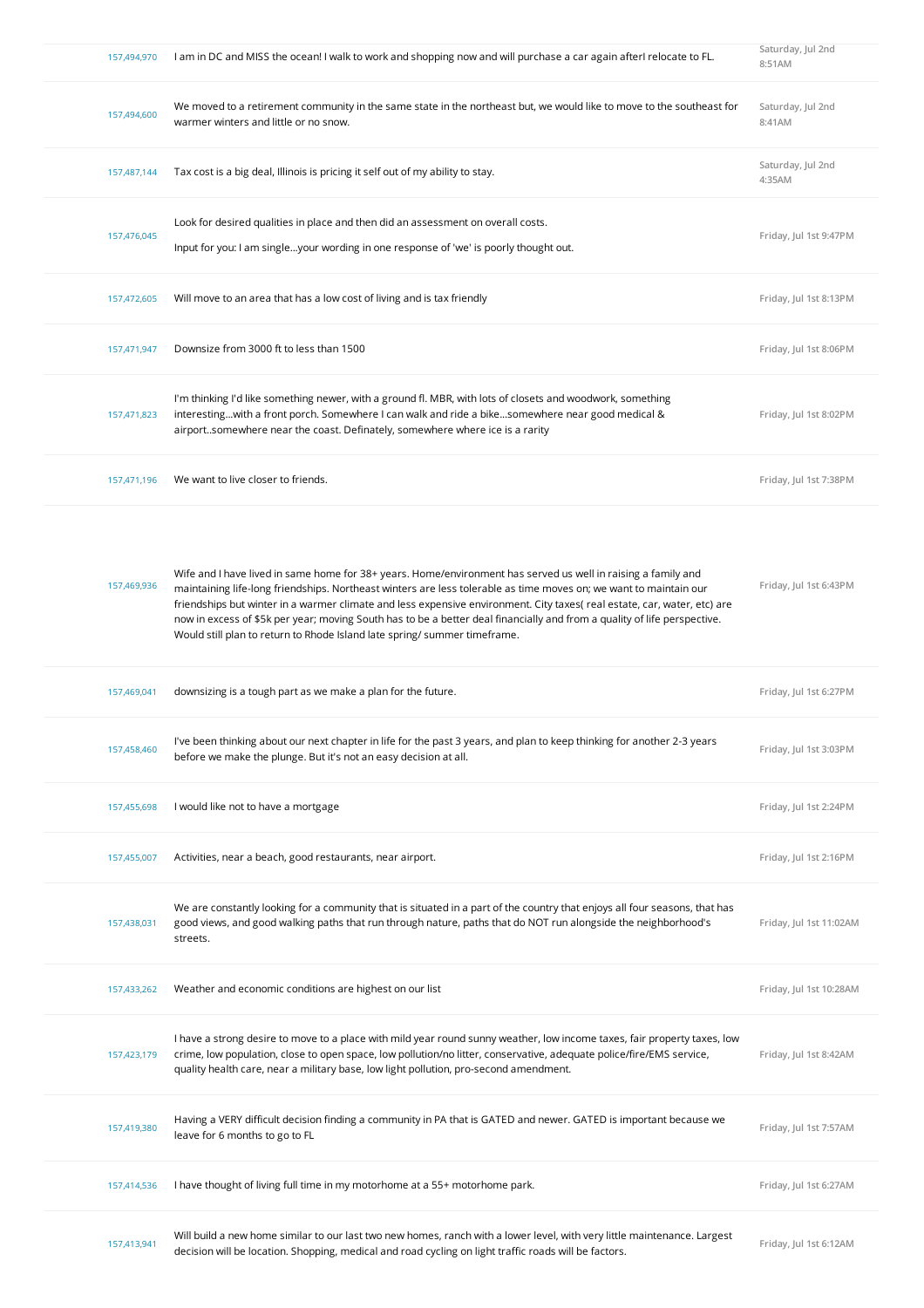| 157,494,970 | I am in DC and MISS the ocean! I walk to work and shopping now and will purchase a car again afterI relocate to FL.                                                                                                                                                                                                                                                                                                                                                                                                                                                    | Saturday, Jul 2nd<br>8:51AM |
|-------------|------------------------------------------------------------------------------------------------------------------------------------------------------------------------------------------------------------------------------------------------------------------------------------------------------------------------------------------------------------------------------------------------------------------------------------------------------------------------------------------------------------------------------------------------------------------------|-----------------------------|
| 157,494,600 | We moved to a retirement community in the same state in the northeast but, we would like to move to the southeast for<br>warmer winters and little or no snow.                                                                                                                                                                                                                                                                                                                                                                                                         | Saturday, Jul 2nd<br>8:41AM |
| 157,487,144 | Tax cost is a big deal, Illinois is pricing it self out of my ability to stay.                                                                                                                                                                                                                                                                                                                                                                                                                                                                                         | Saturday, Jul 2nd<br>4:35AM |
| 157,476,045 | Look for desired qualities in place and then did an assessment on overall costs.<br>Input for you: I am singleyour wording in one response of 'we' is poorly thought out.                                                                                                                                                                                                                                                                                                                                                                                              | Friday, Jul 1st 9:47PM      |
| 157,472,605 | Will move to an area that has a low cost of living and is tax friendly                                                                                                                                                                                                                                                                                                                                                                                                                                                                                                 | Friday, Jul 1st 8:13PM      |
| 157,471,947 | Downsize from 3000 ft to less than 1500                                                                                                                                                                                                                                                                                                                                                                                                                                                                                                                                | Friday, Jul 1st 8:06PM      |
| 157,471,823 | I'm thinking I'd like something newer, with a ground fl. MBR, with lots of closets and woodwork, something<br>interestingwith a front porch. Somewhere I can walk and ride a bikesomewhere near good medical &<br>airportsomewhere near the coast. Definately, somewhere where ice is a rarity                                                                                                                                                                                                                                                                         | Friday, Jul 1st 8:02PM      |
| 157,471,196 | We want to live closer to friends.                                                                                                                                                                                                                                                                                                                                                                                                                                                                                                                                     | Friday, Jul 1st 7:38PM      |
| 157,469,936 | Wife and I have lived in same home for 38+ years. Home/environment has served us well in raising a family and<br>maintaining life-long friendships. Northeast winters are less tolerable as time moves on; we want to maintain our<br>friendships but winter in a warmer climate and less expensive environment. City taxes( real estate, car, water, etc) are<br>now in excess of \$5k per year; moving South has to be a better deal financially and from a quality of life perspective.<br>Would still plan to return to Rhode Island late spring/summer timeframe. | Friday, Jul 1st 6:43PM      |
| 157,469,041 | downsizing is a tough part as we make a plan for the future.                                                                                                                                                                                                                                                                                                                                                                                                                                                                                                           | Friday, Jul 1st 6:27PM      |
| 157,458,460 | I've been thinking about our next chapter in life for the past 3 years, and plan to keep thinking for another 2-3 years<br>before we make the plunge. But it's not an easy decision at all.                                                                                                                                                                                                                                                                                                                                                                            | Friday, Jul 1st 3:03PM      |
| 157,455,698 | I would like not to have a mortgage                                                                                                                                                                                                                                                                                                                                                                                                                                                                                                                                    | Friday, Jul 1st 2:24PM      |
| 157,455,007 | Activities, near a beach, good restaurants, near airport.                                                                                                                                                                                                                                                                                                                                                                                                                                                                                                              | Friday, Jul 1st 2:16PM      |
| 157,438,031 | We are constantly looking for a community that is situated in a part of the country that enjoys all four seasons, that has<br>good views, and good walking paths that run through nature, paths that do NOT run alongside the neighborhood's<br>streets.                                                                                                                                                                                                                                                                                                               | Friday, Jul 1st 11:02AM     |
| 157,433,262 | Weather and economic conditions are highest on our list                                                                                                                                                                                                                                                                                                                                                                                                                                                                                                                | Friday, Jul 1st 10:28AM     |
| 157,423,179 | I have a strong desire to move to a place with mild year round sunny weather, low income taxes, fair property taxes, low<br>crime, low population, close to open space, low pollution/no litter, conservative, adequate police/fire/EMS service,<br>quality health care, near a military base, low light pollution, pro-second amendment.                                                                                                                                                                                                                              | Friday, Jul 1st 8:42AM      |
| 157,419,380 | Having a VERY difficult decision finding a community in PA that is GATED and newer. GATED is important because we<br>leave for 6 months to go to FL                                                                                                                                                                                                                                                                                                                                                                                                                    | Friday, Jul 1st 7:57AM      |
| 157,414,536 | I have thought of living full time in my motorhome at a 55+ motorhome park.                                                                                                                                                                                                                                                                                                                                                                                                                                                                                            | Friday, Jul 1st 6:27AM      |
| 157,413,941 | Will build a new home similar to our last two new homes, ranch with a lower level, with very little maintenance. Largest<br>decision will be location. Shopping, medical and road cycling on light traffic roads will be factors.                                                                                                                                                                                                                                                                                                                                      | Friday, Jul 1st 6:12AM      |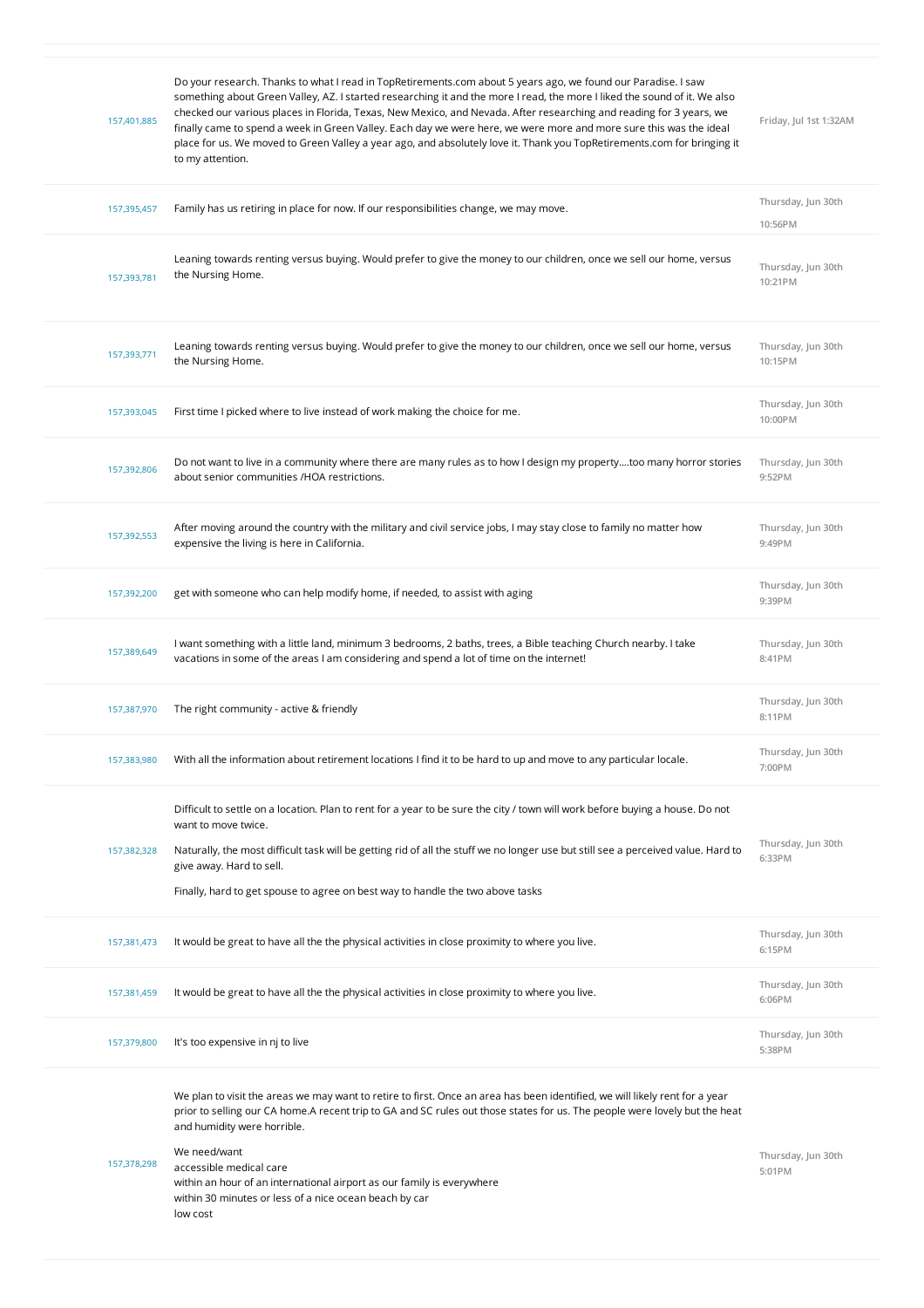| 157,401,885 | Do your research. Thanks to what I read in TopRetirements.com about 5 years ago, we found our Paradise. I saw<br>something about Green Valley, AZ. I started researching it and the more I read, the more I liked the sound of it. We also<br>checked our various places in Florida, Texas, New Mexico, and Nevada. After researching and reading for 3 years, we<br>finally came to spend a week in Green Valley. Each day we were here, we were more and more sure this was the ideal<br>place for us. We moved to Green Valley a year ago, and absolutely love it. Thank you TopRetirements.com for bringing it<br>to my attention. | Friday, Jul 1st 1:32AM        |
|-------------|----------------------------------------------------------------------------------------------------------------------------------------------------------------------------------------------------------------------------------------------------------------------------------------------------------------------------------------------------------------------------------------------------------------------------------------------------------------------------------------------------------------------------------------------------------------------------------------------------------------------------------------|-------------------------------|
| 157,395,457 | Family has us retiring in place for now. If our responsibilities change, we may move.                                                                                                                                                                                                                                                                                                                                                                                                                                                                                                                                                  | Thursday, Jun 30th<br>10:56PM |
| 157,393,781 | Leaning towards renting versus buying. Would prefer to give the money to our children, once we sell our home, versus<br>the Nursing Home.                                                                                                                                                                                                                                                                                                                                                                                                                                                                                              | Thursday, Jun 30th<br>10:21PM |
| 157,393,771 | Leaning towards renting versus buying. Would prefer to give the money to our children, once we sell our home, versus<br>the Nursing Home.                                                                                                                                                                                                                                                                                                                                                                                                                                                                                              | Thursday, Jun 30th<br>10:15PM |
| 157,393,045 | First time I picked where to live instead of work making the choice for me.                                                                                                                                                                                                                                                                                                                                                                                                                                                                                                                                                            | Thursday, Jun 30th<br>10:00PM |
| 157,392,806 | Do not want to live in a community where there are many rules as to how I design my propertytoo many horror stories<br>about senior communities /HOA restrictions.                                                                                                                                                                                                                                                                                                                                                                                                                                                                     | Thursday, Jun 30th<br>9:52PM  |
| 157,392,553 | After moving around the country with the military and civil service jobs, I may stay close to family no matter how<br>expensive the living is here in California.                                                                                                                                                                                                                                                                                                                                                                                                                                                                      | Thursday, Jun 30th<br>9:49PM  |
| 157,392,200 | get with someone who can help modify home, if needed, to assist with aging                                                                                                                                                                                                                                                                                                                                                                                                                                                                                                                                                             | Thursday, Jun 30th<br>9:39PM  |
| 157,389,649 | I want something with a little land, minimum 3 bedrooms, 2 baths, trees, a Bible teaching Church nearby. I take<br>vacations in some of the areas I am considering and spend a lot of time on the internet!                                                                                                                                                                                                                                                                                                                                                                                                                            | Thursday, Jun 30th<br>8:41PM  |
| 157,387,970 | The right community - active & friendly                                                                                                                                                                                                                                                                                                                                                                                                                                                                                                                                                                                                | Thursday, Jun 30th<br>8:11PM  |
| 157,383,980 | With all the information about retirement locations I find it to be hard to up and move to any particular locale.                                                                                                                                                                                                                                                                                                                                                                                                                                                                                                                      | Thursday, Jun 30th<br>7:00PM  |
|             | Difficult to settle on a location. Plan to rent for a year to be sure the city / town will work before buying a house. Do not<br>want to move twice.                                                                                                                                                                                                                                                                                                                                                                                                                                                                                   |                               |
| 157,382,328 | Naturally, the most difficult task will be getting rid of all the stuff we no longer use but still see a perceived value. Hard to<br>give away. Hard to sell.                                                                                                                                                                                                                                                                                                                                                                                                                                                                          | Thursday, Jun 30th<br>6:33PM  |
|             | Finally, hard to get spouse to agree on best way to handle the two above tasks                                                                                                                                                                                                                                                                                                                                                                                                                                                                                                                                                         |                               |
| 157,381,473 | It would be great to have all the the physical activities in close proximity to where you live.                                                                                                                                                                                                                                                                                                                                                                                                                                                                                                                                        | Thursday, Jun 30th<br>6:15PM  |
| 157,381,459 | It would be great to have all the the physical activities in close proximity to where you live.                                                                                                                                                                                                                                                                                                                                                                                                                                                                                                                                        | Thursday, Jun 30th<br>6:06PM  |
| 157,379,800 | It's too expensive in nj to live                                                                                                                                                                                                                                                                                                                                                                                                                                                                                                                                                                                                       | Thursday, Jun 30th<br>5:38PM  |
| 157,378,298 | We plan to visit the areas we may want to retire to first. Once an area has been identified, we will likely rent for a year<br>prior to selling our CA home. A recent trip to GA and SC rules out those states for us. The people were lovely but the heat<br>and humidity were horrible.<br>We need/want<br>accessible medical care<br>within an hour of an international airport as our family is everywhere<br>within 30 minutes or less of a nice ocean beach by car<br>low cost                                                                                                                                                   | Thursday, Jun 30th<br>5:01PM  |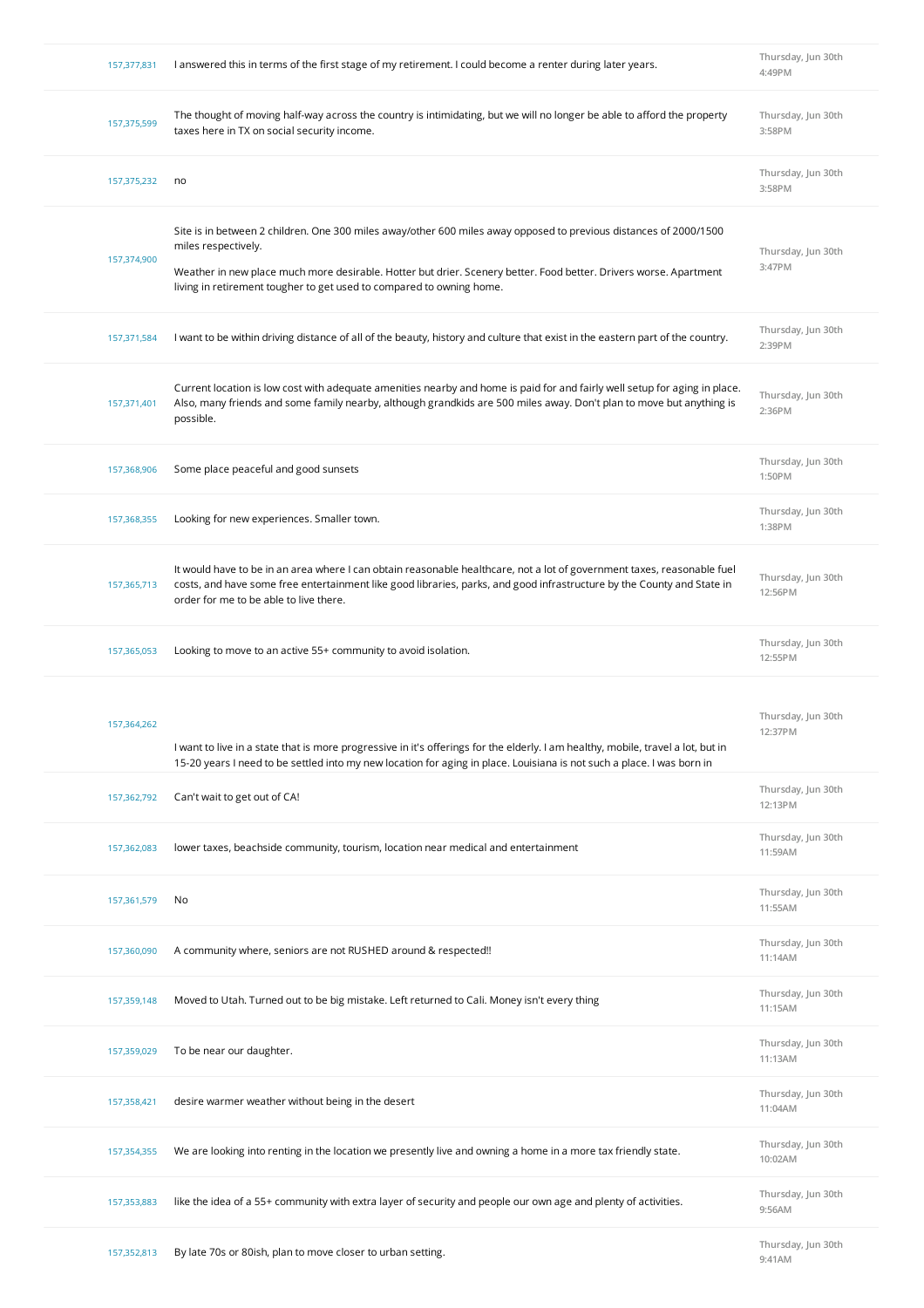| 157,377,831 | I answered this in terms of the first stage of my retirement. I could become a renter during later years.                                                                                                                                                                                                                             | Thursday, Jun 30th<br>4:49PM  |
|-------------|---------------------------------------------------------------------------------------------------------------------------------------------------------------------------------------------------------------------------------------------------------------------------------------------------------------------------------------|-------------------------------|
| 157,375,599 | The thought of moving half-way across the country is intimidating, but we will no longer be able to afford the property<br>taxes here in TX on social security income.                                                                                                                                                                | Thursday, Jun 30th<br>3:58PM  |
| 157,375,232 | no                                                                                                                                                                                                                                                                                                                                    | Thursday, Jun 30th<br>3:58PM  |
| 157,374,900 | Site is in between 2 children. One 300 miles away/other 600 miles away opposed to previous distances of 2000/1500<br>miles respectively.<br>Weather in new place much more desirable. Hotter but drier. Scenery better. Food better. Drivers worse. Apartment<br>living in retirement tougher to get used to compared to owning home. | Thursday, Jun 30th<br>3:47PM  |
| 157,371,584 | I want to be within driving distance of all of the beauty, history and culture that exist in the eastern part of the country.                                                                                                                                                                                                         | Thursday, Jun 30th<br>2:39PM  |
| 157,371,401 | Current location is low cost with adequate amenities nearby and home is paid for and fairly well setup for aging in place.<br>Also, many friends and some family nearby, although grandkids are 500 miles away. Don't plan to move but anything is<br>possible.                                                                       | Thursday, Jun 30th<br>2:36PM  |
| 157,368,906 | Some place peaceful and good sunsets                                                                                                                                                                                                                                                                                                  | Thursday, Jun 30th<br>1:50PM  |
| 157,368,355 | Looking for new experiences. Smaller town.                                                                                                                                                                                                                                                                                            | Thursday, Jun 30th<br>1:38PM  |
| 157,365,713 | It would have to be in an area where I can obtain reasonable healthcare, not a lot of government taxes, reasonable fuel<br>costs, and have some free entertainment like good libraries, parks, and good infrastructure by the County and State in<br>order for me to be able to live there.                                           | Thursday, Jun 30th<br>12:56PM |
| 157,365,053 | Looking to move to an active 55+ community to avoid isolation.                                                                                                                                                                                                                                                                        | Thursday, Jun 30th<br>12:55PM |
| 157,364,262 | I want to live in a state that is more progressive in it's offerings for the elderly. I am healthy, mobile, travel a lot, but in<br>15-20 years I need to be settled into my new location for aging in place. Louisiana is not such a place. I was born in                                                                            | Thursday, Jun 30th<br>12:37PM |
| 157,362,792 | Can't wait to get out of CA!                                                                                                                                                                                                                                                                                                          | Thursday, Jun 30th<br>12:13PM |
| 157,362,083 | lower taxes, beachside community, tourism, location near medical and entertainment                                                                                                                                                                                                                                                    | Thursday, Jun 30th<br>11:59AM |
| 157,361,579 |                                                                                                                                                                                                                                                                                                                                       |                               |
|             | No                                                                                                                                                                                                                                                                                                                                    | Thursday, Jun 30th<br>11:55AM |
| 157,360,090 | A community where, seniors are not RUSHED around & respected!!                                                                                                                                                                                                                                                                        | Thursday, Jun 30th<br>11:14AM |
| 157,359,148 | Moved to Utah. Turned out to be big mistake. Left returned to Cali. Money isn't every thing                                                                                                                                                                                                                                           | Thursday, Jun 30th<br>11:15AM |
| 157,359,029 | To be near our daughter.                                                                                                                                                                                                                                                                                                              | Thursday, Jun 30th<br>11:13AM |
| 157,358,421 | desire warmer weather without being in the desert                                                                                                                                                                                                                                                                                     | Thursday, Jun 30th<br>11:04AM |
| 157,354,355 | We are looking into renting in the location we presently live and owning a home in a more tax friendly state.                                                                                                                                                                                                                         | Thursday, Jun 30th<br>10:02AM |
| 157,353,883 | like the idea of a 55+ community with extra layer of security and people our own age and plenty of activities.                                                                                                                                                                                                                        | Thursday, Jun 30th<br>9:56AM  |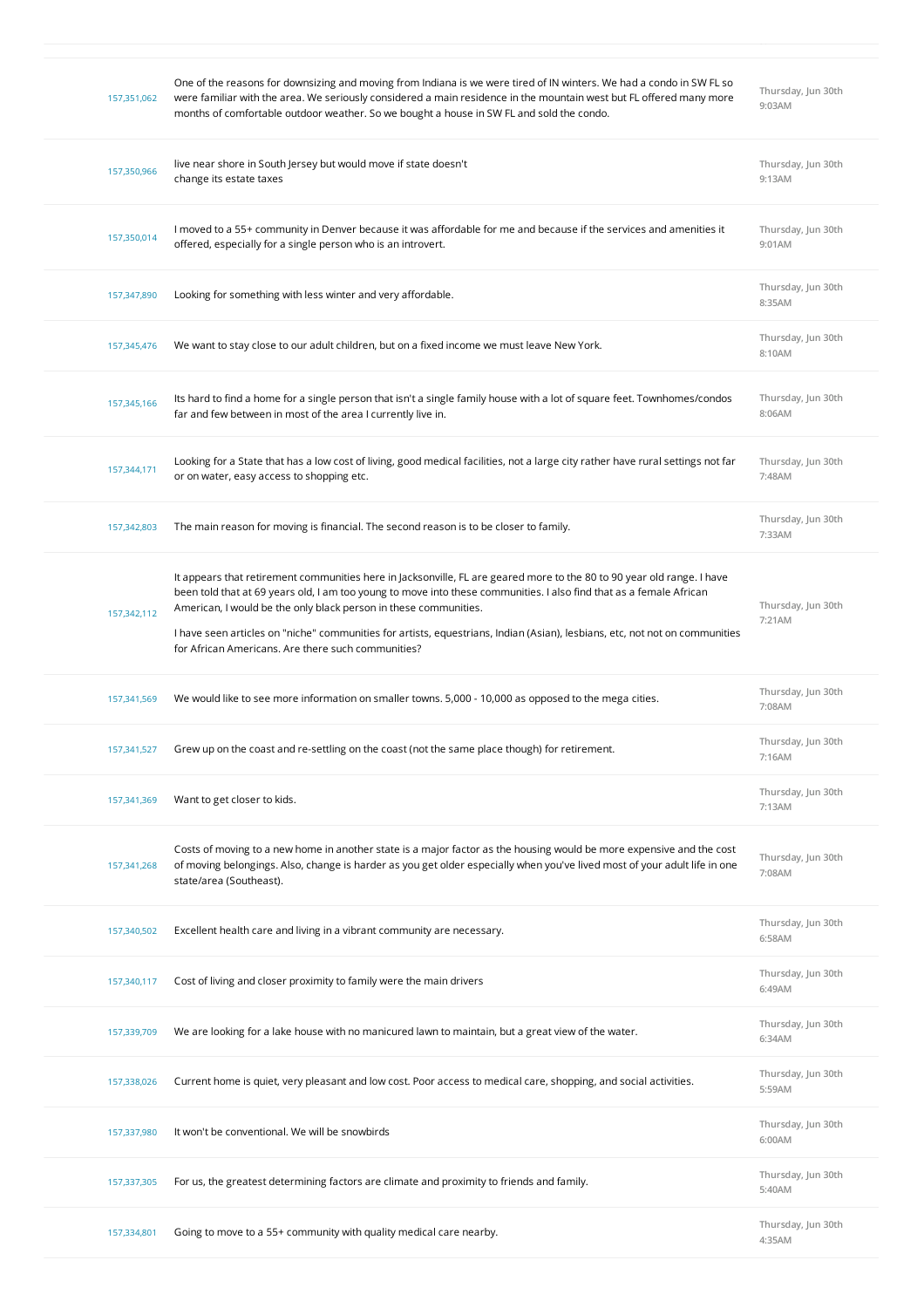| 157,351,062 | One of the reasons for downsizing and moving from Indiana is we were tired of IN winters. We had a condo in SW FL so<br>were familiar with the area. We seriously considered a main residence in the mountain west but FL offered many more<br>months of comfortable outdoor weather. So we bought a house in SW FL and sold the condo.                                                                                                                                                                | Thursday, Jun 30th<br>9:03AM |
|-------------|--------------------------------------------------------------------------------------------------------------------------------------------------------------------------------------------------------------------------------------------------------------------------------------------------------------------------------------------------------------------------------------------------------------------------------------------------------------------------------------------------------|------------------------------|
| 157,350,966 | live near shore in South Jersey but would move if state doesn't<br>change its estate taxes                                                                                                                                                                                                                                                                                                                                                                                                             | Thursday, Jun 30th<br>9:13AM |
| 157,350,014 | I moved to a 55+ community in Denver because it was affordable for me and because if the services and amenities it<br>offered, especially for a single person who is an introvert.                                                                                                                                                                                                                                                                                                                     | Thursday, Jun 30th<br>9:01AM |
| 157,347,890 | Looking for something with less winter and very affordable.                                                                                                                                                                                                                                                                                                                                                                                                                                            | Thursday, Jun 30th<br>8:35AM |
| 157,345,476 | We want to stay close to our adult children, but on a fixed income we must leave New York.                                                                                                                                                                                                                                                                                                                                                                                                             | Thursday, Jun 30th<br>8:10AM |
| 157,345,166 | Its hard to find a home for a single person that isn't a single family house with a lot of square feet. Townhomes/condos<br>far and few between in most of the area I currently live in.                                                                                                                                                                                                                                                                                                               | Thursday, Jun 30th<br>8:06AM |
| 157,344,171 | Looking for a State that has a low cost of living, good medical facilities, not a large city rather have rural settings not far<br>or on water, easy access to shopping etc.                                                                                                                                                                                                                                                                                                                           | Thursday, Jun 30th<br>7:48AM |
| 157,342,803 | The main reason for moving is financial. The second reason is to be closer to family.                                                                                                                                                                                                                                                                                                                                                                                                                  | Thursday, Jun 30th<br>7:33AM |
| 157,342,112 | It appears that retirement communities here in Jacksonville, FL are geared more to the 80 to 90 year old range. I have<br>been told that at 69 years old, I am too young to move into these communities. I also find that as a female African<br>American, I would be the only black person in these communities.<br>I have seen articles on "niche" communities for artists, equestrians, Indian (Asian), lesbians, etc, not not on communities<br>for African Americans. Are there such communities? | Thursday, Jun 30th<br>7:21AM |
| 157,341,569 | We would like to see more information on smaller towns. 5,000 - 10,000 as opposed to the mega cities.                                                                                                                                                                                                                                                                                                                                                                                                  | Thursday, Jun 30th<br>7:08AM |
| 157,341,527 | Grew up on the coast and re-settling on the coast (not the same place though) for retirement.                                                                                                                                                                                                                                                                                                                                                                                                          | Thursday, Jun 30th<br>7:16AM |
| 157,341,369 | Want to get closer to kids.                                                                                                                                                                                                                                                                                                                                                                                                                                                                            | Thursday, Jun 30th<br>7:13AM |
| 157,341,268 | Costs of moving to a new home in another state is a major factor as the housing would be more expensive and the cost<br>of moving belongings. Also, change is harder as you get older especially when you've lived most of your adult life in one<br>state/area (Southeast).                                                                                                                                                                                                                           | Thursday, Jun 30th<br>7:08AM |
| 157,340,502 | Excellent health care and living in a vibrant community are necessary.                                                                                                                                                                                                                                                                                                                                                                                                                                 | Thursday, Jun 30th<br>6:58AM |
| 157,340,117 | Cost of living and closer proximity to family were the main drivers                                                                                                                                                                                                                                                                                                                                                                                                                                    | Thursday, Jun 30th<br>6:49AM |
| 157,339,709 | We are looking for a lake house with no manicured lawn to maintain, but a great view of the water.                                                                                                                                                                                                                                                                                                                                                                                                     | Thursday, Jun 30th<br>6:34AM |
| 157,338,026 | Current home is quiet, very pleasant and low cost. Poor access to medical care, shopping, and social activities.                                                                                                                                                                                                                                                                                                                                                                                       | Thursday, Jun 30th<br>5:59AM |
| 157,337,980 | It won't be conventional. We will be snowbirds                                                                                                                                                                                                                                                                                                                                                                                                                                                         | Thursday, Jun 30th<br>6:00AM |
| 157,337,305 | For us, the greatest determining factors are climate and proximity to friends and family.                                                                                                                                                                                                                                                                                                                                                                                                              | Thursday, Jun 30th<br>5:40AM |
| 157,334,801 | Going to move to a 55+ community with quality medical care nearby.                                                                                                                                                                                                                                                                                                                                                                                                                                     | Thursday, Jun 30th<br>4:35AM |

**9:41AM**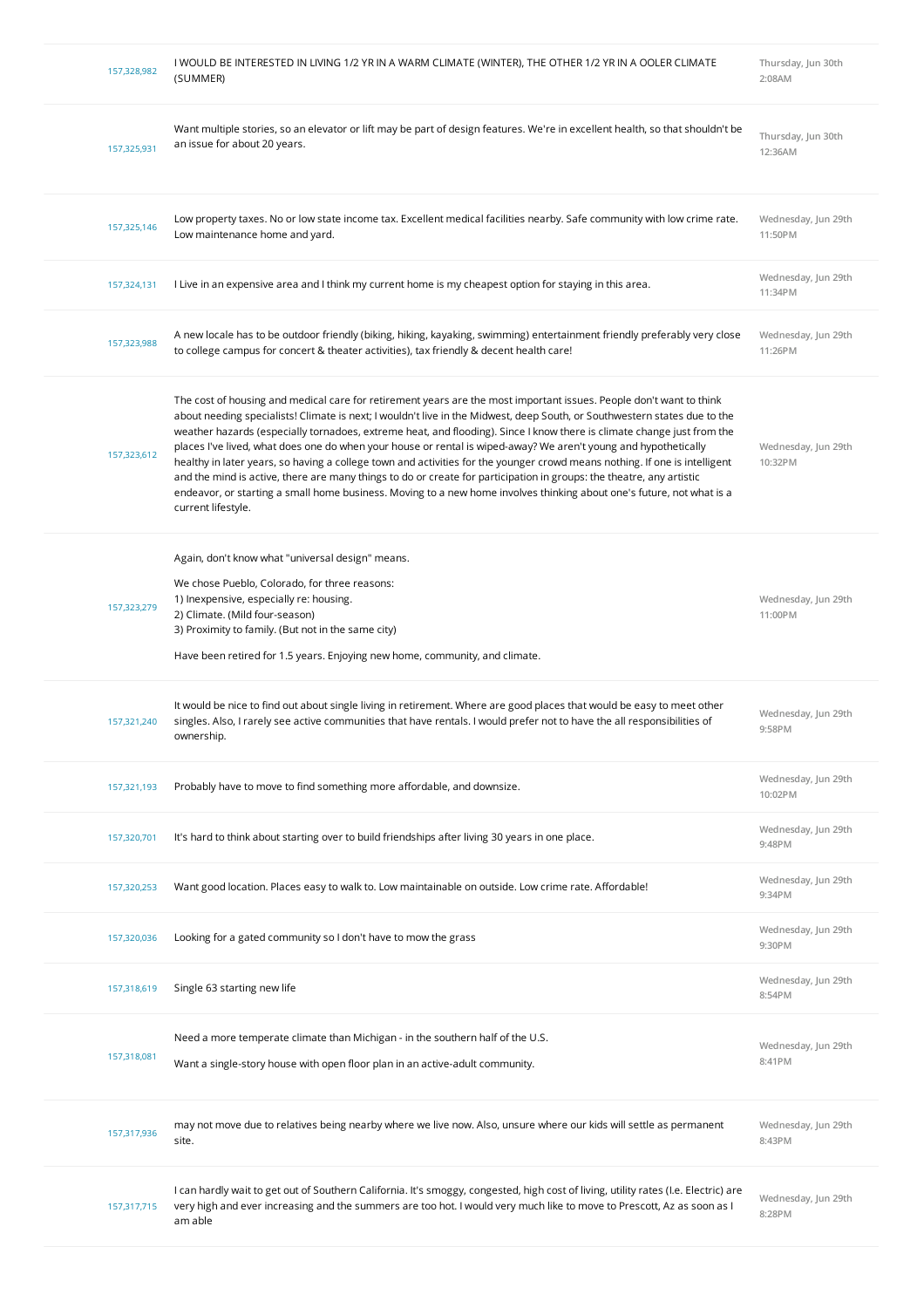| 157,328,982 | I WOULD BE INTERESTED IN LIVING 1/2 YR IN A WARM CLIMATE (WINTER), THE OTHER 1/2 YR IN A OOLER CLIMATE<br>(SUMMER)                                                                                                                                                                                                                                                                                                                                                                                                                                                                                                                                                                                                                                                                                                                                                                                 | Thursday, Jun 30th<br>2:08AM   |
|-------------|----------------------------------------------------------------------------------------------------------------------------------------------------------------------------------------------------------------------------------------------------------------------------------------------------------------------------------------------------------------------------------------------------------------------------------------------------------------------------------------------------------------------------------------------------------------------------------------------------------------------------------------------------------------------------------------------------------------------------------------------------------------------------------------------------------------------------------------------------------------------------------------------------|--------------------------------|
| 157,325,931 | Want multiple stories, so an elevator or lift may be part of design features. We're in excellent health, so that shouldn't be<br>an issue for about 20 years.                                                                                                                                                                                                                                                                                                                                                                                                                                                                                                                                                                                                                                                                                                                                      | Thursday, Jun 30th<br>12:36AM  |
| 157,325,146 | Low property taxes. No or low state income tax. Excellent medical facilities nearby. Safe community with low crime rate.<br>Low maintenance home and yard.                                                                                                                                                                                                                                                                                                                                                                                                                                                                                                                                                                                                                                                                                                                                         | Wednesday, Jun 29th<br>11:50PM |
| 157,324,131 | I Live in an expensive area and I think my current home is my cheapest option for staying in this area.                                                                                                                                                                                                                                                                                                                                                                                                                                                                                                                                                                                                                                                                                                                                                                                            | Wednesday, Jun 29th<br>11:34PM |
| 157,323,988 | A new locale has to be outdoor friendly (biking, hiking, kayaking, swimming) entertainment friendly preferably very close<br>to college campus for concert & theater activities), tax friendly & decent health care!                                                                                                                                                                                                                                                                                                                                                                                                                                                                                                                                                                                                                                                                               | Wednesday, Jun 29th<br>11:26PM |
| 157,323,612 | The cost of housing and medical care for retirement years are the most important issues. People don't want to think<br>about needing specialists! Climate is next; I wouldn't live in the Midwest, deep South, or Southwestern states due to the<br>weather hazards (especially tornadoes, extreme heat, and flooding). Since I know there is climate change just from the<br>places I've lived, what does one do when your house or rental is wiped-away? We aren't young and hypothetically<br>healthy in later years, so having a college town and activities for the younger crowd means nothing. If one is intelligent<br>and the mind is active, there are many things to do or create for participation in groups: the theatre, any artistic<br>endeavor, or starting a small home business. Moving to a new home involves thinking about one's future, not what is a<br>current lifestyle. | Wednesday, Jun 29th<br>10:32PM |
| 157,323,279 | Again, don't know what "universal design" means.<br>We chose Pueblo, Colorado, for three reasons:<br>1) Inexpensive, especially re: housing.<br>2) Climate. (Mild four-season)<br>3) Proximity to family. (But not in the same city)<br>Have been retired for 1.5 years. Enjoying new home, community, and climate.                                                                                                                                                                                                                                                                                                                                                                                                                                                                                                                                                                                | Wednesday, Jun 29th<br>11:00PM |
| 157,321,240 | It would be nice to find out about single living in retirement. Where are good places that would be easy to meet other<br>singles. Also, I rarely see active communities that have rentals. I would prefer not to have the all responsibilities of<br>ownership.                                                                                                                                                                                                                                                                                                                                                                                                                                                                                                                                                                                                                                   | Wednesday, Jun 29th<br>9:58PM  |
| 157,321,193 | Probably have to move to find something more affordable, and downsize.                                                                                                                                                                                                                                                                                                                                                                                                                                                                                                                                                                                                                                                                                                                                                                                                                             | Wednesday, Jun 29th<br>10:02PM |
| 157,320,701 | It's hard to think about starting over to build friendships after living 30 years in one place.                                                                                                                                                                                                                                                                                                                                                                                                                                                                                                                                                                                                                                                                                                                                                                                                    | Wednesday, Jun 29th<br>9:48PM  |
| 157,320,253 | Want good location. Places easy to walk to. Low maintainable on outside. Low crime rate. Affordable!                                                                                                                                                                                                                                                                                                                                                                                                                                                                                                                                                                                                                                                                                                                                                                                               | Wednesday, Jun 29th<br>9:34PM  |
| 157,320,036 | Looking for a gated community so I don't have to mow the grass                                                                                                                                                                                                                                                                                                                                                                                                                                                                                                                                                                                                                                                                                                                                                                                                                                     | Wednesday, Jun 29th<br>9:30PM  |
| 157,318,619 | Single 63 starting new life                                                                                                                                                                                                                                                                                                                                                                                                                                                                                                                                                                                                                                                                                                                                                                                                                                                                        | Wednesday, Jun 29th<br>8:54PM  |
| 157,318,081 | Need a more temperate climate than Michigan - in the southern half of the U.S.<br>Want a single-story house with open floor plan in an active-adult community.                                                                                                                                                                                                                                                                                                                                                                                                                                                                                                                                                                                                                                                                                                                                     | Wednesday, Jun 29th<br>8:41PM  |
| 157,317,936 | may not move due to relatives being nearby where we live now. Also, unsure where our kids will settle as permanent<br>site.                                                                                                                                                                                                                                                                                                                                                                                                                                                                                                                                                                                                                                                                                                                                                                        | Wednesday, Jun 29th<br>8:43PM  |
| 157,317,715 | I can hardly wait to get out of Southern California. It's smoggy, congested, high cost of living, utility rates (I.e. Electric) are<br>very high and ever increasing and the summers are too hot. I would very much like to move to Prescott, Az as soon as I<br>am able                                                                                                                                                                                                                                                                                                                                                                                                                                                                                                                                                                                                                           | Wednesday, Jun 29th<br>8:28PM  |
|             |                                                                                                                                                                                                                                                                                                                                                                                                                                                                                                                                                                                                                                                                                                                                                                                                                                                                                                    |                                |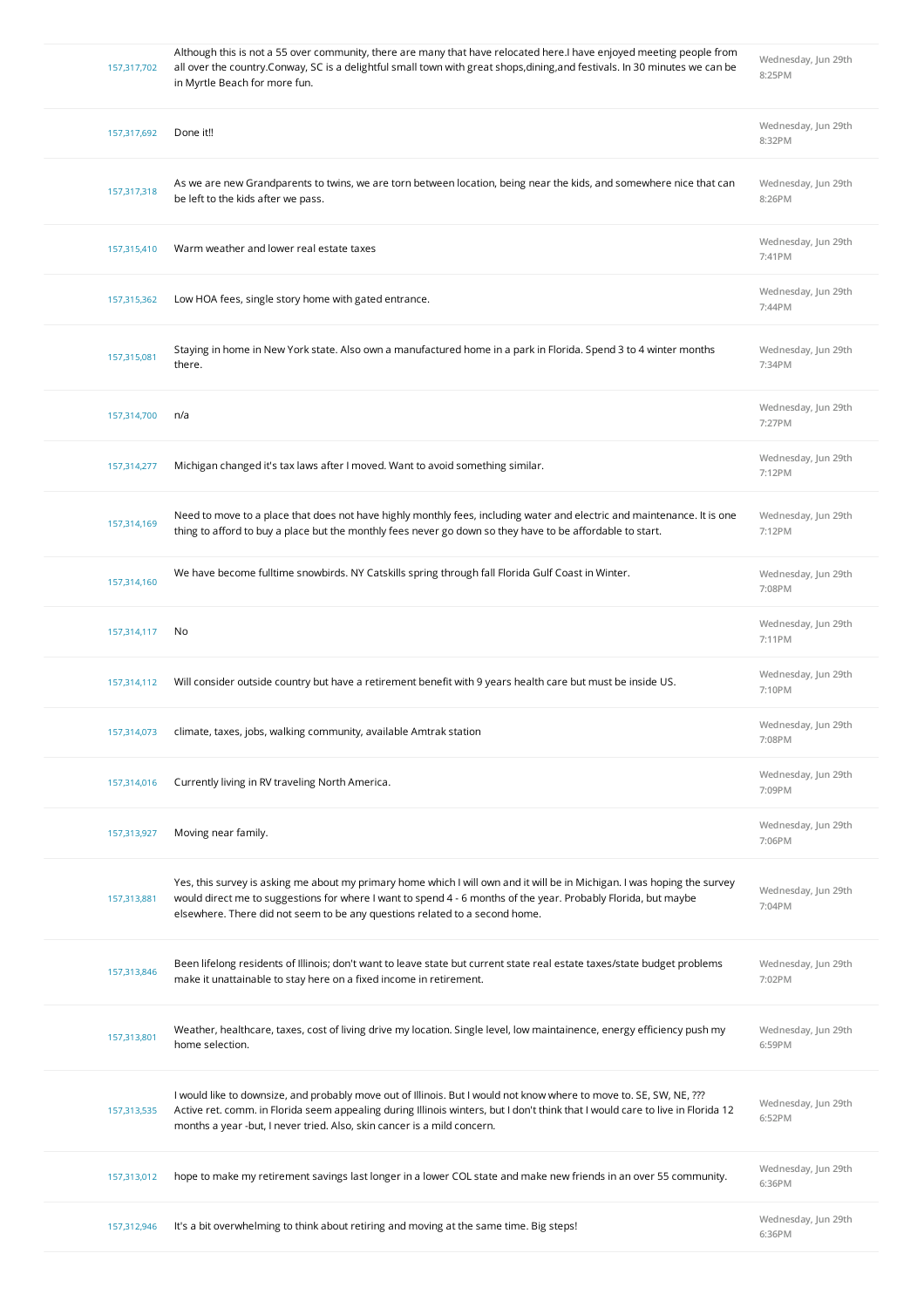| 157,317,702 | Although this is not a 55 over community, there are many that have relocated here.I have enjoyed meeting people from<br>all over the country. Conway, SC is a delightful small town with great shops, dining, and festivals. In 30 minutes we can be<br>in Myrtle Beach for more fun.                                            | Wednesday, Jun 29th<br>8:25PM |
|-------------|----------------------------------------------------------------------------------------------------------------------------------------------------------------------------------------------------------------------------------------------------------------------------------------------------------------------------------|-------------------------------|
| 157,317,692 | Done it!!                                                                                                                                                                                                                                                                                                                        | Wednesday, Jun 29th<br>8:32PM |
| 157,317,318 | As we are new Grandparents to twins, we are torn between location, being near the kids, and somewhere nice that can<br>be left to the kids after we pass.                                                                                                                                                                        | Wednesday, Jun 29th<br>8:26PM |
| 157,315,410 | Warm weather and lower real estate taxes                                                                                                                                                                                                                                                                                         | Wednesday, Jun 29th<br>7:41PM |
| 157,315,362 | Low HOA fees, single story home with gated entrance.                                                                                                                                                                                                                                                                             | Wednesday, Jun 29th<br>7:44PM |
| 157,315,081 | Staying in home in New York state. Also own a manufactured home in a park in Florida. Spend 3 to 4 winter months<br>there.                                                                                                                                                                                                       | Wednesday, Jun 29th<br>7:34PM |
| 157,314,700 | n/a                                                                                                                                                                                                                                                                                                                              | Wednesday, Jun 29th<br>7:27PM |
| 157,314,277 | Michigan changed it's tax laws after I moved. Want to avoid something similar.                                                                                                                                                                                                                                                   | Wednesday, Jun 29th<br>7:12PM |
| 157,314,169 | Need to move to a place that does not have highly monthly fees, including water and electric and maintenance. It is one<br>thing to afford to buy a place but the monthly fees never go down so they have to be affordable to start.                                                                                             | Wednesday, Jun 29th<br>7:12PM |
| 157,314,160 | We have become fulltime snowbirds. NY Catskills spring through fall Florida Gulf Coast in Winter.                                                                                                                                                                                                                                | Wednesday, Jun 29th<br>7:08PM |
| 157,314,117 | No                                                                                                                                                                                                                                                                                                                               | Wednesday, Jun 29th<br>7:11PM |
| 157,314,112 | Will consider outside country but have a retirement benefit with 9 years health care but must be inside US.                                                                                                                                                                                                                      | Wednesday, Jun 29th<br>7:10PM |
| 157,314,073 | climate, taxes, jobs, walking community, available Amtrak station                                                                                                                                                                                                                                                                | Wednesday, Jun 29th<br>7:08PM |
| 157,314,016 | Currently living in RV traveling North America.                                                                                                                                                                                                                                                                                  | Wednesday, Jun 29th<br>7:09PM |
| 157,313,927 | Moving near family.                                                                                                                                                                                                                                                                                                              | Wednesday, Jun 29th<br>7:06PM |
| 157,313,881 | Yes, this survey is asking me about my primary home which I will own and it will be in Michigan. I was hoping the survey<br>would direct me to suggestions for where I want to spend 4 - 6 months of the year. Probably Florida, but maybe<br>elsewhere. There did not seem to be any questions related to a second home.        | Wednesday, Jun 29th<br>7:04PM |
| 157,313,846 | Been lifelong residents of Illinois; don't want to leave state but current state real estate taxes/state budget problems<br>make it unattainable to stay here on a fixed income in retirement.                                                                                                                                   | Wednesday, Jun 29th<br>7:02PM |
| 157,313,801 | Weather, healthcare, taxes, cost of living drive my location. Single level, low maintainence, energy efficiency push my<br>home selection.                                                                                                                                                                                       | Wednesday, Jun 29th<br>6:59PM |
| 157,313,535 | I would like to downsize, and probably move out of Illinois. But I would not know where to move to. SE, SW, NE, ???<br>Active ret. comm. in Florida seem appealing during Illinois winters, but I don't think that I would care to live in Florida 12<br>months a year -but, I never tried. Also, skin cancer is a mild concern. | Wednesday, Jun 29th<br>6:52PM |
| 157,313,012 | hope to make my retirement savings last longer in a lower COL state and make new friends in an over 55 community.                                                                                                                                                                                                                | Wednesday, Jun 29th<br>6:36PM |
|             |                                                                                                                                                                                                                                                                                                                                  |                               |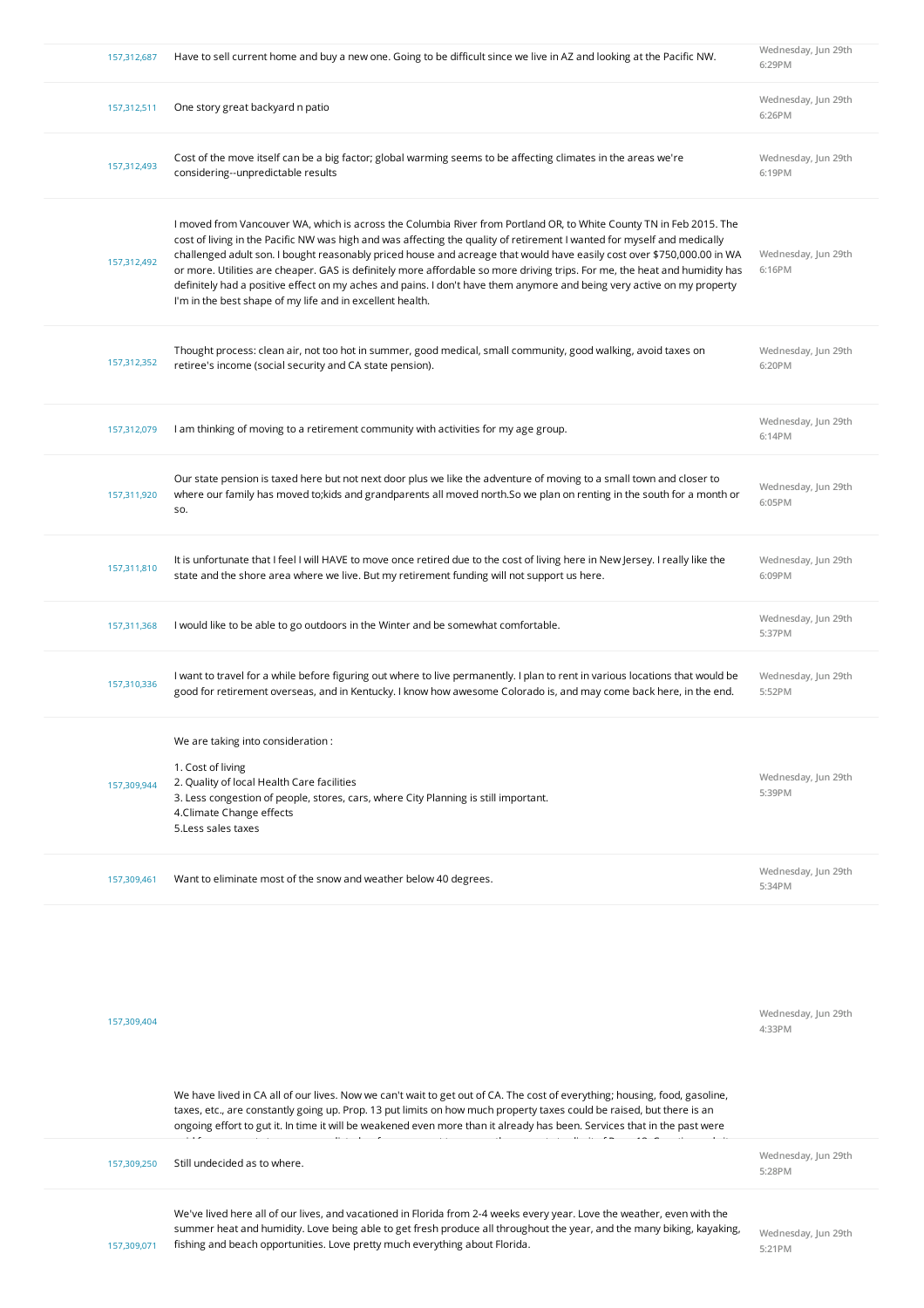| 157,312,687 | Have to sell current home and buy a new one. Going to be difficult since we live in AZ and looking at the Pacific NW.                                                                                                                                                                                                                                                                                                                                                                                                                                                                                                                                                                         | Wednesday, Jun 29th<br>6:29PM |
|-------------|-----------------------------------------------------------------------------------------------------------------------------------------------------------------------------------------------------------------------------------------------------------------------------------------------------------------------------------------------------------------------------------------------------------------------------------------------------------------------------------------------------------------------------------------------------------------------------------------------------------------------------------------------------------------------------------------------|-------------------------------|
| 157,312,511 | One story great backyard n patio                                                                                                                                                                                                                                                                                                                                                                                                                                                                                                                                                                                                                                                              | Wednesday, Jun 29th<br>6:26PM |
| 157,312,493 | Cost of the move itself can be a big factor; global warming seems to be affecting climates in the areas we're<br>considering--unpredictable results                                                                                                                                                                                                                                                                                                                                                                                                                                                                                                                                           | Wednesday, Jun 29th<br>6:19PM |
| 157,312,492 | I moved from Vancouver WA, which is across the Columbia River from Portland OR, to White County TN in Feb 2015. The<br>cost of living in the Pacific NW was high and was affecting the quality of retirement I wanted for myself and medically<br>challenged adult son. I bought reasonably priced house and acreage that would have easily cost over \$750,000.00 in WA<br>or more. Utilities are cheaper. GAS is definitely more affordable so more driving trips. For me, the heat and humidity has<br>definitely had a positive effect on my aches and pains. I don't have them anymore and being very active on my property<br>I'm in the best shape of my life and in excellent health. | Wednesday, Jun 29th<br>6:16PM |
| 157,312,352 | Thought process: clean air, not too hot in summer, good medical, small community, good walking, avoid taxes on<br>retiree's income (social security and CA state pension).                                                                                                                                                                                                                                                                                                                                                                                                                                                                                                                    | Wednesday, Jun 29th<br>6:20PM |
| 157,312,079 | I am thinking of moving to a retirement community with activities for my age group.                                                                                                                                                                                                                                                                                                                                                                                                                                                                                                                                                                                                           | Wednesday, Jun 29th<br>6:14PM |
| 157,311,920 | Our state pension is taxed here but not next door plus we like the adventure of moving to a small town and closer to<br>where our family has moved to; kids and grandparents all moved north. So we plan on renting in the south for a month or<br>SO.                                                                                                                                                                                                                                                                                                                                                                                                                                        | Wednesday, Jun 29th<br>6:05PM |
| 157,311,810 | It is unfortunate that I feel I will HAVE to move once retired due to the cost of living here in New Jersey. I really like the<br>state and the shore area where we live. But my retirement funding will not support us here.                                                                                                                                                                                                                                                                                                                                                                                                                                                                 | Wednesday, Jun 29th<br>6:09PM |
| 157,311,368 | I would like to be able to go outdoors in the Winter and be somewhat comfortable.                                                                                                                                                                                                                                                                                                                                                                                                                                                                                                                                                                                                             | Wednesday, Jun 29th<br>5:37PM |
| 157,310,336 | I want to travel for a while before figuring out where to live permanently. I plan to rent in various locations that would be<br>good for retirement overseas, and in Kentucky. I know how awesome Colorado is, and may come back here, in the end.                                                                                                                                                                                                                                                                                                                                                                                                                                           | Wednesday, Jun 29th<br>5:52PM |
| 157,309,944 | We are taking into consideration:<br>1. Cost of living<br>2. Quality of local Health Care facilities<br>3. Less congestion of people, stores, cars, where City Planning is still important.<br>4. Climate Change effects<br>5. Less sales taxes                                                                                                                                                                                                                                                                                                                                                                                                                                               | Wednesday, Jun 29th<br>5:39PM |
| 157,309,461 | Want to eliminate most of the snow and weather below 40 degrees.                                                                                                                                                                                                                                                                                                                                                                                                                                                                                                                                                                                                                              | Wednesday, Jun 29th<br>5:34PM |
| 157,309,404 | We have lived in CA all of our lives. Now we can't wait to get out of CA. The cost of everything; housing, food, gasoline,<br>taxes, etc., are constantly going up. Prop. 13 put limits on how much property taxes could be raised, but there is an<br>ongoing effort to gut it. In time it will be weakened even more than it already has been. Services that in the past were                                                                                                                                                                                                                                                                                                               | Wednesday, Jun 29th<br>4:33PM |
| 157,309,250 | Still undecided as to where.                                                                                                                                                                                                                                                                                                                                                                                                                                                                                                                                                                                                                                                                  | Wednesday, Jun 29th<br>5:28PM |
| 157,309,071 | We've lived here all of our lives, and vacationed in Florida from 2-4 weeks every year. Love the weather, even with the<br>summer heat and humidity. Love being able to get fresh produce all throughout the year, and the many biking, kayaking,<br>fishing and beach opportunities. Love pretty much everything about Florida.                                                                                                                                                                                                                                                                                                                                                              | Wednesday, Jun 29th<br>5:21PM |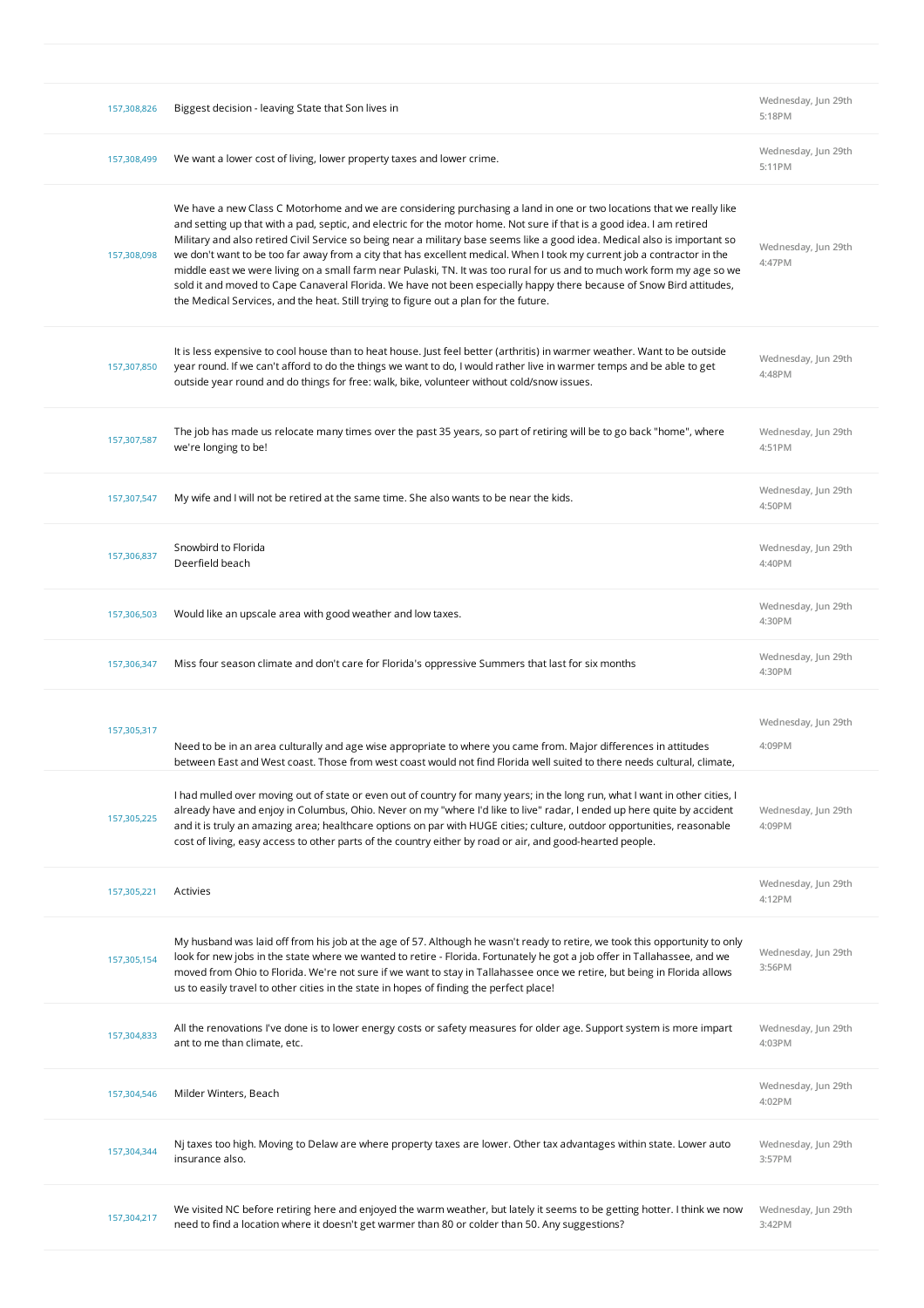| Wednesday, Jun 29th<br>We want a lower cost of living, lower property taxes and lower crime.<br>157,308,499<br>5:11PM<br>We have a new Class C Motorhome and we are considering purchasing a land in one or two locations that we really like<br>and setting up that with a pad, septic, and electric for the motor home. Not sure if that is a good idea. I am retired<br>Military and also retired Civil Service so being near a military base seems like a good idea. Medical also is important so<br>Wednesday, Jun 29th<br>we don't want to be too far away from a city that has excellent medical. When I took my current job a contractor in the<br>157,308,098<br>4:47PM<br>middle east we were living on a small farm near Pulaski, TN. It was too rural for us and to much work form my age so we<br>sold it and moved to Cape Canaveral Florida. We have not been especially happy there because of Snow Bird attitudes,<br>the Medical Services, and the heat. Still trying to figure out a plan for the future.<br>It is less expensive to cool house than to heat house. Just feel better (arthritis) in warmer weather. Want to be outside<br>Wednesday, Jun 29th<br>year round. If we can't afford to do the things we want to do, I would rather live in warmer temps and be able to get<br>157,307,850<br>4:48PM<br>outside year round and do things for free: walk, bike, volunteer without cold/snow issues.<br>The job has made us relocate many times over the past 35 years, so part of retiring will be to go back "home", where<br>Wednesday, Jun 29th<br>157,307,587<br>we're longing to be!<br>4:51PM<br>Wednesday, Jun 29th<br>My wife and I will not be retired at the same time. She also wants to be near the kids.<br>157,307,547<br>4:50PM<br>Snowbird to Florida<br>Wednesday, Jun 29th<br>157,306,837<br>Deerfield beach<br>4:40PM<br>Wednesday, Jun 29th<br>Would like an upscale area with good weather and low taxes.<br>157,306,503<br>4:30PM<br>Wednesday, Jun 29th<br>Miss four season climate and don't care for Florida's oppressive Summers that last for six months<br>157,306,347<br>4:30PM<br>Wednesday, Jun 29th<br>157,305,317<br>4:09PM<br>Need to be in an area culturally and age wise appropriate to where you came from. Major differences in attitudes<br>between East and West coast. Those from west coast would not find Florida well suited to there needs cultural, climate,<br>I had mulled over moving out of state or even out of country for many years; in the long run, what I want in other cities, I<br>already have and enjoy in Columbus, Ohio. Never on my "where I'd like to live" radar, I ended up here quite by accident<br>Wednesday, Jun 29th<br>157,305,225<br>and it is truly an amazing area; healthcare options on par with HUGE cities; culture, outdoor opportunities, reasonable<br>4:09PM<br>cost of living, easy access to other parts of the country either by road or air, and good-hearted people.<br>Wednesday, Jun 29th<br>Activies<br>157,305,221<br>4:12PM<br>My husband was laid off from his job at the age of 57. Although he wasn't ready to retire, we took this opportunity to only<br>Wednesday, Jun 29th<br>look for new jobs in the state where we wanted to retire - Florida. Fortunately he got a job offer in Tallahassee, and we<br>157,305,154<br>3:56PM<br>moved from Ohio to Florida. We're not sure if we want to stay in Tallahassee once we retire, but being in Florida allows | 157,308,826 | Biggest decision - leaving State that Son lives in | Wednesday, Jun 29th<br>5:18PM |
|-------------------------------------------------------------------------------------------------------------------------------------------------------------------------------------------------------------------------------------------------------------------------------------------------------------------------------------------------------------------------------------------------------------------------------------------------------------------------------------------------------------------------------------------------------------------------------------------------------------------------------------------------------------------------------------------------------------------------------------------------------------------------------------------------------------------------------------------------------------------------------------------------------------------------------------------------------------------------------------------------------------------------------------------------------------------------------------------------------------------------------------------------------------------------------------------------------------------------------------------------------------------------------------------------------------------------------------------------------------------------------------------------------------------------------------------------------------------------------------------------------------------------------------------------------------------------------------------------------------------------------------------------------------------------------------------------------------------------------------------------------------------------------------------------------------------------------------------------------------------------------------------------------------------------------------------------------------------------------------------------------------------------------------------------------------------------------------------------------------------------------------------------------------------------------------------------------------------------------------------------------------------------------------------------------------------------------------------------------------------------------------------------------------------------------------------------------------------------------------------------------------------------------------------------------------------------------------------------------------------------------------------------------------------------------------------------------------------------------------------------------------------------------------------------------------------------------------------------------------------------------------------------------------------------------------------------------------------------------------------------------------------------------------------------------------------------------------------------------------------------------------------------------------------------------------------------------------------------------------------------------------------------------------------------------------------------------------------------------------------------------------------------------------------------------------------------------------------------------------------------|-------------|----------------------------------------------------|-------------------------------|
|                                                                                                                                                                                                                                                                                                                                                                                                                                                                                                                                                                                                                                                                                                                                                                                                                                                                                                                                                                                                                                                                                                                                                                                                                                                                                                                                                                                                                                                                                                                                                                                                                                                                                                                                                                                                                                                                                                                                                                                                                                                                                                                                                                                                                                                                                                                                                                                                                                                                                                                                                                                                                                                                                                                                                                                                                                                                                                                                                                                                                                                                                                                                                                                                                                                                                                                                                                                                                                                                                                 |             |                                                    |                               |
|                                                                                                                                                                                                                                                                                                                                                                                                                                                                                                                                                                                                                                                                                                                                                                                                                                                                                                                                                                                                                                                                                                                                                                                                                                                                                                                                                                                                                                                                                                                                                                                                                                                                                                                                                                                                                                                                                                                                                                                                                                                                                                                                                                                                                                                                                                                                                                                                                                                                                                                                                                                                                                                                                                                                                                                                                                                                                                                                                                                                                                                                                                                                                                                                                                                                                                                                                                                                                                                                                                 |             |                                                    |                               |
|                                                                                                                                                                                                                                                                                                                                                                                                                                                                                                                                                                                                                                                                                                                                                                                                                                                                                                                                                                                                                                                                                                                                                                                                                                                                                                                                                                                                                                                                                                                                                                                                                                                                                                                                                                                                                                                                                                                                                                                                                                                                                                                                                                                                                                                                                                                                                                                                                                                                                                                                                                                                                                                                                                                                                                                                                                                                                                                                                                                                                                                                                                                                                                                                                                                                                                                                                                                                                                                                                                 |             |                                                    |                               |
|                                                                                                                                                                                                                                                                                                                                                                                                                                                                                                                                                                                                                                                                                                                                                                                                                                                                                                                                                                                                                                                                                                                                                                                                                                                                                                                                                                                                                                                                                                                                                                                                                                                                                                                                                                                                                                                                                                                                                                                                                                                                                                                                                                                                                                                                                                                                                                                                                                                                                                                                                                                                                                                                                                                                                                                                                                                                                                                                                                                                                                                                                                                                                                                                                                                                                                                                                                                                                                                                                                 |             |                                                    |                               |
|                                                                                                                                                                                                                                                                                                                                                                                                                                                                                                                                                                                                                                                                                                                                                                                                                                                                                                                                                                                                                                                                                                                                                                                                                                                                                                                                                                                                                                                                                                                                                                                                                                                                                                                                                                                                                                                                                                                                                                                                                                                                                                                                                                                                                                                                                                                                                                                                                                                                                                                                                                                                                                                                                                                                                                                                                                                                                                                                                                                                                                                                                                                                                                                                                                                                                                                                                                                                                                                                                                 |             |                                                    |                               |
|                                                                                                                                                                                                                                                                                                                                                                                                                                                                                                                                                                                                                                                                                                                                                                                                                                                                                                                                                                                                                                                                                                                                                                                                                                                                                                                                                                                                                                                                                                                                                                                                                                                                                                                                                                                                                                                                                                                                                                                                                                                                                                                                                                                                                                                                                                                                                                                                                                                                                                                                                                                                                                                                                                                                                                                                                                                                                                                                                                                                                                                                                                                                                                                                                                                                                                                                                                                                                                                                                                 |             |                                                    |                               |
|                                                                                                                                                                                                                                                                                                                                                                                                                                                                                                                                                                                                                                                                                                                                                                                                                                                                                                                                                                                                                                                                                                                                                                                                                                                                                                                                                                                                                                                                                                                                                                                                                                                                                                                                                                                                                                                                                                                                                                                                                                                                                                                                                                                                                                                                                                                                                                                                                                                                                                                                                                                                                                                                                                                                                                                                                                                                                                                                                                                                                                                                                                                                                                                                                                                                                                                                                                                                                                                                                                 |             |                                                    |                               |
|                                                                                                                                                                                                                                                                                                                                                                                                                                                                                                                                                                                                                                                                                                                                                                                                                                                                                                                                                                                                                                                                                                                                                                                                                                                                                                                                                                                                                                                                                                                                                                                                                                                                                                                                                                                                                                                                                                                                                                                                                                                                                                                                                                                                                                                                                                                                                                                                                                                                                                                                                                                                                                                                                                                                                                                                                                                                                                                                                                                                                                                                                                                                                                                                                                                                                                                                                                                                                                                                                                 |             |                                                    |                               |
|                                                                                                                                                                                                                                                                                                                                                                                                                                                                                                                                                                                                                                                                                                                                                                                                                                                                                                                                                                                                                                                                                                                                                                                                                                                                                                                                                                                                                                                                                                                                                                                                                                                                                                                                                                                                                                                                                                                                                                                                                                                                                                                                                                                                                                                                                                                                                                                                                                                                                                                                                                                                                                                                                                                                                                                                                                                                                                                                                                                                                                                                                                                                                                                                                                                                                                                                                                                                                                                                                                 |             |                                                    |                               |
|                                                                                                                                                                                                                                                                                                                                                                                                                                                                                                                                                                                                                                                                                                                                                                                                                                                                                                                                                                                                                                                                                                                                                                                                                                                                                                                                                                                                                                                                                                                                                                                                                                                                                                                                                                                                                                                                                                                                                                                                                                                                                                                                                                                                                                                                                                                                                                                                                                                                                                                                                                                                                                                                                                                                                                                                                                                                                                                                                                                                                                                                                                                                                                                                                                                                                                                                                                                                                                                                                                 |             |                                                    |                               |
|                                                                                                                                                                                                                                                                                                                                                                                                                                                                                                                                                                                                                                                                                                                                                                                                                                                                                                                                                                                                                                                                                                                                                                                                                                                                                                                                                                                                                                                                                                                                                                                                                                                                                                                                                                                                                                                                                                                                                                                                                                                                                                                                                                                                                                                                                                                                                                                                                                                                                                                                                                                                                                                                                                                                                                                                                                                                                                                                                                                                                                                                                                                                                                                                                                                                                                                                                                                                                                                                                                 |             |                                                    |                               |
| us to easily travel to other cities in the state in hopes of finding the perfect place!                                                                                                                                                                                                                                                                                                                                                                                                                                                                                                                                                                                                                                                                                                                                                                                                                                                                                                                                                                                                                                                                                                                                                                                                                                                                                                                                                                                                                                                                                                                                                                                                                                                                                                                                                                                                                                                                                                                                                                                                                                                                                                                                                                                                                                                                                                                                                                                                                                                                                                                                                                                                                                                                                                                                                                                                                                                                                                                                                                                                                                                                                                                                                                                                                                                                                                                                                                                                         |             |                                                    |                               |
| All the renovations I've done is to lower energy costs or safety measures for older age. Support system is more impart<br>Wednesday, Jun 29th<br>157,304,833<br>ant to me than climate, etc.<br>4:03PM                                                                                                                                                                                                                                                                                                                                                                                                                                                                                                                                                                                                                                                                                                                                                                                                                                                                                                                                                                                                                                                                                                                                                                                                                                                                                                                                                                                                                                                                                                                                                                                                                                                                                                                                                                                                                                                                                                                                                                                                                                                                                                                                                                                                                                                                                                                                                                                                                                                                                                                                                                                                                                                                                                                                                                                                                                                                                                                                                                                                                                                                                                                                                                                                                                                                                          |             |                                                    |                               |
| Wednesday, Jun 29th<br>Milder Winters, Beach<br>157,304,546<br>4:02PM                                                                                                                                                                                                                                                                                                                                                                                                                                                                                                                                                                                                                                                                                                                                                                                                                                                                                                                                                                                                                                                                                                                                                                                                                                                                                                                                                                                                                                                                                                                                                                                                                                                                                                                                                                                                                                                                                                                                                                                                                                                                                                                                                                                                                                                                                                                                                                                                                                                                                                                                                                                                                                                                                                                                                                                                                                                                                                                                                                                                                                                                                                                                                                                                                                                                                                                                                                                                                           |             |                                                    |                               |
| Nj taxes too high. Moving to Delaw are where property taxes are lower. Other tax advantages within state. Lower auto<br>Wednesday, Jun 29th<br>157,304,344<br>insurance also.<br>3:57PM                                                                                                                                                                                                                                                                                                                                                                                                                                                                                                                                                                                                                                                                                                                                                                                                                                                                                                                                                                                                                                                                                                                                                                                                                                                                                                                                                                                                                                                                                                                                                                                                                                                                                                                                                                                                                                                                                                                                                                                                                                                                                                                                                                                                                                                                                                                                                                                                                                                                                                                                                                                                                                                                                                                                                                                                                                                                                                                                                                                                                                                                                                                                                                                                                                                                                                         |             |                                                    |                               |
| We visited NC before retiring here and enjoyed the warm weather, but lately it seems to be getting hotter. I think we now<br>Wednesday, Jun 29th<br>157,304,217<br>need to find a location where it doesn't get warmer than 80 or colder than 50. Any suggestions?<br>3:42PM                                                                                                                                                                                                                                                                                                                                                                                                                                                                                                                                                                                                                                                                                                                                                                                                                                                                                                                                                                                                                                                                                                                                                                                                                                                                                                                                                                                                                                                                                                                                                                                                                                                                                                                                                                                                                                                                                                                                                                                                                                                                                                                                                                                                                                                                                                                                                                                                                                                                                                                                                                                                                                                                                                                                                                                                                                                                                                                                                                                                                                                                                                                                                                                                                    |             |                                                    |                               |
|                                                                                                                                                                                                                                                                                                                                                                                                                                                                                                                                                                                                                                                                                                                                                                                                                                                                                                                                                                                                                                                                                                                                                                                                                                                                                                                                                                                                                                                                                                                                                                                                                                                                                                                                                                                                                                                                                                                                                                                                                                                                                                                                                                                                                                                                                                                                                                                                                                                                                                                                                                                                                                                                                                                                                                                                                                                                                                                                                                                                                                                                                                                                                                                                                                                                                                                                                                                                                                                                                                 |             |                                                    |                               |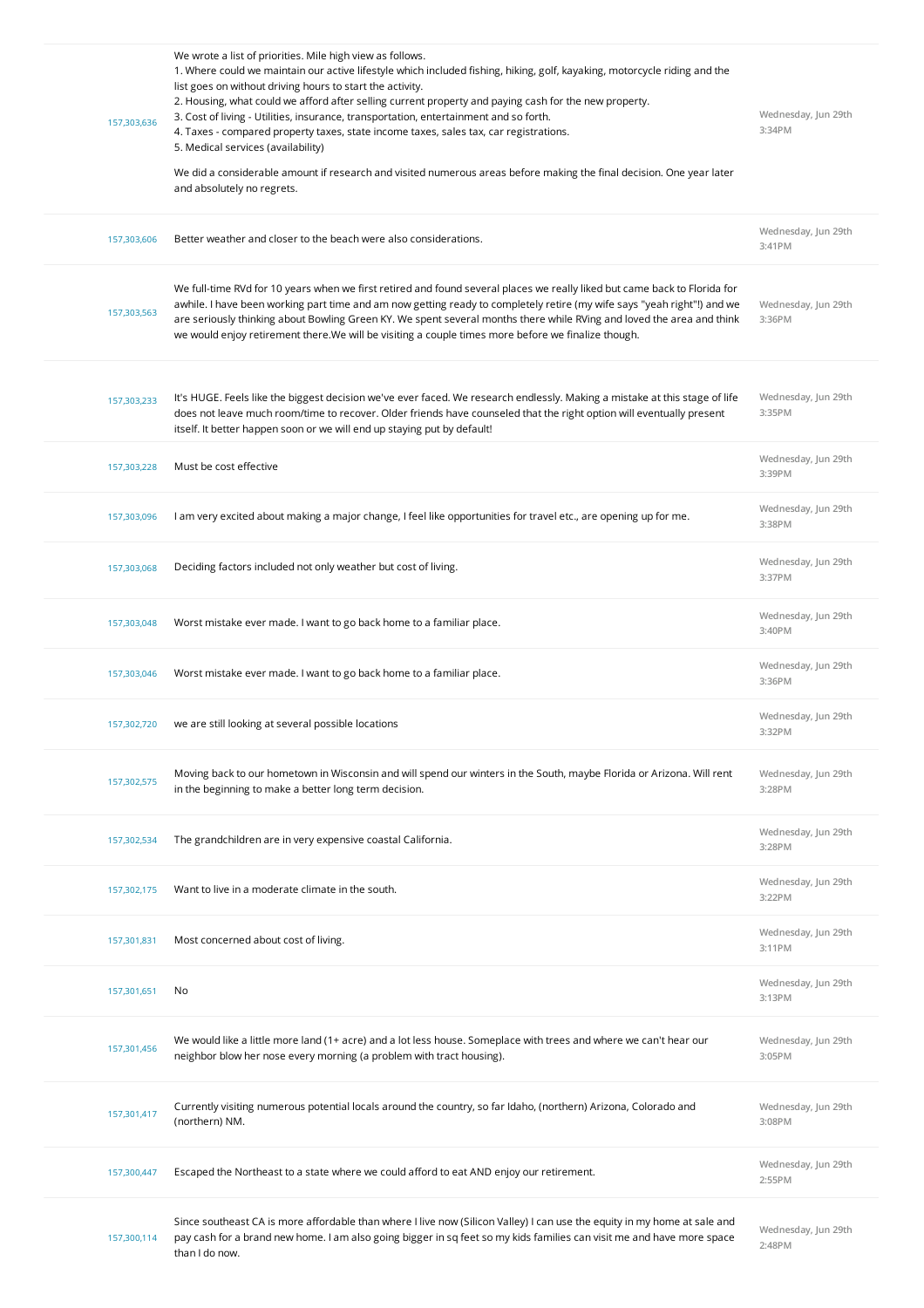| 157,303,636 | We wrote a list of priorities. Mile high view as follows.<br>1. Where could we maintain our active lifestyle which included fishing, hiking, golf, kayaking, motorcycle riding and the<br>list goes on without driving hours to start the activity.<br>2. Housing, what could we afford after selling current property and paying cash for the new property.<br>3. Cost of living - Utilities, insurance, transportation, entertainment and so forth.<br>4. Taxes - compared property taxes, state income taxes, sales tax, car registrations.<br>5. Medical services (availability)<br>We did a considerable amount if research and visited numerous areas before making the final decision. One year later<br>and absolutely no regrets. | Wednesday, Jun 29th<br>3:34PM |
|-------------|--------------------------------------------------------------------------------------------------------------------------------------------------------------------------------------------------------------------------------------------------------------------------------------------------------------------------------------------------------------------------------------------------------------------------------------------------------------------------------------------------------------------------------------------------------------------------------------------------------------------------------------------------------------------------------------------------------------------------------------------|-------------------------------|
| 157,303,606 | Better weather and closer to the beach were also considerations.                                                                                                                                                                                                                                                                                                                                                                                                                                                                                                                                                                                                                                                                           | Wednesday, Jun 29th<br>3:41PM |
| 157,303,563 | We full-time RVd for 10 years when we first retired and found several places we really liked but came back to Florida for<br>awhile. I have been working part time and am now getting ready to completely retire (my wife says "yeah right"!) and we<br>are seriously thinking about Bowling Green KY. We spent several months there while RVing and loved the area and think<br>we would enjoy retirement there. We will be visiting a couple times more before we finalize though.                                                                                                                                                                                                                                                       | Wednesday, Jun 29th<br>3:36PM |
| 157,303,233 | It's HUGE. Feels like the biggest decision we've ever faced. We research endlessly. Making a mistake at this stage of life<br>does not leave much room/time to recover. Older friends have counseled that the right option will eventually present<br>itself. It better happen soon or we will end up staying put by default!                                                                                                                                                                                                                                                                                                                                                                                                              | Wednesday, Jun 29th<br>3:35PM |
| 157,303,228 | Must be cost effective                                                                                                                                                                                                                                                                                                                                                                                                                                                                                                                                                                                                                                                                                                                     | Wednesday, Jun 29th<br>3:39PM |
| 157,303,096 | I am very excited about making a major change, I feel like opportunities for travel etc., are opening up for me.                                                                                                                                                                                                                                                                                                                                                                                                                                                                                                                                                                                                                           | Wednesday, Jun 29th<br>3:38PM |
| 157,303,068 | Deciding factors included not only weather but cost of living.                                                                                                                                                                                                                                                                                                                                                                                                                                                                                                                                                                                                                                                                             | Wednesday, Jun 29th<br>3:37PM |
| 157,303,048 | Worst mistake ever made. I want to go back home to a familiar place.                                                                                                                                                                                                                                                                                                                                                                                                                                                                                                                                                                                                                                                                       | Wednesday, Jun 29th<br>3:40PM |
| 157,303,046 | Worst mistake ever made. I want to go back home to a familiar place.                                                                                                                                                                                                                                                                                                                                                                                                                                                                                                                                                                                                                                                                       | Wednesday, Jun 29th<br>3:36PM |
| 157,302,720 | we are still looking at several possible locations                                                                                                                                                                                                                                                                                                                                                                                                                                                                                                                                                                                                                                                                                         | Wednesday, Jun 29th<br>3:32PM |
| 157,302,575 | Moving back to our hometown in Wisconsin and will spend our winters in the South, maybe Florida or Arizona. Will rent<br>in the beginning to make a better long term decision.                                                                                                                                                                                                                                                                                                                                                                                                                                                                                                                                                             | Wednesday, Jun 29th<br>3:28PM |
| 157,302,534 | The grandchildren are in very expensive coastal California.                                                                                                                                                                                                                                                                                                                                                                                                                                                                                                                                                                                                                                                                                | Wednesday, Jun 29th<br>3:28PM |
| 157,302,175 | Want to live in a moderate climate in the south.                                                                                                                                                                                                                                                                                                                                                                                                                                                                                                                                                                                                                                                                                           | Wednesday, Jun 29th<br>3:22PM |
| 157,301,831 | Most concerned about cost of living.                                                                                                                                                                                                                                                                                                                                                                                                                                                                                                                                                                                                                                                                                                       | Wednesday, Jun 29th<br>3:11PM |
| 157,301,651 | No                                                                                                                                                                                                                                                                                                                                                                                                                                                                                                                                                                                                                                                                                                                                         | Wednesday, Jun 29th<br>3:13PM |
| 157,301,456 | We would like a little more land (1+ acre) and a lot less house. Someplace with trees and where we can't hear our<br>neighbor blow her nose every morning (a problem with tract housing).                                                                                                                                                                                                                                                                                                                                                                                                                                                                                                                                                  | Wednesday, Jun 29th<br>3:05PM |
| 157,301,417 | Currently visiting numerous potential locals around the country, so far Idaho, (northern) Arizona, Colorado and<br>(northern) NM.                                                                                                                                                                                                                                                                                                                                                                                                                                                                                                                                                                                                          | Wednesday, Jun 29th<br>3:08PM |
| 157,300,447 | Escaped the Northeast to a state where we could afford to eat AND enjoy our retirement.                                                                                                                                                                                                                                                                                                                                                                                                                                                                                                                                                                                                                                                    | Wednesday, Jun 29th<br>2:55PM |
| 157,300,114 | Since southeast CA is more affordable than where I live now (Silicon Valley) I can use the equity in my home at sale and<br>pay cash for a brand new home. I am also going bigger in sq feet so my kids families can visit me and have more space<br>than I do now.                                                                                                                                                                                                                                                                                                                                                                                                                                                                        | Wednesday, Jun 29th<br>2:48PM |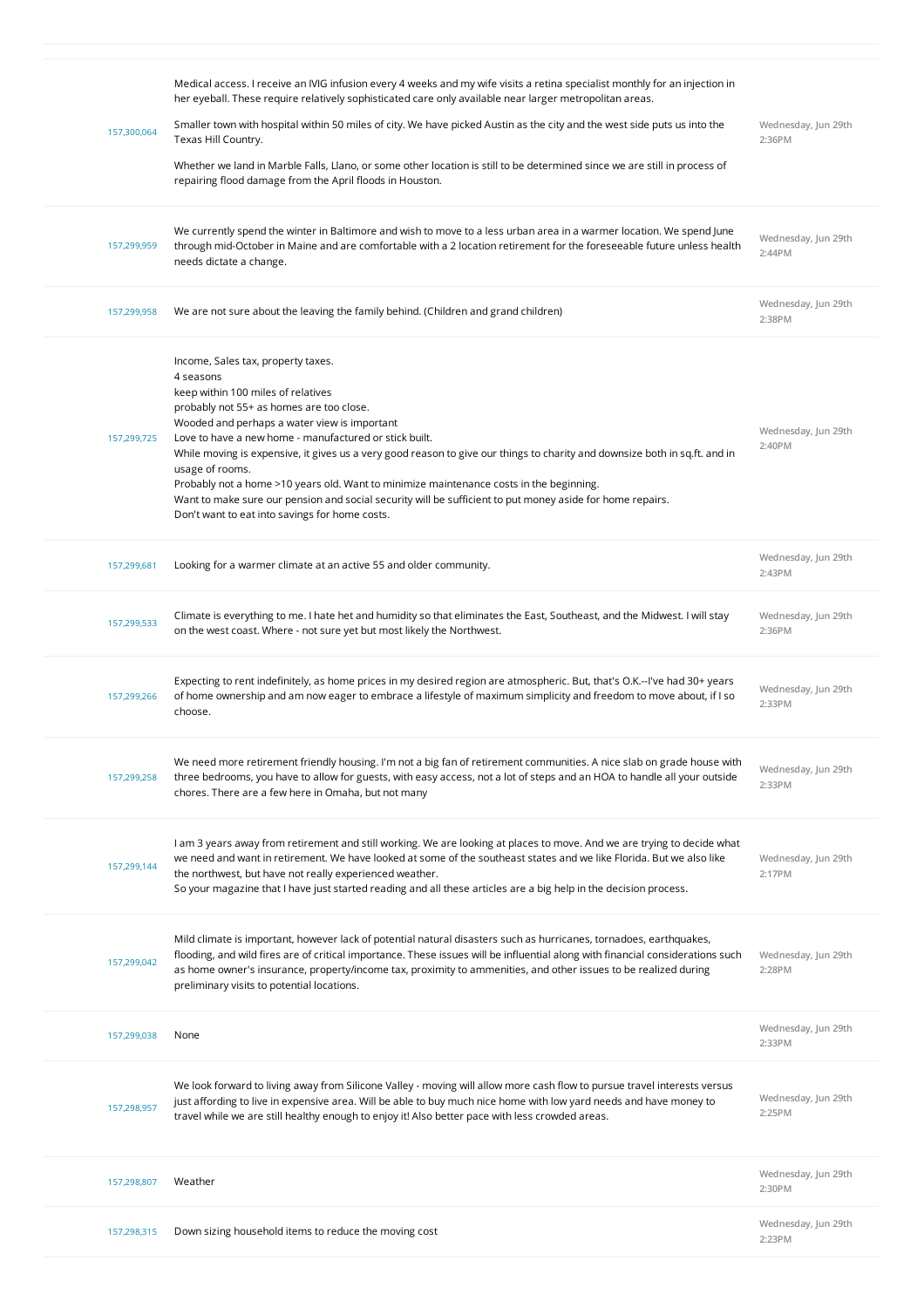| 157,300,064 | Medical access. I receive an IVIG infusion every 4 weeks and my wife visits a retina specialist monthly for an injection in<br>her eyeball. These require relatively sophisticated care only available near larger metropolitan areas.<br>Smaller town with hospital within 50 miles of city. We have picked Austin as the city and the west side puts us into the<br>Texas Hill Country.<br>Whether we land in Marble Falls, Llano, or some other location is still to be determined since we are still in process of<br>repairing flood damage from the April floods in Houston.                                                                     | Wednesday, Jun 29th<br>2:36PM |
|-------------|--------------------------------------------------------------------------------------------------------------------------------------------------------------------------------------------------------------------------------------------------------------------------------------------------------------------------------------------------------------------------------------------------------------------------------------------------------------------------------------------------------------------------------------------------------------------------------------------------------------------------------------------------------|-------------------------------|
| 157,299,959 | We currently spend the winter in Baltimore and wish to move to a less urban area in a warmer location. We spend June<br>through mid-October in Maine and are comfortable with a 2 location retirement for the foreseeable future unless health<br>needs dictate a change.                                                                                                                                                                                                                                                                                                                                                                              | Wednesday, Jun 29th<br>2:44PM |
| 157,299,958 | We are not sure about the leaving the family behind. (Children and grand children)                                                                                                                                                                                                                                                                                                                                                                                                                                                                                                                                                                     | Wednesday, Jun 29th<br>2:38PM |
| 157,299,725 | Income, Sales tax, property taxes.<br>4 seasons<br>keep within 100 miles of relatives<br>probably not 55+ as homes are too close.<br>Wooded and perhaps a water view is important<br>Love to have a new home - manufactured or stick built.<br>While moving is expensive, it gives us a very good reason to give our things to charity and downsize both in sq.ft. and in<br>usage of rooms.<br>Probably not a home >10 years old. Want to minimize maintenance costs in the beginning.<br>Want to make sure our pension and social security will be sufficient to put money aside for home repairs.<br>Don't want to eat into savings for home costs. | Wednesday, Jun 29th<br>2:40PM |
| 157,299,681 | Looking for a warmer climate at an active 55 and older community.                                                                                                                                                                                                                                                                                                                                                                                                                                                                                                                                                                                      | Wednesday, Jun 29th<br>2:43PM |
| 157,299,533 | Climate is everything to me. I hate het and humidity so that eliminates the East, Southeast, and the Midwest. I will stay<br>on the west coast. Where - not sure yet but most likely the Northwest.                                                                                                                                                                                                                                                                                                                                                                                                                                                    | Wednesday, Jun 29th<br>2:36PM |
| 157,299,266 | Expecting to rent indefinitely, as home prices in my desired region are atmospheric. But, that's O.K.--I've had 30+ years<br>of home ownership and am now eager to embrace a lifestyle of maximum simplicity and freedom to move about, if I so<br>choose.                                                                                                                                                                                                                                                                                                                                                                                             | Wednesday, Jun 29th<br>2:33PM |
|             |                                                                                                                                                                                                                                                                                                                                                                                                                                                                                                                                                                                                                                                        |                               |
| 157,299,258 | We need more retirement friendly housing. I'm not a big fan of retirement communities. A nice slab on grade house with<br>three bedrooms, you have to allow for guests, with easy access, not a lot of steps and an HOA to handle all your outside<br>chores. There are a few here in Omaha, but not many                                                                                                                                                                                                                                                                                                                                              | Wednesday, Jun 29th<br>2:33PM |
| 157,299,144 | I am 3 years away from retirement and still working. We are looking at places to move. And we are trying to decide what<br>we need and want in retirement. We have looked at some of the southeast states and we like Florida. But we also like<br>the northwest, but have not really experienced weather.<br>So your magazine that I have just started reading and all these articles are a big help in the decision process.                                                                                                                                                                                                                         | Wednesday, Jun 29th<br>2:17PM |
| 157,299,042 | Mild climate is important, however lack of potential natural disasters such as hurricanes, tornadoes, earthquakes,<br>flooding, and wild fires are of critical importance. These issues will be influential along with financial considerations such<br>as home owner's insurance, property/income tax, proximity to ammenities, and other issues to be realized during<br>preliminary visits to potential locations.                                                                                                                                                                                                                                  | Wednesday, Jun 29th<br>2:28PM |
| 157,299,038 | None                                                                                                                                                                                                                                                                                                                                                                                                                                                                                                                                                                                                                                                   | Wednesday, Jun 29th<br>2:33PM |
| 157,298,957 | We look forward to living away from Silicone Valley - moving will allow more cash flow to pursue travel interests versus<br>just affording to live in expensive area. Will be able to buy much nice home with low yard needs and have money to<br>travel while we are still healthy enough to enjoy it! Also better pace with less crowded areas.                                                                                                                                                                                                                                                                                                      | Wednesday, Jun 29th<br>2:25PM |
| 157,298,807 | Weather                                                                                                                                                                                                                                                                                                                                                                                                                                                                                                                                                                                                                                                | Wednesday, Jun 29th<br>2:30PM |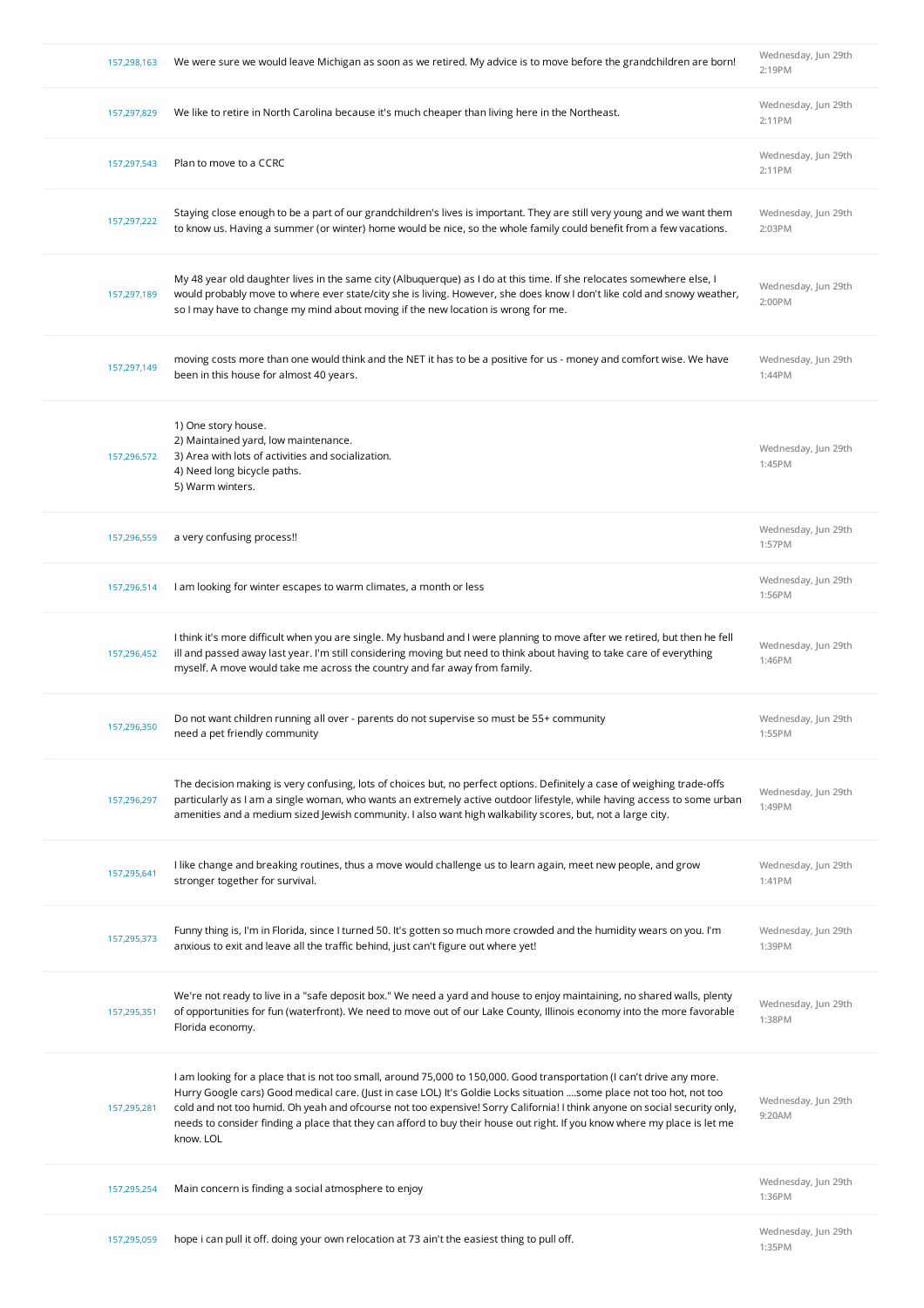| 157,298,163 | We were sure we would leave Michigan as soon as we retired. My advice is to move before the grandchildren are born!                                                                                                                                                                                                                                                                                                                                                                                                   | Wednesday, Jun 29th<br>2:19PM |
|-------------|-----------------------------------------------------------------------------------------------------------------------------------------------------------------------------------------------------------------------------------------------------------------------------------------------------------------------------------------------------------------------------------------------------------------------------------------------------------------------------------------------------------------------|-------------------------------|
| 157,297,829 | We like to retire in North Carolina because it's much cheaper than living here in the Northeast.                                                                                                                                                                                                                                                                                                                                                                                                                      | Wednesday, Jun 29th<br>2:11PM |
| 157,297,543 | Plan to move to a CCRC                                                                                                                                                                                                                                                                                                                                                                                                                                                                                                | Wednesday, Jun 29th<br>2:11PM |
| 157,297,222 | Staying close enough to be a part of our grandchildren's lives is important. They are still very young and we want them<br>to know us. Having a summer (or winter) home would be nice, so the whole family could benefit from a few vacations.                                                                                                                                                                                                                                                                        | Wednesday, Jun 29th<br>2:03PM |
| 157,297,189 | My 48 year old daughter lives in the same city (Albuquerque) as I do at this time. If she relocates somewhere else, I<br>would probably move to where ever state/city she is living. However, she does know I don't like cold and snowy weather,<br>so I may have to change my mind about moving if the new location is wrong for me.                                                                                                                                                                                 | Wednesday, Jun 29th<br>2:00PM |
| 157,297,149 | moving costs more than one would think and the NET it has to be a positive for us - money and comfort wise. We have<br>been in this house for almost 40 years.                                                                                                                                                                                                                                                                                                                                                        | Wednesday, Jun 29th<br>1:44PM |
| 157,296,572 | 1) One story house.<br>2) Maintained yard, low maintenance.<br>3) Area with lots of activities and socialization.<br>4) Need long bicycle paths.<br>5) Warm winters.                                                                                                                                                                                                                                                                                                                                                  | Wednesday, Jun 29th<br>1:45PM |
| 157,296,559 | a very confusing process!!                                                                                                                                                                                                                                                                                                                                                                                                                                                                                            | Wednesday, Jun 29th<br>1:57PM |
| 157,296,514 | I am looking for winter escapes to warm climates, a month or less                                                                                                                                                                                                                                                                                                                                                                                                                                                     | Wednesday, Jun 29th<br>1:56PM |
| 157,296,452 | I think it's more difficult when you are single. My husband and I were planning to move after we retired, but then he fell<br>ill and passed away last year. I'm still considering moving but need to think about having to take care of everything<br>myself. A move would take me across the country and far away from family.                                                                                                                                                                                      | Wednesday, Jun 29th<br>1:46PM |
| 157,296,350 | Do not want children running all over - parents do not supervise so must be 55+ community<br>need a pet friendly community                                                                                                                                                                                                                                                                                                                                                                                            | Wednesday, Jun 29th<br>1:55PM |
| 157,296,297 | The decision making is very confusing, lots of choices but, no perfect options. Definitely a case of weighing trade-offs<br>particularly as I am a single woman, who wants an extremely active outdoor lifestyle, while having access to some urban<br>amenities and a medium sized Jewish community. I also want high walkability scores, but, not a large city.                                                                                                                                                     | Wednesday, Jun 29th<br>1:49PM |
| 157,295,641 | I like change and breaking routines, thus a move would challenge us to learn again, meet new people, and grow<br>stronger together for survival.                                                                                                                                                                                                                                                                                                                                                                      | Wednesday, Jun 29th<br>1:41PM |
| 157,295,373 | Funny thing is, I'm in Florida, since I turned 50. It's gotten so much more crowded and the humidity wears on you. I'm<br>anxious to exit and leave all the traffic behind, just can't figure out where yet!                                                                                                                                                                                                                                                                                                          | Wednesday, Jun 29th<br>1:39PM |
| 157,295,351 | We're not ready to live in a "safe deposit box." We need a yard and house to enjoy maintaining, no shared walls, plenty<br>of opportunities for fun (waterfront). We need to move out of our Lake County, Illinois economy into the more favorable<br>Florida economy.                                                                                                                                                                                                                                                | Wednesday, Jun 29th<br>1:38PM |
| 157,295,281 | I am looking for a place that is not too small, around 75,000 to 150,000. Good transportation (I can't drive any more.<br>Hurry Google cars) Good medical care. (Just in case LOL) It's Goldie Locks situation some place not too hot, not too<br>cold and not too humid. Oh yeah and ofcourse not too expensive! Sorry California! I think anyone on social security only,<br>needs to consider finding a place that they can afford to buy their house out right. If you know where my place is let me<br>know. LOL | Wednesday, Jun 29th<br>9:20AM |
| 157,295,254 | Main concern is finding a social atmosphere to enjoy                                                                                                                                                                                                                                                                                                                                                                                                                                                                  | Wednesday, Jun 29th<br>1:36PM |
| 157,295,059 | hope i can pull it off. doing your own relocation at 73 ain't the easiest thing to pull off.                                                                                                                                                                                                                                                                                                                                                                                                                          | Wednesday, Jun 29th<br>1:35PM |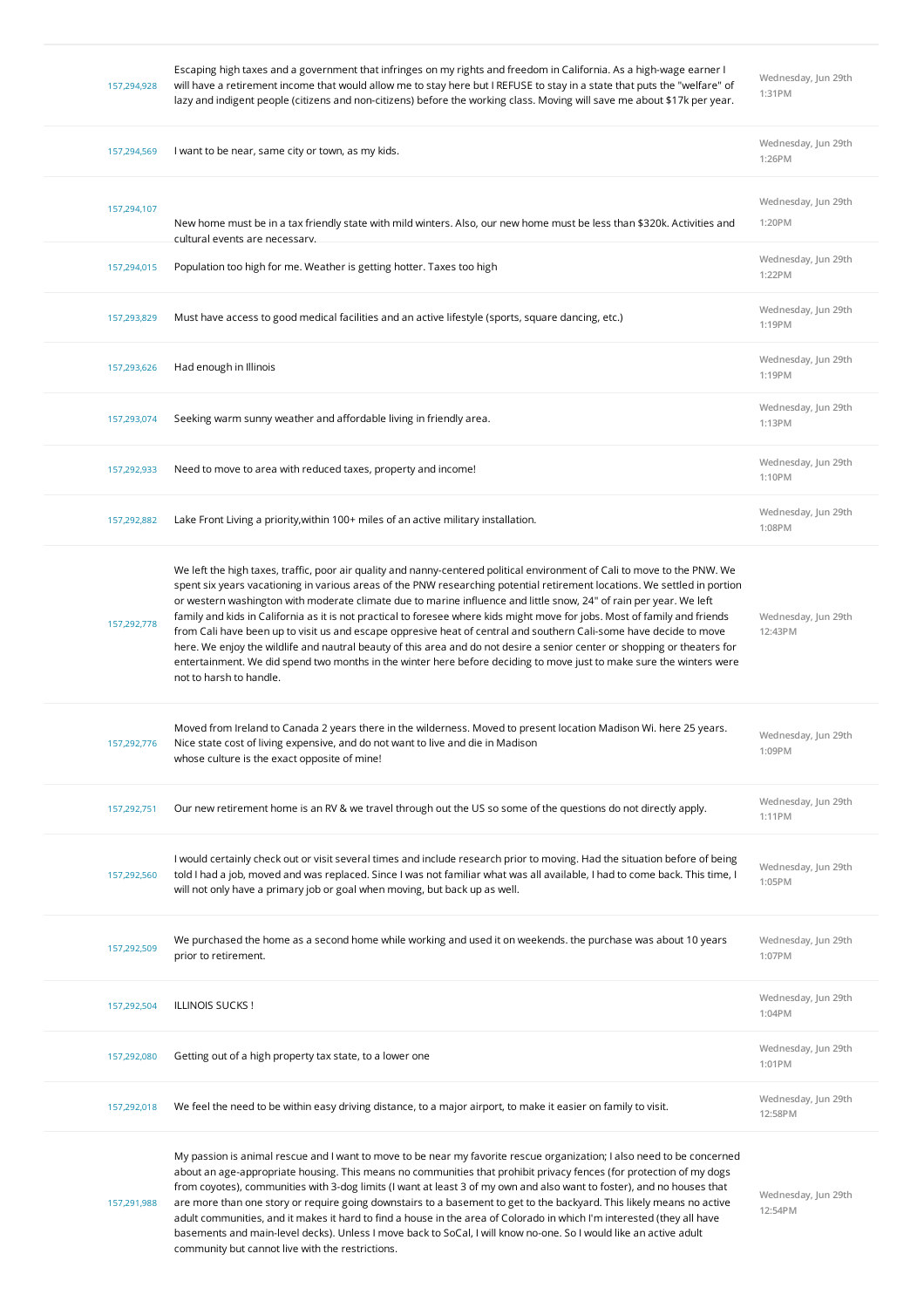| 157,294,928 | Escaping high taxes and a government that infringes on my rights and freedom in California. As a high-wage earner I<br>will have a retirement income that would allow me to stay here but I REFUSE to stay in a state that puts the "welfare" of<br>lazy and indigent people (citizens and non-citizens) before the working class. Moving will save me about \$17k per year.                                                                                                                                                                                                                                                                                                                                                                                                                                                                                                                                     | Wednesday, Jun 29th<br>1:31PM  |
|-------------|------------------------------------------------------------------------------------------------------------------------------------------------------------------------------------------------------------------------------------------------------------------------------------------------------------------------------------------------------------------------------------------------------------------------------------------------------------------------------------------------------------------------------------------------------------------------------------------------------------------------------------------------------------------------------------------------------------------------------------------------------------------------------------------------------------------------------------------------------------------------------------------------------------------|--------------------------------|
| 157,294,569 | I want to be near, same city or town, as my kids.                                                                                                                                                                                                                                                                                                                                                                                                                                                                                                                                                                                                                                                                                                                                                                                                                                                                | Wednesday, Jun 29th<br>1:26PM  |
| 157,294,107 | New home must be in a tax friendly state with mild winters. Also, our new home must be less than \$320k. Activities and<br>cultural events are necessarv.                                                                                                                                                                                                                                                                                                                                                                                                                                                                                                                                                                                                                                                                                                                                                        | Wednesday, Jun 29th<br>1:20PM  |
| 157,294,015 | Population too high for me. Weather is getting hotter. Taxes too high                                                                                                                                                                                                                                                                                                                                                                                                                                                                                                                                                                                                                                                                                                                                                                                                                                            | Wednesday, Jun 29th<br>1:22PM  |
| 157,293,829 | Must have access to good medical facilities and an active lifestyle (sports, square dancing, etc.)                                                                                                                                                                                                                                                                                                                                                                                                                                                                                                                                                                                                                                                                                                                                                                                                               | Wednesday, Jun 29th<br>1:19PM  |
| 157,293,626 | Had enough in Illinois                                                                                                                                                                                                                                                                                                                                                                                                                                                                                                                                                                                                                                                                                                                                                                                                                                                                                           | Wednesday, Jun 29th<br>1:19PM  |
| 157,293,074 | Seeking warm sunny weather and affordable living in friendly area.                                                                                                                                                                                                                                                                                                                                                                                                                                                                                                                                                                                                                                                                                                                                                                                                                                               | Wednesday, Jun 29th<br>1:13PM  |
| 157,292,933 | Need to move to area with reduced taxes, property and income!                                                                                                                                                                                                                                                                                                                                                                                                                                                                                                                                                                                                                                                                                                                                                                                                                                                    | Wednesday, Jun 29th<br>1:10PM  |
| 157,292,882 | Lake Front Living a priority, within 100+ miles of an active military installation.                                                                                                                                                                                                                                                                                                                                                                                                                                                                                                                                                                                                                                                                                                                                                                                                                              | Wednesday, Jun 29th<br>1:08PM  |
| 157,292,778 | We left the high taxes, traffic, poor air quality and nanny-centered political environment of Cali to move to the PNW. We<br>spent six years vacationing in various areas of the PNW researching potential retirement locations. We settled in portion<br>or western washington with moderate climate due to marine influence and little snow, 24" of rain per year. We left<br>family and kids in California as it is not practical to foresee where kids might move for jobs. Most of family and friends<br>from Cali have been up to visit us and escape oppresive heat of central and southern Cali-some have decide to move<br>here. We enjoy the wildlife and nautral beauty of this area and do not desire a senior center or shopping or theaters for<br>entertainment. We did spend two months in the winter here before deciding to move just to make sure the winters were<br>not to harsh to handle. | Wednesday, Jun 29th<br>12:43PM |
| 157,292,776 | Moved from Ireland to Canada 2 years there in the wilderness. Moved to present location Madison Wi. here 25 years.<br>Nice state cost of living expensive, and do not want to live and die in Madison<br>whose culture is the exact opposite of mine!                                                                                                                                                                                                                                                                                                                                                                                                                                                                                                                                                                                                                                                            | Wednesday, Jun 29th<br>1:09PM  |
| 157,292,751 | Our new retirement home is an RV & we travel through out the US so some of the questions do not directly apply.                                                                                                                                                                                                                                                                                                                                                                                                                                                                                                                                                                                                                                                                                                                                                                                                  | Wednesday, Jun 29th<br>1:11PM  |
| 157,292,560 | I would certainly check out or visit several times and include research prior to moving. Had the situation before of being<br>told I had a job, moved and was replaced. Since I was not familiar what was all available, I had to come back. This time, I<br>will not only have a primary job or goal when moving, but back up as well.                                                                                                                                                                                                                                                                                                                                                                                                                                                                                                                                                                          | Wednesday, Jun 29th<br>1:05PM  |
| 157,292,509 | We purchased the home as a second home while working and used it on weekends. the purchase was about 10 years<br>prior to retirement.                                                                                                                                                                                                                                                                                                                                                                                                                                                                                                                                                                                                                                                                                                                                                                            | Wednesday, Jun 29th<br>1:07PM  |
| 157,292,504 | ILLINOIS SUCKS!                                                                                                                                                                                                                                                                                                                                                                                                                                                                                                                                                                                                                                                                                                                                                                                                                                                                                                  | Wednesday, Jun 29th<br>1:04PM  |
| 157,292,080 | Getting out of a high property tax state, to a lower one                                                                                                                                                                                                                                                                                                                                                                                                                                                                                                                                                                                                                                                                                                                                                                                                                                                         | Wednesday, Jun 29th<br>1:01PM  |
| 157,292,018 | We feel the need to be within easy driving distance, to a major airport, to make it easier on family to visit.                                                                                                                                                                                                                                                                                                                                                                                                                                                                                                                                                                                                                                                                                                                                                                                                   | Wednesday, Jun 29th<br>12:58PM |
| 157,291,988 | My passion is animal rescue and I want to move to be near my favorite rescue organization; I also need to be concerned<br>about an age-appropriate housing. This means no communities that prohibit privacy fences (for protection of my dogs<br>from coyotes), communities with 3-dog limits (I want at least 3 of my own and also want to foster), and no houses that<br>are more than one story or require going downstairs to a basement to get to the backyard. This likely means no active<br>adult communities, and it makes it hard to find a house in the area of Colorado in which I'm interested (they all have<br>basements and main-level decks). Unless I move back to SoCal, I will know no-one. So I would like an active adult<br>community but cannot live with the restrictions.                                                                                                              | Wednesday, Jun 29th<br>12:54PM |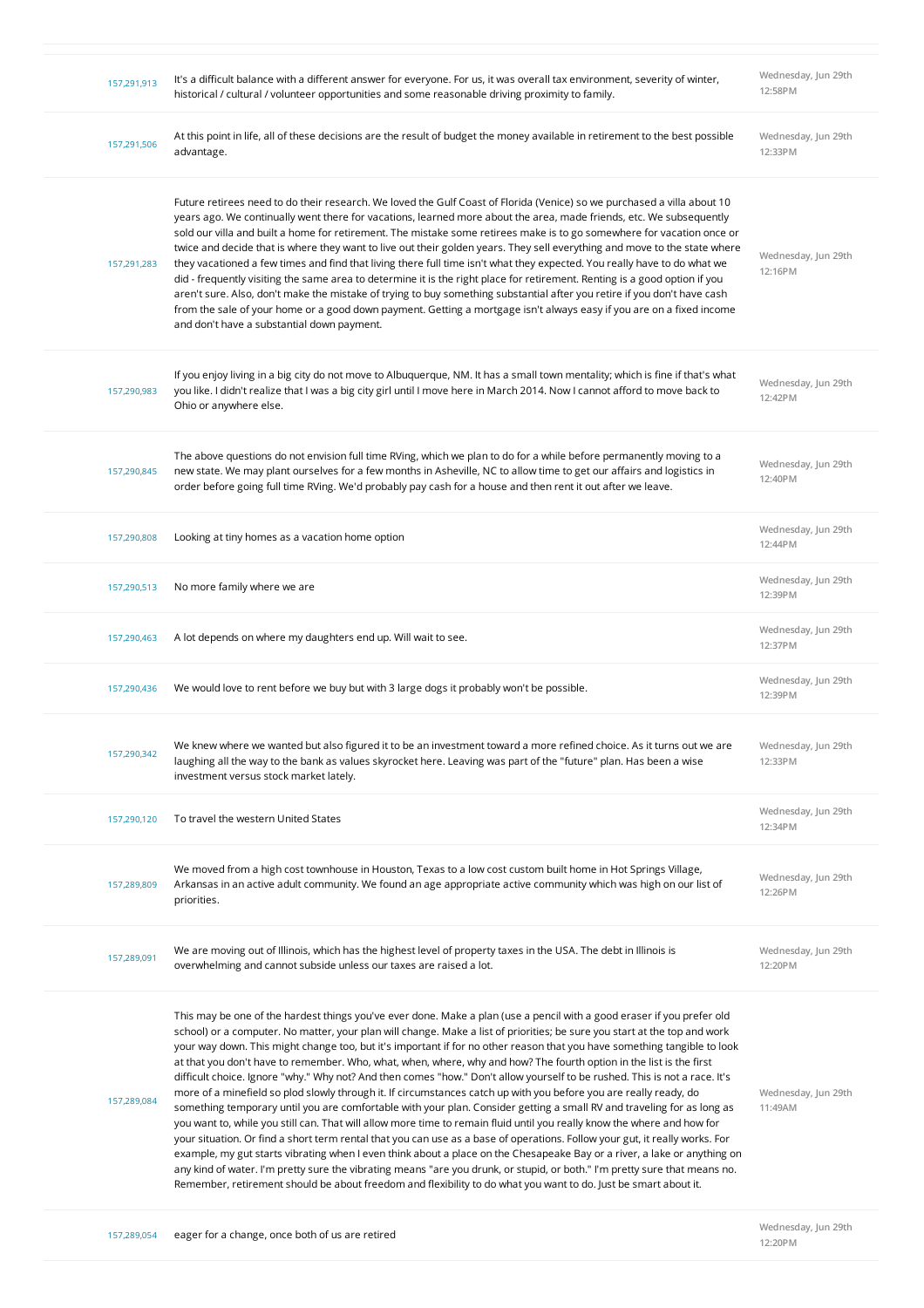| 157,291,913 | It's a difficult balance with a different answer for everyone. For us, it was overall tax environment, severity of winter,<br>historical / cultural / volunteer opportunities and some reasonable driving proximity to family.                                                                                                                                                                                                                                                                                                                                                                                                                                                                                                                                                                                                                                                                                                                                                                                                                                                                                                                                                                                                                                                                                                                                                                                                                                                                                             | Wednesday, Jun 29th<br>12:58PM |
|-------------|----------------------------------------------------------------------------------------------------------------------------------------------------------------------------------------------------------------------------------------------------------------------------------------------------------------------------------------------------------------------------------------------------------------------------------------------------------------------------------------------------------------------------------------------------------------------------------------------------------------------------------------------------------------------------------------------------------------------------------------------------------------------------------------------------------------------------------------------------------------------------------------------------------------------------------------------------------------------------------------------------------------------------------------------------------------------------------------------------------------------------------------------------------------------------------------------------------------------------------------------------------------------------------------------------------------------------------------------------------------------------------------------------------------------------------------------------------------------------------------------------------------------------|--------------------------------|
| 157,291,506 | At this point in life, all of these decisions are the result of budget the money available in retirement to the best possible<br>advantage.                                                                                                                                                                                                                                                                                                                                                                                                                                                                                                                                                                                                                                                                                                                                                                                                                                                                                                                                                                                                                                                                                                                                                                                                                                                                                                                                                                                | Wednesday, Jun 29th<br>12:33PM |
| 157,291,283 | Future retirees need to do their research. We loved the Gulf Coast of Florida (Venice) so we purchased a villa about 10<br>years ago. We continually went there for vacations, learned more about the area, made friends, etc. We subsequently<br>sold our villa and built a home for retirement. The mistake some retirees make is to go somewhere for vacation once or<br>twice and decide that is where they want to live out their golden years. They sell everything and move to the state where<br>they vacationed a few times and find that living there full time isn't what they expected. You really have to do what we<br>did - frequently visiting the same area to determine it is the right place for retirement. Renting is a good option if you<br>aren't sure. Also, don't make the mistake of trying to buy something substantial after you retire if you don't have cash<br>from the sale of your home or a good down payment. Getting a mortgage isn't always easy if you are on a fixed income<br>and don't have a substantial down payment.                                                                                                                                                                                                                                                                                                                                                                                                                                                          | Wednesday, Jun 29th<br>12:16PM |
| 157,290,983 | If you enjoy living in a big city do not move to Albuquerque, NM. It has a small town mentality; which is fine if that's what<br>you like. I didn't realize that I was a big city girl until I move here in March 2014. Now I cannot afford to move back to<br>Ohio or anywhere else.                                                                                                                                                                                                                                                                                                                                                                                                                                                                                                                                                                                                                                                                                                                                                                                                                                                                                                                                                                                                                                                                                                                                                                                                                                      | Wednesday, Jun 29th<br>12:42PM |
| 157,290,845 | The above questions do not envision full time RVing, which we plan to do for a while before permanently moving to a<br>new state. We may plant ourselves for a few months in Asheville, NC to allow time to get our affairs and logistics in<br>order before going full time RVing. We'd probably pay cash for a house and then rent it out after we leave.                                                                                                                                                                                                                                                                                                                                                                                                                                                                                                                                                                                                                                                                                                                                                                                                                                                                                                                                                                                                                                                                                                                                                                | Wednesday, Jun 29th<br>12:40PM |
| 157,290,808 | Looking at tiny homes as a vacation home option                                                                                                                                                                                                                                                                                                                                                                                                                                                                                                                                                                                                                                                                                                                                                                                                                                                                                                                                                                                                                                                                                                                                                                                                                                                                                                                                                                                                                                                                            | Wednesday, Jun 29th<br>12:44PM |
| 157,290,513 | No more family where we are                                                                                                                                                                                                                                                                                                                                                                                                                                                                                                                                                                                                                                                                                                                                                                                                                                                                                                                                                                                                                                                                                                                                                                                                                                                                                                                                                                                                                                                                                                | Wednesday, Jun 29th<br>12:39PM |
| 157,290,463 | A lot depends on where my daughters end up. Will wait to see.                                                                                                                                                                                                                                                                                                                                                                                                                                                                                                                                                                                                                                                                                                                                                                                                                                                                                                                                                                                                                                                                                                                                                                                                                                                                                                                                                                                                                                                              | Wednesday, Jun 29th<br>12:37PM |
| 157,290,436 | We would love to rent before we buy but with 3 large dogs it probably won't be possible.                                                                                                                                                                                                                                                                                                                                                                                                                                                                                                                                                                                                                                                                                                                                                                                                                                                                                                                                                                                                                                                                                                                                                                                                                                                                                                                                                                                                                                   | Wednesday, Jun 29th<br>12:39PM |
| 157,290,342 | We knew where we wanted but also figured it to be an investment toward a more refined choice. As it turns out we are<br>laughing all the way to the bank as values skyrocket here. Leaving was part of the "future" plan. Has been a wise<br>investment versus stock market lately.                                                                                                                                                                                                                                                                                                                                                                                                                                                                                                                                                                                                                                                                                                                                                                                                                                                                                                                                                                                                                                                                                                                                                                                                                                        | Wednesday, Jun 29th<br>12:33PM |
| 157,290,120 | To travel the western United States                                                                                                                                                                                                                                                                                                                                                                                                                                                                                                                                                                                                                                                                                                                                                                                                                                                                                                                                                                                                                                                                                                                                                                                                                                                                                                                                                                                                                                                                                        | Wednesday, Jun 29th<br>12:34PM |
| 157,289,809 | We moved from a high cost townhouse in Houston, Texas to a low cost custom built home in Hot Springs Village,<br>Arkansas in an active adult community. We found an age appropriate active community which was high on our list of<br>priorities.                                                                                                                                                                                                                                                                                                                                                                                                                                                                                                                                                                                                                                                                                                                                                                                                                                                                                                                                                                                                                                                                                                                                                                                                                                                                          | Wednesday, Jun 29th<br>12:26PM |
| 157,289,091 | We are moving out of Illinois, which has the highest level of property taxes in the USA. The debt in Illinois is<br>overwhelming and cannot subside unless our taxes are raised a lot.                                                                                                                                                                                                                                                                                                                                                                                                                                                                                                                                                                                                                                                                                                                                                                                                                                                                                                                                                                                                                                                                                                                                                                                                                                                                                                                                     | Wednesday, Jun 29th<br>12:20PM |
| 157,289,084 | This may be one of the hardest things you've ever done. Make a plan (use a pencil with a good eraser if you prefer old<br>school) or a computer. No matter, your plan will change. Make a list of priorities; be sure you start at the top and work<br>your way down. This might change too, but it's important if for no other reason that you have something tangible to look<br>at that you don't have to remember. Who, what, when, where, why and how? The fourth option in the list is the first<br>difficult choice. Ignore "why." Why not? And then comes "how." Don't allow yourself to be rushed. This is not a race. It's<br>more of a minefield so plod slowly through it. If circumstances catch up with you before you are really ready, do<br>something temporary until you are comfortable with your plan. Consider getting a small RV and traveling for as long as<br>you want to, while you still can. That will allow more time to remain fluid until you really know the where and how for<br>your situation. Or find a short term rental that you can use as a base of operations. Follow your gut, it really works. For<br>example, my gut starts vibrating when I even think about a place on the Chesapeake Bay or a river, a lake or anything on<br>any kind of water. I'm pretty sure the vibrating means "are you drunk, or stupid, or both." I'm pretty sure that means no.<br>Remember, retirement should be about freedom and flexibility to do what you want to do. Just be smart about it. | Wednesday, Jun 29th<br>11:49AM |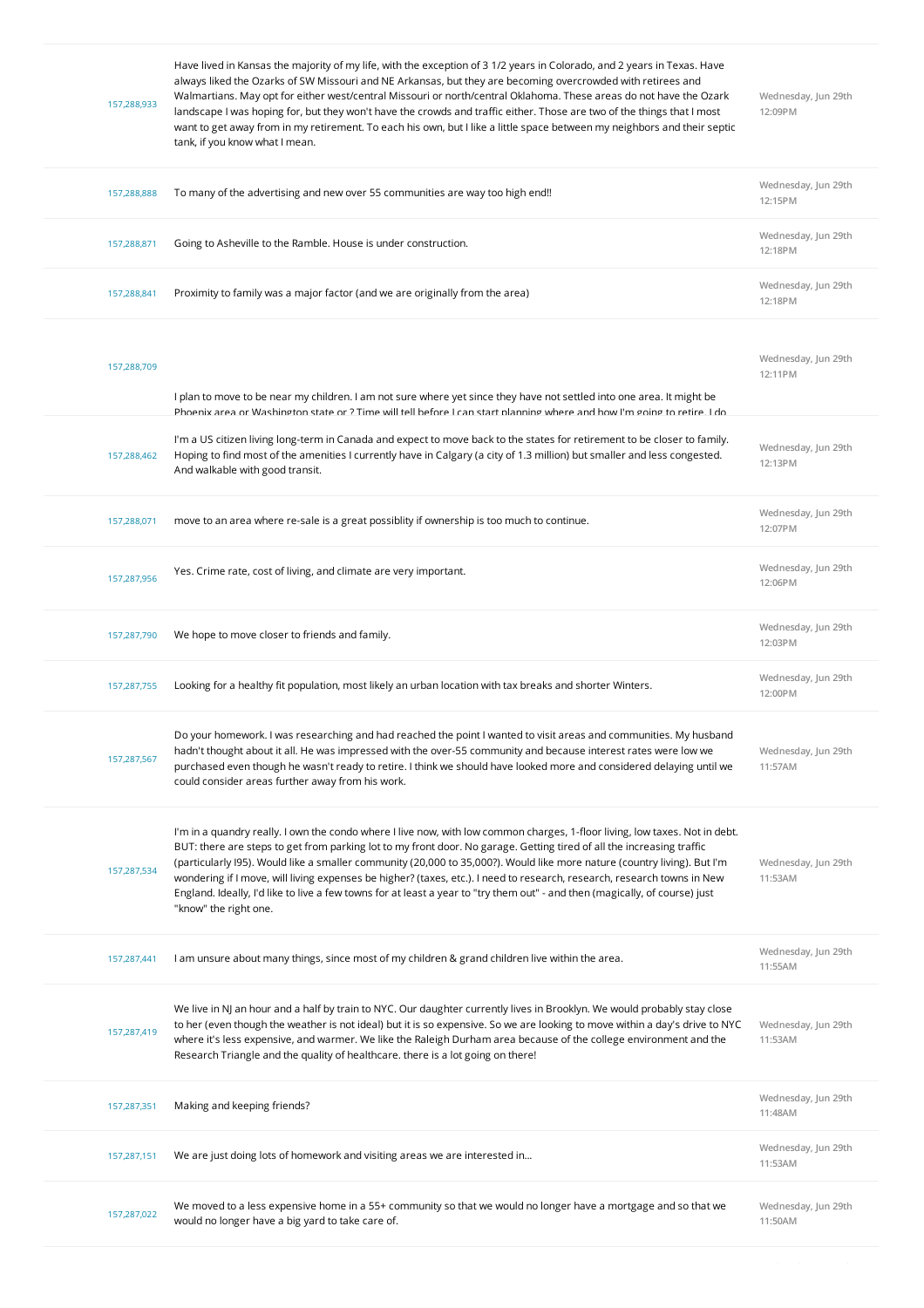| 157,288,933 | Have lived in Kansas the majority of my life, with the exception of 31/2 years in Colorado, and 2 years in Texas. Have<br>always liked the Ozarks of SW Missouri and NE Arkansas, but they are becoming overcrowded with retirees and<br>Walmartians. May opt for either west/central Missouri or north/central Oklahoma. These areas do not have the Ozark<br>landscape I was hoping for, but they won't have the crowds and traffic either. Those are two of the things that I most<br>want to get away from in my retirement. To each his own, but I like a little space between my neighbors and their septic<br>tank, if you know what I mean.                 | Wednesday, Jun 29th<br>12:09PM |
|-------------|---------------------------------------------------------------------------------------------------------------------------------------------------------------------------------------------------------------------------------------------------------------------------------------------------------------------------------------------------------------------------------------------------------------------------------------------------------------------------------------------------------------------------------------------------------------------------------------------------------------------------------------------------------------------|--------------------------------|
| 157,288,888 | To many of the advertising and new over 55 communities are way too high end!!                                                                                                                                                                                                                                                                                                                                                                                                                                                                                                                                                                                       | Wednesday, Jun 29th<br>12:15PM |
| 157,288,871 | Going to Asheville to the Ramble. House is under construction.                                                                                                                                                                                                                                                                                                                                                                                                                                                                                                                                                                                                      | Wednesday, Jun 29th<br>12:18PM |
| 157,288,841 | Proximity to family was a major factor (and we are originally from the area)                                                                                                                                                                                                                                                                                                                                                                                                                                                                                                                                                                                        | Wednesday, Jun 29th<br>12:18PM |
| 157,288,709 | I plan to move to be near my children. I am not sure where yet since they have not settled into one area. It might be<br>Phoenix area or Washington state or ? Time will tell before Lcan start planning where and how I'm going to retire I do                                                                                                                                                                                                                                                                                                                                                                                                                     | Wednesday, Jun 29th<br>12:11PM |
| 157,288,462 | I'm a US citizen living long-term in Canada and expect to move back to the states for retirement to be closer to family.<br>Hoping to find most of the amenities I currently have in Calgary (a city of 1.3 million) but smaller and less congested.<br>And walkable with good transit.                                                                                                                                                                                                                                                                                                                                                                             | Wednesday, Jun 29th<br>12:13PM |
| 157,288,071 | move to an area where re-sale is a great possiblity if ownership is too much to continue.                                                                                                                                                                                                                                                                                                                                                                                                                                                                                                                                                                           | Wednesday, Jun 29th<br>12:07PM |
| 157,287,956 | Yes. Crime rate, cost of living, and climate are very important.                                                                                                                                                                                                                                                                                                                                                                                                                                                                                                                                                                                                    | Wednesday, Jun 29th<br>12:06PM |
| 157,287,790 | We hope to move closer to friends and family.                                                                                                                                                                                                                                                                                                                                                                                                                                                                                                                                                                                                                       | Wednesday, Jun 29th<br>12:03PM |
| 157,287,755 | Looking for a healthy fit population, most likely an urban location with tax breaks and shorter Winters.                                                                                                                                                                                                                                                                                                                                                                                                                                                                                                                                                            | Wednesday, Jun 29th<br>12:00PM |
| 157,287,567 | Do your homework. I was researching and had reached the point I wanted to visit areas and communities. My husband<br>hadn't thought about it all. He was impressed with the over-55 community and because interest rates were low we<br>purchased even though he wasn't ready to retire. I think we should have looked more and considered delaying until we<br>could consider areas further away from his work.                                                                                                                                                                                                                                                    | Wednesday, Jun 29th<br>11:57AM |
| 157,287,534 | I'm in a quandry really. I own the condo where I live now, with low common charges, 1-floor living, low taxes. Not in debt.<br>BUT: there are steps to get from parking lot to my front door. No garage. Getting tired of all the increasing traffic<br>(particularly I95). Would like a smaller community (20,000 to 35,000?). Would like more nature (country living). But I'm<br>wondering if I move, will living expenses be higher? (taxes, etc.). I need to research, research, research towns in New<br>England. Ideally, I'd like to live a few towns for at least a year to "try them out" - and then (magically, of course) just<br>"know" the right one. | Wednesday, Jun 29th<br>11:53AM |
| 157,287,441 | I am unsure about many things, since most of my children & grand children live within the area.                                                                                                                                                                                                                                                                                                                                                                                                                                                                                                                                                                     | Wednesday, Jun 29th<br>11:55AM |
| 157,287,419 | We live in NJ an hour and a half by train to NYC. Our daughter currently lives in Brooklyn. We would probably stay close<br>to her (even though the weather is not ideal) but it is so expensive. So we are looking to move within a day's drive to NYC<br>where it's less expensive, and warmer. We like the Raleigh Durham area because of the college environment and the<br>Research Triangle and the quality of healthcare. there is a lot going on there!                                                                                                                                                                                                     | Wednesday, Jun 29th<br>11:53AM |
| 157,287,351 | Making and keeping friends?                                                                                                                                                                                                                                                                                                                                                                                                                                                                                                                                                                                                                                         | Wednesday, Jun 29th<br>11:48AM |
| 157,287,151 | We are just doing lots of homework and visiting areas we are interested in                                                                                                                                                                                                                                                                                                                                                                                                                                                                                                                                                                                          | Wednesday, Jun 29th<br>11:53AM |
| 157,287,022 | We moved to a less expensive home in a 55+ community so that we would no longer have a mortgage and so that we<br>would no longer have a big yard to take care of.                                                                                                                                                                                                                                                                                                                                                                                                                                                                                                  | Wednesday, Jun 29th<br>11:50AM |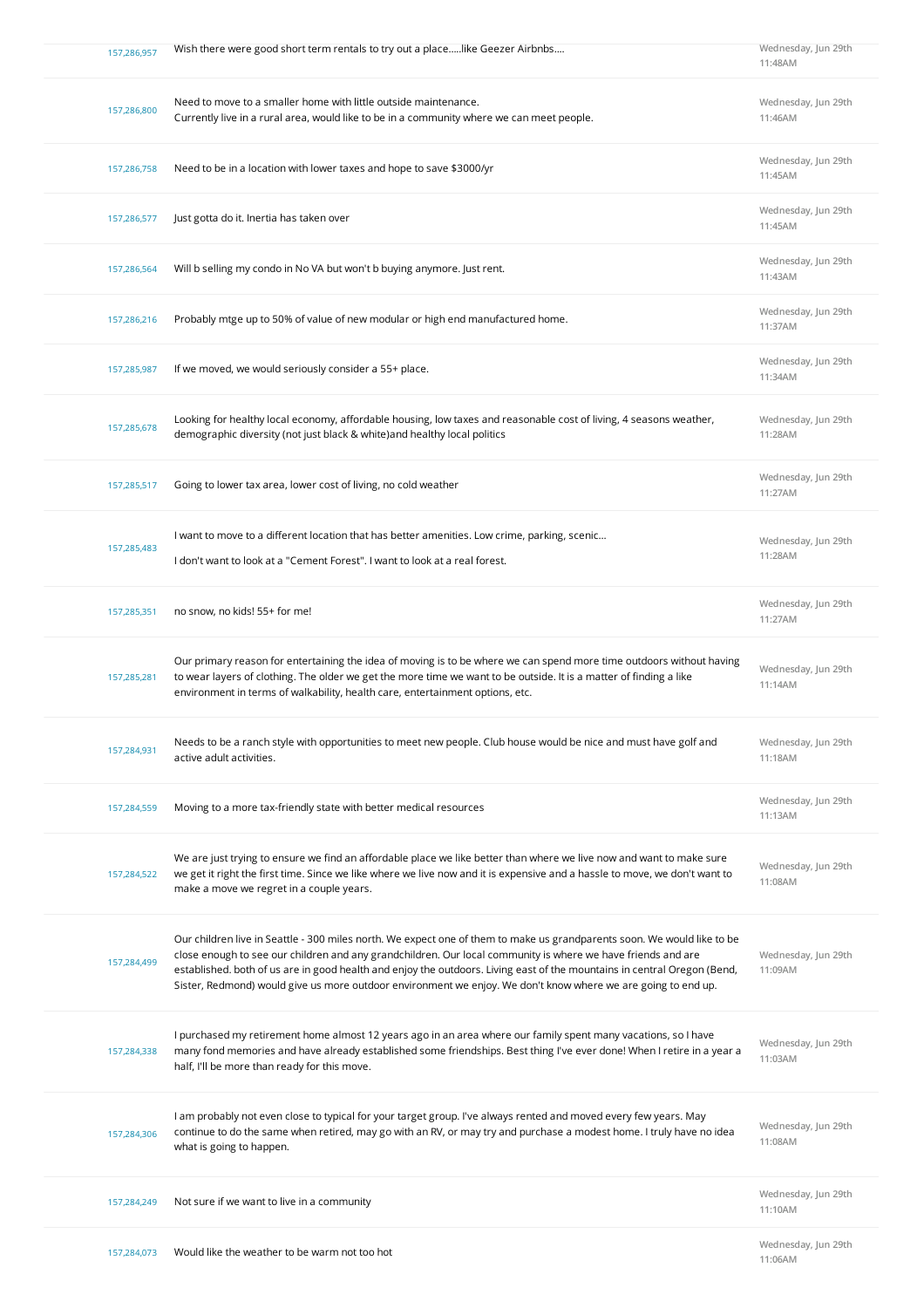| 157,286,957 | Wish there were good short term rentals to try out a placelike Geezer Airbnbs                                                                                                                                                                                                                                                                                                                                                                                                        | Wednesday, Jun 29th<br>11:48AM |
|-------------|--------------------------------------------------------------------------------------------------------------------------------------------------------------------------------------------------------------------------------------------------------------------------------------------------------------------------------------------------------------------------------------------------------------------------------------------------------------------------------------|--------------------------------|
| 157,286,800 | Need to move to a smaller home with little outside maintenance.<br>Currently live in a rural area, would like to be in a community where we can meet people.                                                                                                                                                                                                                                                                                                                         | Wednesday, Jun 29th<br>11:46AM |
| 157,286,758 | Need to be in a location with lower taxes and hope to save \$3000/yr                                                                                                                                                                                                                                                                                                                                                                                                                 | Wednesday, Jun 29th<br>11:45AM |
| 157,286,577 | Just gotta do it. Inertia has taken over                                                                                                                                                                                                                                                                                                                                                                                                                                             | Wednesday, Jun 29th<br>11:45AM |
| 157,286,564 | Will b selling my condo in No VA but won't b buying anymore. Just rent.                                                                                                                                                                                                                                                                                                                                                                                                              | Wednesday, Jun 29th<br>11:43AM |
| 157,286,216 | Probably mtge up to 50% of value of new modular or high end manufactured home.                                                                                                                                                                                                                                                                                                                                                                                                       | Wednesday, Jun 29th<br>11:37AM |
| 157,285,987 | If we moved, we would seriously consider a 55+ place.                                                                                                                                                                                                                                                                                                                                                                                                                                | Wednesday, Jun 29th<br>11:34AM |
| 157,285,678 | Looking for healthy local economy, affordable housing, low taxes and reasonable cost of living, 4 seasons weather,<br>demographic diversity (not just black & white) and healthy local politics                                                                                                                                                                                                                                                                                      | Wednesday, Jun 29th<br>11:28AM |
| 157,285,517 | Going to lower tax area, lower cost of living, no cold weather                                                                                                                                                                                                                                                                                                                                                                                                                       | Wednesday, Jun 29th<br>11:27AM |
| 157,285,483 | I want to move to a different location that has better amenities. Low crime, parking, scenic<br>I don't want to look at a "Cement Forest". I want to look at a real forest.                                                                                                                                                                                                                                                                                                          | Wednesday, Jun 29th<br>11:28AM |
| 157,285,351 | no snow, no kids! 55+ for me!                                                                                                                                                                                                                                                                                                                                                                                                                                                        | Wednesday, Jun 29th<br>11:27AM |
| 157,285,281 | Our primary reason for entertaining the idea of moving is to be where we can spend more time outdoors without having<br>to wear layers of clothing. The older we get the more time we want to be outside. It is a matter of finding a like<br>environment in terms of walkability, health care, entertainment options, etc.                                                                                                                                                          | Wednesday, Jun 29th<br>11:14AM |
| 157,284,931 | Needs to be a ranch style with opportunities to meet new people. Club house would be nice and must have golf and<br>active adult activities.                                                                                                                                                                                                                                                                                                                                         | Wednesday, Jun 29th<br>11:18AM |
| 157,284,559 | Moving to a more tax-friendly state with better medical resources                                                                                                                                                                                                                                                                                                                                                                                                                    | Wednesday, Jun 29th<br>11:13AM |
| 157,284,522 | We are just trying to ensure we find an affordable place we like better than where we live now and want to make sure<br>we get it right the first time. Since we like where we live now and it is expensive and a hassle to move, we don't want to<br>make a move we regret in a couple years.                                                                                                                                                                                       | Wednesday, Jun 29th<br>11:08AM |
| 157,284,499 | Our children live in Seattle - 300 miles north. We expect one of them to make us grandparents soon. We would like to be<br>close enough to see our children and any grandchildren. Our local community is where we have friends and are<br>established. both of us are in good health and enjoy the outdoors. Living east of the mountains in central Oregon (Bend,<br>Sister, Redmond) would give us more outdoor environment we enjoy. We don't know where we are going to end up. | Wednesday, Jun 29th<br>11:09AM |
| 157,284,338 | I purchased my retirement home almost 12 years ago in an area where our family spent many vacations, so I have<br>many fond memories and have already established some friendships. Best thing I've ever done! When I retire in a year a<br>half, I'll be more than ready for this move.                                                                                                                                                                                             | Wednesday, Jun 29th<br>11:03AM |
| 157,284,306 | I am probably not even close to typical for your target group. I've always rented and moved every few years. May<br>continue to do the same when retired, may go with an RV, or may try and purchase a modest home. I truly have no idea<br>what is going to happen.                                                                                                                                                                                                                 | Wednesday, Jun 29th<br>11:08AM |
| 157,284,249 | Not sure if we want to live in a community                                                                                                                                                                                                                                                                                                                                                                                                                                           | Wednesday, Jun 29th<br>11:10AM |
| 157,284,073 | Would like the weather to be warm not too hot                                                                                                                                                                                                                                                                                                                                                                                                                                        | Wednesday, Jun 29th            |

**11:06AM**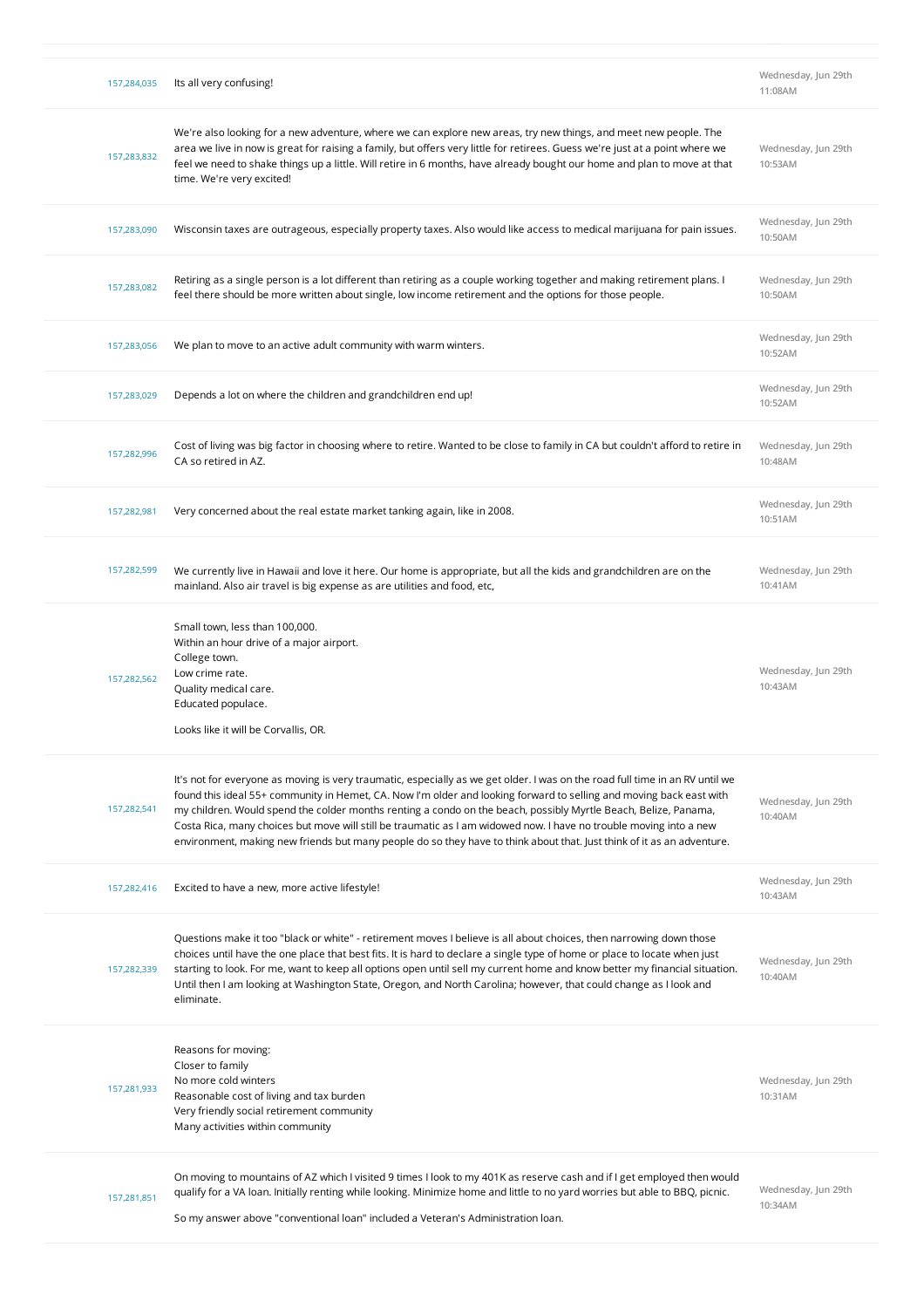| 157,284,035 | Its all very confusing!                                                                                                                                                                                                                                                                                                                                                                                                                                                                                                                                                                                                | Wednesday, Jun 29th<br>11:08AM |
|-------------|------------------------------------------------------------------------------------------------------------------------------------------------------------------------------------------------------------------------------------------------------------------------------------------------------------------------------------------------------------------------------------------------------------------------------------------------------------------------------------------------------------------------------------------------------------------------------------------------------------------------|--------------------------------|
| 157,283,832 | We're also looking for a new adventure, where we can explore new areas, try new things, and meet new people. The<br>area we live in now is great for raising a family, but offers very little for retirees. Guess we're just at a point where we<br>feel we need to shake things up a little. Will retire in 6 months, have already bought our home and plan to move at that<br>time. We're very excited!                                                                                                                                                                                                              | Wednesday, Jun 29th<br>10:53AM |
| 157,283,090 | Wisconsin taxes are outrageous, especially property taxes. Also would like access to medical marijuana for pain issues.                                                                                                                                                                                                                                                                                                                                                                                                                                                                                                | Wednesday, Jun 29th<br>10:50AM |
| 157,283,082 | Retiring as a single person is a lot different than retiring as a couple working together and making retirement plans. I<br>feel there should be more written about single, low income retirement and the options for those people.                                                                                                                                                                                                                                                                                                                                                                                    | Wednesday, Jun 29th<br>10:50AM |
| 157,283,056 | We plan to move to an active adult community with warm winters.                                                                                                                                                                                                                                                                                                                                                                                                                                                                                                                                                        | Wednesday, Jun 29th<br>10:52AM |
| 157,283,029 | Depends a lot on where the children and grandchildren end up!                                                                                                                                                                                                                                                                                                                                                                                                                                                                                                                                                          | Wednesday, Jun 29th<br>10:52AM |
| 157,282,996 | Cost of living was big factor in choosing where to retire. Wanted to be close to family in CA but couldn't afford to retire in<br>CA so retired in AZ.                                                                                                                                                                                                                                                                                                                                                                                                                                                                 | Wednesday, Jun 29th<br>10:48AM |
| 157,282,981 | Very concerned about the real estate market tanking again, like in 2008.                                                                                                                                                                                                                                                                                                                                                                                                                                                                                                                                               | Wednesday, Jun 29th<br>10:51AM |
| 157,282,599 | We currently live in Hawaii and love it here. Our home is appropriate, but all the kids and grandchildren are on the<br>mainland. Also air travel is big expense as are utilities and food, etc,                                                                                                                                                                                                                                                                                                                                                                                                                       | Wednesday, Jun 29th<br>10:41AM |
| 157,282,562 | Small town, less than 100,000.<br>Within an hour drive of a major airport.<br>College town.<br>Low crime rate.<br>Quality medical care.<br>Educated populace.<br>Looks like it will be Corvallis, OR.                                                                                                                                                                                                                                                                                                                                                                                                                  | Wednesday, Jun 29th<br>10:43AM |
| 157,282,541 | It's not for everyone as moving is very traumatic, especially as we get older. I was on the road full time in an RV until we<br>found this ideal 55+ community in Hemet, CA. Now I'm older and looking forward to selling and moving back east with<br>my children. Would spend the colder months renting a condo on the beach, possibly Myrtle Beach, Belize, Panama,<br>Costa Rica, many choices but move will still be traumatic as I am widowed now. I have no trouble moving into a new<br>environment, making new friends but many people do so they have to think about that. Just think of it as an adventure. | Wednesday, Jun 29th<br>10:40AM |
| 157,282,416 | Excited to have a new, more active lifestyle!                                                                                                                                                                                                                                                                                                                                                                                                                                                                                                                                                                          | Wednesday, Jun 29th<br>10:43AM |
| 157,282,339 | Questions make it too "black or white" - retirement moves I believe is all about choices, then narrowing down those<br>choices until have the one place that best fits. It is hard to declare a single type of home or place to locate when just<br>starting to look. For me, want to keep all options open until sell my current home and know better my financial situation.<br>Until then I am looking at Washington State, Oregon, and North Carolina; however, that could change as I look and<br>eliminate.                                                                                                      | Wednesday, Jun 29th<br>10:40AM |
| 157,281,933 | Reasons for moving:<br>Closer to family<br>No more cold winters<br>Reasonable cost of living and tax burden<br>Very friendly social retirement community<br>Many activities within community                                                                                                                                                                                                                                                                                                                                                                                                                           | Wednesday, Jun 29th<br>10:31AM |
| 157,281,851 | On moving to mountains of AZ which I visited 9 times I look to my 401K as reserve cash and if I get employed then would<br>qualify for a VA loan. Initially renting while looking. Minimize home and little to no yard worries but able to BBQ, picnic.<br>So my answer above "conventional loan" included a Veteran's Administration loan.                                                                                                                                                                                                                                                                            | Wednesday, Jun 29th<br>10:34AM |

**11:06AM**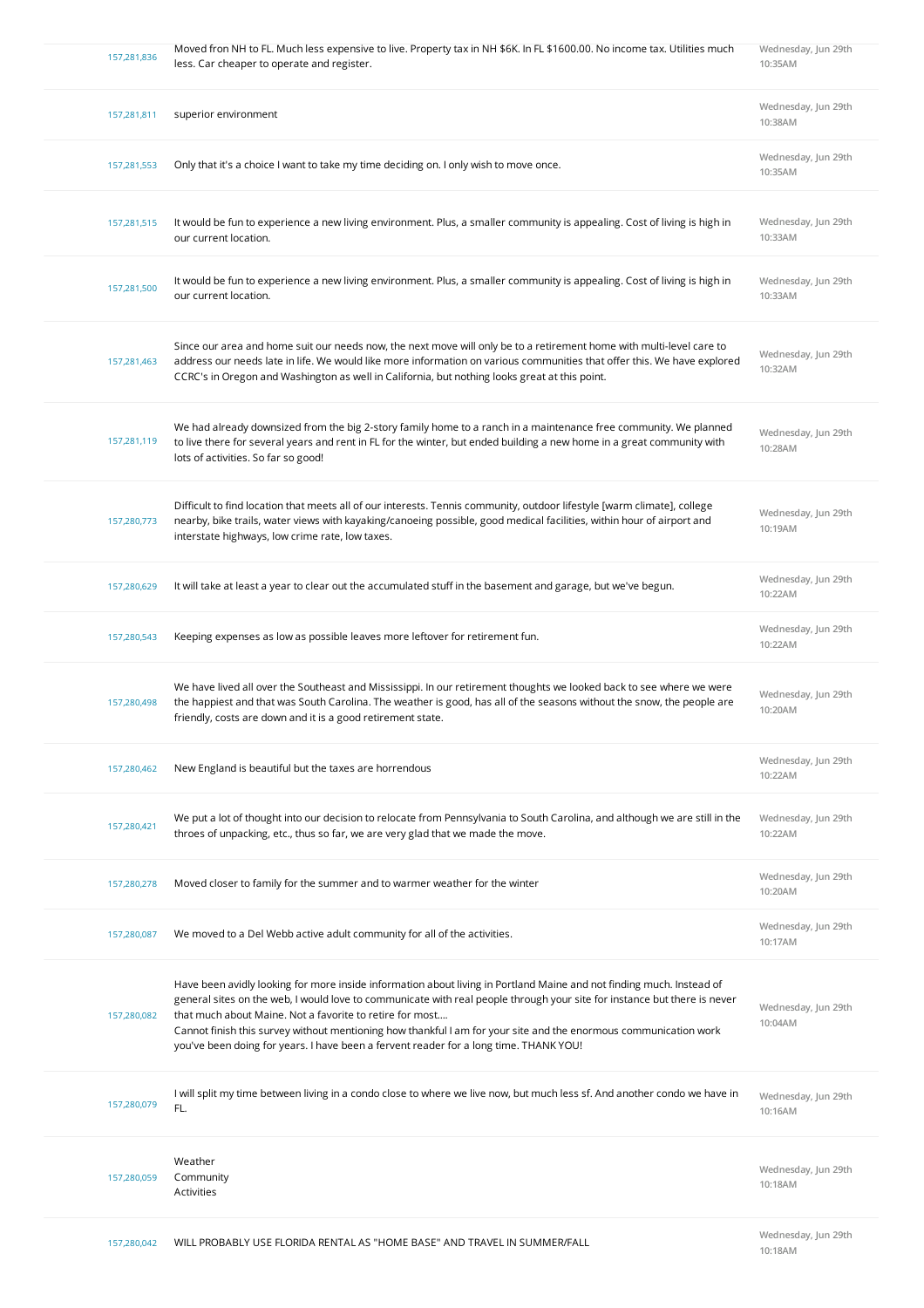| 157,281,836 | Moved fron NH to FL. Much less expensive to live. Property tax in NH \$6K. In FL \$1600.00. No income tax. Utilities much<br>less. Car cheaper to operate and register.                                                                                                                                                                                                                                                                                                                                                   | Wednesday, Jun 29th<br>10:35AM |
|-------------|---------------------------------------------------------------------------------------------------------------------------------------------------------------------------------------------------------------------------------------------------------------------------------------------------------------------------------------------------------------------------------------------------------------------------------------------------------------------------------------------------------------------------|--------------------------------|
| 157,281,811 | superior environment                                                                                                                                                                                                                                                                                                                                                                                                                                                                                                      | Wednesday, Jun 29th<br>10:38AM |
| 157,281,553 | Only that it's a choice I want to take my time deciding on. I only wish to move once.                                                                                                                                                                                                                                                                                                                                                                                                                                     | Wednesday, Jun 29th<br>10:35AM |
| 157,281,515 | It would be fun to experience a new living environment. Plus, a smaller community is appealing. Cost of living is high in<br>our current location.                                                                                                                                                                                                                                                                                                                                                                        | Wednesday, Jun 29th<br>10:33AM |
| 157,281,500 | It would be fun to experience a new living environment. Plus, a smaller community is appealing. Cost of living is high in<br>our current location.                                                                                                                                                                                                                                                                                                                                                                        | Wednesday, Jun 29th<br>10:33AM |
| 157,281,463 | Since our area and home suit our needs now, the next move will only be to a retirement home with multi-level care to<br>address our needs late in life. We would like more information on various communities that offer this. We have explored<br>CCRC's in Oregon and Washington as well in California, but nothing looks great at this point.                                                                                                                                                                          | Wednesday, Jun 29th<br>10:32AM |
| 157,281,119 | We had already downsized from the big 2-story family home to a ranch in a maintenance free community. We planned<br>to live there for several years and rent in FL for the winter, but ended building a new home in a great community with<br>lots of activities. So far so good!                                                                                                                                                                                                                                         | Wednesday, Jun 29th<br>10:28AM |
| 157,280,773 | Difficult to find location that meets all of our interests. Tennis community, outdoor lifestyle [warm climate], college<br>nearby, bike trails, water views with kayaking/canoeing possible, good medical facilities, within hour of airport and<br>interstate highways, low crime rate, low taxes.                                                                                                                                                                                                                       | Wednesday, Jun 29th<br>10:19AM |
| 157,280,629 | It will take at least a year to clear out the accumulated stuff in the basement and garage, but we've begun.                                                                                                                                                                                                                                                                                                                                                                                                              | Wednesday, Jun 29th<br>10:22AM |
| 157,280,543 | Keeping expenses as low as possible leaves more leftover for retirement fun.                                                                                                                                                                                                                                                                                                                                                                                                                                              | Wednesday, Jun 29th<br>10:22AM |
| 157,280,498 | We have lived all over the Southeast and Mississippi. In our retirement thoughts we looked back to see where we were<br>the happiest and that was South Carolina. The weather is good, has all of the seasons without the snow, the people are<br>friendly, costs are down and it is a good retirement state.                                                                                                                                                                                                             | Wednesday, Jun 29th<br>10:20AM |
| 157,280,462 | New England is beautiful but the taxes are horrendous                                                                                                                                                                                                                                                                                                                                                                                                                                                                     | Wednesday, Jun 29th<br>10:22AM |
| 157,280,421 | We put a lot of thought into our decision to relocate from Pennsylvania to South Carolina, and although we are still in the<br>throes of unpacking, etc., thus so far, we are very glad that we made the move.                                                                                                                                                                                                                                                                                                            | Wednesday, Jun 29th<br>10:22AM |
| 157,280,278 | Moved closer to family for the summer and to warmer weather for the winter                                                                                                                                                                                                                                                                                                                                                                                                                                                | Wednesday, Jun 29th<br>10:20AM |
| 157,280,087 | We moved to a Del Webb active adult community for all of the activities.                                                                                                                                                                                                                                                                                                                                                                                                                                                  | Wednesday, Jun 29th<br>10:17AM |
| 157,280,082 | Have been avidly looking for more inside information about living in Portland Maine and not finding much. Instead of<br>general sites on the web, I would love to communicate with real people through your site for instance but there is never<br>that much about Maine. Not a favorite to retire for most<br>Cannot finish this survey without mentioning how thankful I am for your site and the enormous communication work<br>you've been doing for years. I have been a fervent reader for a long time. THANK YOU! | Wednesday, Jun 29th<br>10:04AM |
| 157,280,079 | I will split my time between living in a condo close to where we live now, but much less sf. And another condo we have in<br>FL.                                                                                                                                                                                                                                                                                                                                                                                          | Wednesday, Jun 29th<br>10:16AM |
| 157,280,059 | Weather<br>Community<br>Activities                                                                                                                                                                                                                                                                                                                                                                                                                                                                                        | Wednesday, Jun 29th<br>10:18AM |
|             |                                                                                                                                                                                                                                                                                                                                                                                                                                                                                                                           | Wednesday, Jun 29th            |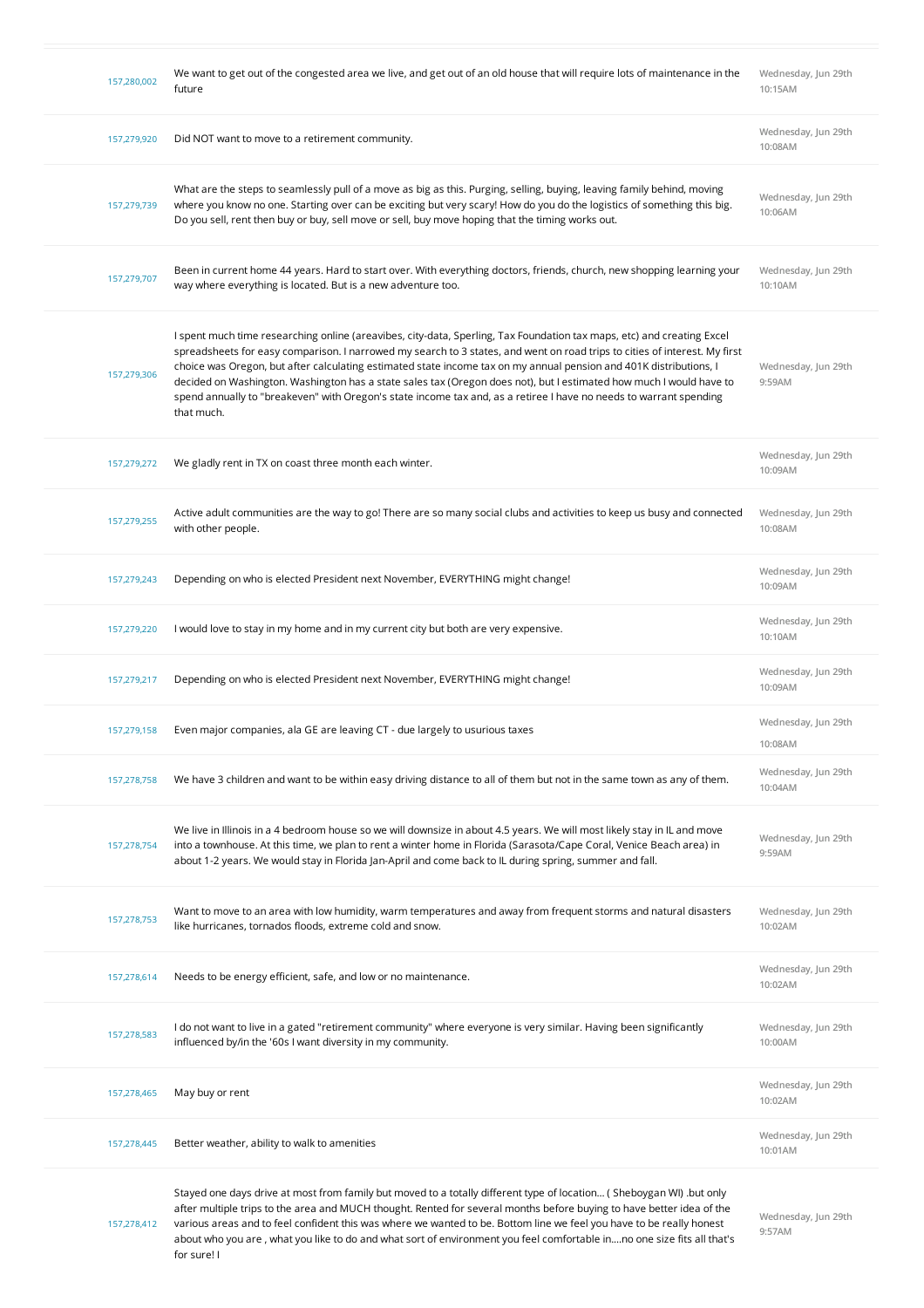| 157,280,002 | We want to get out of the congested area we live, and get out of an old house that will require lots of maintenance in the<br>future                                                                                                                                                                                                                                                                                                                                                                                                                                                                                                  | Wednesday, Jun 29th<br>10:15AM |
|-------------|---------------------------------------------------------------------------------------------------------------------------------------------------------------------------------------------------------------------------------------------------------------------------------------------------------------------------------------------------------------------------------------------------------------------------------------------------------------------------------------------------------------------------------------------------------------------------------------------------------------------------------------|--------------------------------|
| 157,279,920 | Did NOT want to move to a retirement community.                                                                                                                                                                                                                                                                                                                                                                                                                                                                                                                                                                                       | Wednesday, Jun 29th<br>10:08AM |
| 157,279,739 | What are the steps to seamlessly pull of a move as big as this. Purging, selling, buying, leaving family behind, moving<br>where you know no one. Starting over can be exciting but very scary! How do you do the logistics of something this big.<br>Do you sell, rent then buy or buy, sell move or sell, buy move hoping that the timing works out.                                                                                                                                                                                                                                                                                | Wednesday, Jun 29th<br>10:06AM |
| 157,279,707 | Been in current home 44 years. Hard to start over. With everything doctors, friends, church, new shopping learning your<br>way where everything is located. But is a new adventure too.                                                                                                                                                                                                                                                                                                                                                                                                                                               | Wednesday, Jun 29th<br>10:10AM |
| 157,279,306 | I spent much time researching online (areavibes, city-data, Sperling, Tax Foundation tax maps, etc) and creating Excel<br>spreadsheets for easy comparison. I narrowed my search to 3 states, and went on road trips to cities of interest. My first<br>choice was Oregon, but after calculating estimated state income tax on my annual pension and 401K distributions, I<br>decided on Washington. Washington has a state sales tax (Oregon does not), but I estimated how much I would have to<br>spend annually to "breakeven" with Oregon's state income tax and, as a retiree I have no needs to warrant spending<br>that much. | Wednesday, Jun 29th<br>9:59AM  |
| 157,279,272 | We gladly rent in TX on coast three month each winter.                                                                                                                                                                                                                                                                                                                                                                                                                                                                                                                                                                                | Wednesday, Jun 29th<br>10:09AM |
| 157,279,255 | Active adult communities are the way to go! There are so many social clubs and activities to keep us busy and connected<br>with other people.                                                                                                                                                                                                                                                                                                                                                                                                                                                                                         | Wednesday, Jun 29th<br>10:08AM |
| 157,279,243 | Depending on who is elected President next November, EVERYTHING might change!                                                                                                                                                                                                                                                                                                                                                                                                                                                                                                                                                         | Wednesday, Jun 29th<br>10:09AM |
| 157,279,220 | I would love to stay in my home and in my current city but both are very expensive.                                                                                                                                                                                                                                                                                                                                                                                                                                                                                                                                                   | Wednesday, Jun 29th<br>10:10AM |
| 157,279,217 | Depending on who is elected President next November, EVERYTHING might change!                                                                                                                                                                                                                                                                                                                                                                                                                                                                                                                                                         | Wednesday, Jun 29th<br>10:09AM |
| 157,279,158 | Even major companies, ala GE are leaving CT - due largely to usurious taxes                                                                                                                                                                                                                                                                                                                                                                                                                                                                                                                                                           | Wednesday, Jun 29th<br>10:08AM |
| 157,278,758 | We have 3 children and want to be within easy driving distance to all of them but not in the same town as any of them.                                                                                                                                                                                                                                                                                                                                                                                                                                                                                                                | Wednesday, Jun 29th<br>10:04AM |
| 157,278,754 | We live in Illinois in a 4 bedroom house so we will downsize in about 4.5 years. We will most likely stay in IL and move<br>into a townhouse. At this time, we plan to rent a winter home in Florida (Sarasota/Cape Coral, Venice Beach area) in<br>about 1-2 years. We would stay in Florida Jan-April and come back to IL during spring, summer and fall.                                                                                                                                                                                                                                                                           | Wednesday, Jun 29th<br>9:59AM  |
| 157.278.753 | Want to move to an area with low humidity, warm temperatures and away from frequent storms and natural disasters<br>like hurricanes, tornados floods, extreme cold and snow.                                                                                                                                                                                                                                                                                                                                                                                                                                                          | Wednesday, Jun 29th<br>10:02AM |
| 157,278,614 | Needs to be energy efficient, safe, and low or no maintenance.                                                                                                                                                                                                                                                                                                                                                                                                                                                                                                                                                                        | Wednesday, Jun 29th<br>10:02AM |
| 157,278,583 | I do not want to live in a gated "retirement community" where everyone is very similar. Having been significantly<br>influenced by/in the '60s I want diversity in my community.                                                                                                                                                                                                                                                                                                                                                                                                                                                      | Wednesday, Jun 29th<br>10:00AM |
| 157,278,465 | May buy or rent                                                                                                                                                                                                                                                                                                                                                                                                                                                                                                                                                                                                                       | Wednesday, Jun 29th<br>10:02AM |
| 157,278,445 | Better weather, ability to walk to amenities                                                                                                                                                                                                                                                                                                                                                                                                                                                                                                                                                                                          | Wednesday, Jun 29th<br>10:01AM |
| 157,278,412 | Stayed one days drive at most from family but moved to a totally different type of location (Sheboygan WI) but only<br>after multiple trips to the area and MUCH thought. Rented for several months before buying to have better idea of the<br>various areas and to feel confident this was where we wanted to be. Bottom line we feel you have to be really honest<br>about who you are, what you like to do and what sort of environment you feel comfortable inno one size fits all that's<br>for sure! I                                                                                                                         | Wednesday, Jun 29th<br>9:57AM  |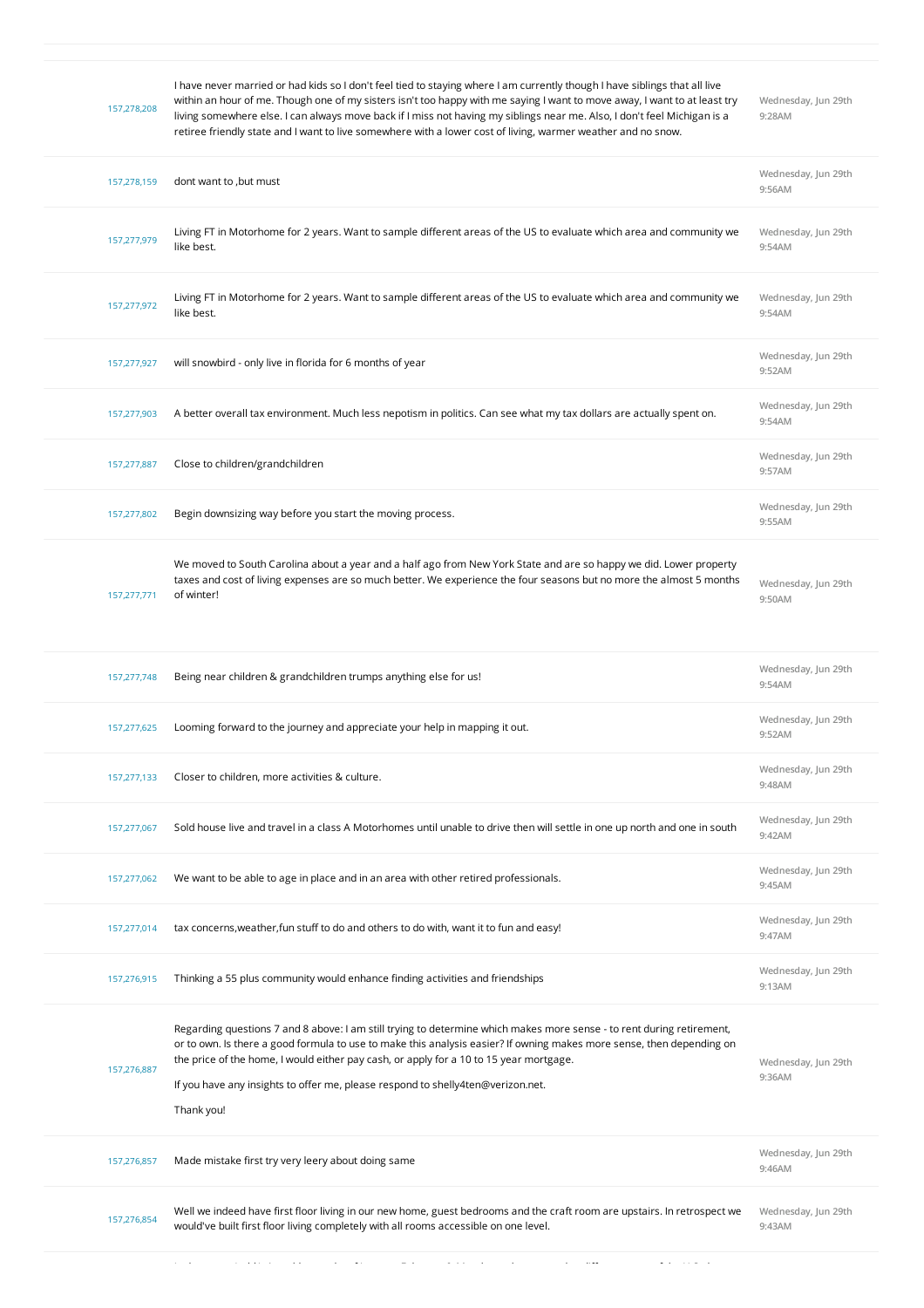| 157,278,208 | I have never married or had kids so I don't feel tied to staying where I am currently though I have siblings that all live<br>within an hour of me. Though one of my sisters isn't too happy with me saying I want to move away, I want to at least try<br>living somewhere else. I can always move back if I miss not having my siblings near me. Also, I don't feel Michigan is a<br>retiree friendly state and I want to live somewhere with a lower cost of living, warmer weather and no snow. | Wednesday, Jun 29th<br>9:28AM |
|-------------|-----------------------------------------------------------------------------------------------------------------------------------------------------------------------------------------------------------------------------------------------------------------------------------------------------------------------------------------------------------------------------------------------------------------------------------------------------------------------------------------------------|-------------------------------|
| 157,278,159 | dont want to , but must                                                                                                                                                                                                                                                                                                                                                                                                                                                                             | Wednesday, Jun 29th<br>9:56AM |
| 157,277,979 | Living FT in Motorhome for 2 years. Want to sample different areas of the US to evaluate which area and community we<br>like best.                                                                                                                                                                                                                                                                                                                                                                  | Wednesday, Jun 29th<br>9:54AM |
| 157,277,972 | Living FT in Motorhome for 2 years. Want to sample different areas of the US to evaluate which area and community we<br>like best.                                                                                                                                                                                                                                                                                                                                                                  | Wednesday, Jun 29th<br>9:54AM |
| 157,277,927 | will snowbird - only live in florida for 6 months of year                                                                                                                                                                                                                                                                                                                                                                                                                                           | Wednesday, Jun 29th<br>9:52AM |
| 157,277,903 | A better overall tax environment. Much less nepotism in politics. Can see what my tax dollars are actually spent on.                                                                                                                                                                                                                                                                                                                                                                                | Wednesday, Jun 29th<br>9:54AM |
| 157,277,887 | Close to children/grandchildren                                                                                                                                                                                                                                                                                                                                                                                                                                                                     | Wednesday, Jun 29th<br>9:57AM |
| 157,277,802 | Begin downsizing way before you start the moving process.                                                                                                                                                                                                                                                                                                                                                                                                                                           | Wednesday, Jun 29th<br>9:55AM |
| 157,277,771 | We moved to South Carolina about a year and a half ago from New York State and are so happy we did. Lower property<br>taxes and cost of living expenses are so much better. We experience the four seasons but no more the almost 5 months<br>of winter!                                                                                                                                                                                                                                            | Wednesday, Jun 29th<br>9:50AM |
|             |                                                                                                                                                                                                                                                                                                                                                                                                                                                                                                     |                               |
| 157,277,748 | Being near children & grandchildren trumps anything else for us!                                                                                                                                                                                                                                                                                                                                                                                                                                    | Wednesday, Jun 29th<br>9:54AM |
| 157,277,625 | Looming forward to the journey and appreciate your help in mapping it out.                                                                                                                                                                                                                                                                                                                                                                                                                          | Wednesday, Jun 29th<br>9:52AM |
| 157,277,133 | Closer to children, more activities & culture.                                                                                                                                                                                                                                                                                                                                                                                                                                                      | Wednesday, Jun 29th<br>9:48AM |
| 157,277,067 | Sold house live and travel in a class A Motorhomes until unable to drive then will settle in one up north and one in south                                                                                                                                                                                                                                                                                                                                                                          | Wednesday, Jun 29th<br>9:42AM |
| 157,277,062 | We want to be able to age in place and in an area with other retired professionals.                                                                                                                                                                                                                                                                                                                                                                                                                 | Wednesday, Jun 29th<br>9:45AM |
| 157,277,014 | tax concerns, weather, fun stuff to do and others to do with, want it to fun and easy!                                                                                                                                                                                                                                                                                                                                                                                                              | Wednesday, Jun 29th<br>9:47AM |
| 157,276,915 | Thinking a 55 plus community would enhance finding activities and friendships                                                                                                                                                                                                                                                                                                                                                                                                                       | Wednesday, Jun 29th<br>9:13AM |
| 157,276,887 | Regarding questions 7 and 8 above: I am still trying to determine which makes more sense - to rent during retirement,<br>or to own. Is there a good formula to use to make this analysis easier? If owning makes more sense, then depending on<br>the price of the home, I would either pay cash, or apply for a 10 to 15 year mortgage.<br>If you have any insights to offer me, please respond to shelly4ten@verizon.net.<br>Thank you!                                                           | Wednesday, Jun 29th<br>9:36AM |
| 157,276,857 | Made mistake first try very leery about doing same                                                                                                                                                                                                                                                                                                                                                                                                                                                  | Wednesday, Jun 29th<br>9:46AM |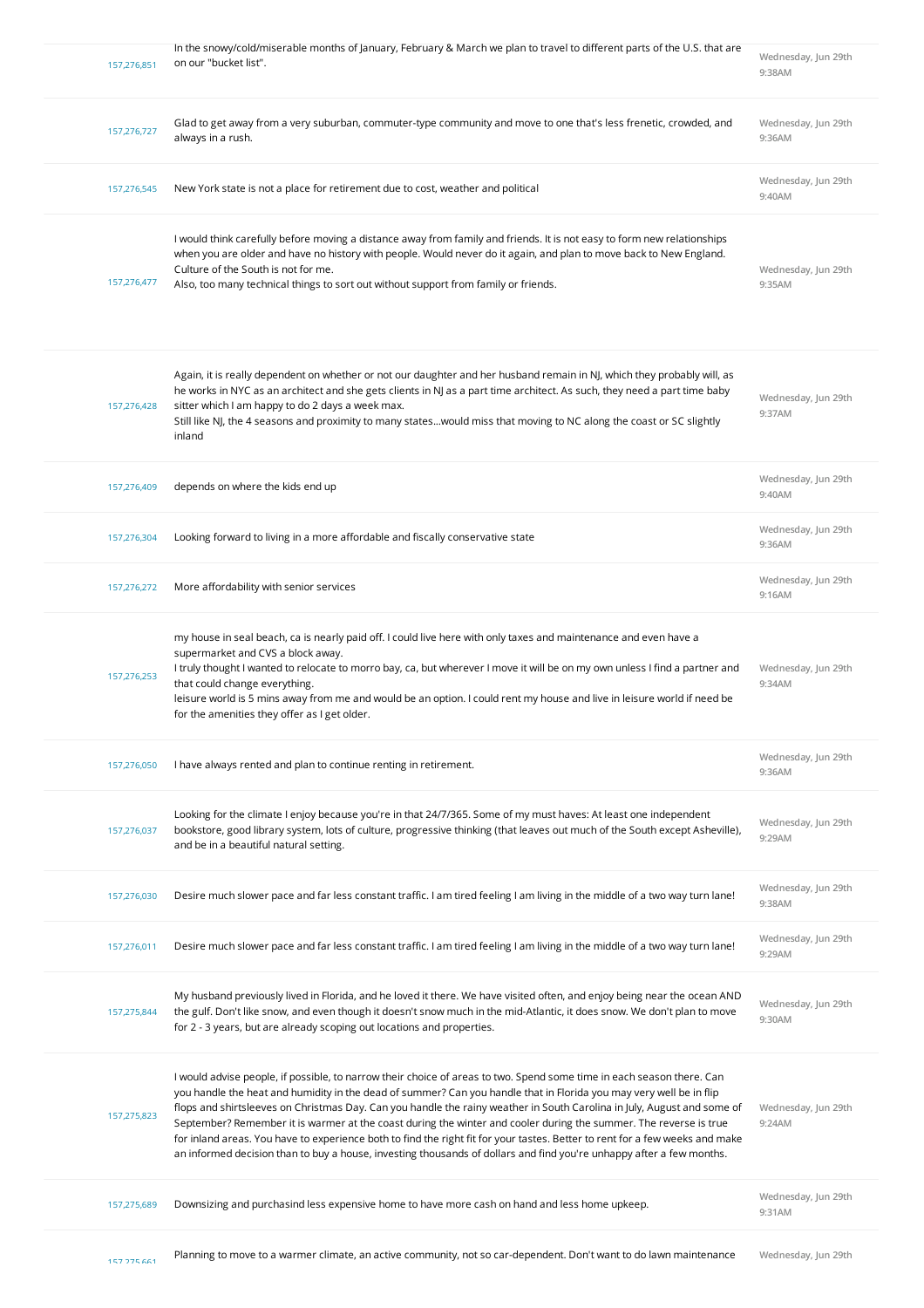| 157,276,851 | In the snowy/cold/miserable months of January, February & March we plan to travel to different parts of the U.S. that are<br>on our "bucket list".                                                                                                                                                                                                                                                                                                                                                                                                                                                                                                                                                                                                   | Wednesday, Jun 29th<br>9:38AM |
|-------------|------------------------------------------------------------------------------------------------------------------------------------------------------------------------------------------------------------------------------------------------------------------------------------------------------------------------------------------------------------------------------------------------------------------------------------------------------------------------------------------------------------------------------------------------------------------------------------------------------------------------------------------------------------------------------------------------------------------------------------------------------|-------------------------------|
| 157,276,727 | Glad to get away from a very suburban, commuter-type community and move to one that's less frenetic, crowded, and<br>always in a rush.                                                                                                                                                                                                                                                                                                                                                                                                                                                                                                                                                                                                               | Wednesday, Jun 29th<br>9:36AM |
| 157,276,545 | New York state is not a place for retirement due to cost, weather and political                                                                                                                                                                                                                                                                                                                                                                                                                                                                                                                                                                                                                                                                      | Wednesday, Jun 29th<br>9:40AM |
| 157,276,477 | I would think carefully before moving a distance away from family and friends. It is not easy to form new relationships<br>when you are older and have no history with people. Would never do it again, and plan to move back to New England.<br>Culture of the South is not for me.<br>Also, too many technical things to sort out without support from family or friends.                                                                                                                                                                                                                                                                                                                                                                          | Wednesday, Jun 29th<br>9:35AM |
| 157,276,428 | Again, it is really dependent on whether or not our daughter and her husband remain in NJ, which they probably will, as<br>he works in NYC as an architect and she gets clients in NJ as a part time architect. As such, they need a part time baby<br>sitter which I am happy to do 2 days a week max.<br>Still like NJ, the 4 seasons and proximity to many stateswould miss that moving to NC along the coast or SC slightly<br>inland                                                                                                                                                                                                                                                                                                            | Wednesday, Jun 29th<br>9:37AM |
| 157,276,409 | depends on where the kids end up                                                                                                                                                                                                                                                                                                                                                                                                                                                                                                                                                                                                                                                                                                                     | Wednesday, Jun 29th<br>9:40AM |
| 157,276,304 | Looking forward to living in a more affordable and fiscally conservative state                                                                                                                                                                                                                                                                                                                                                                                                                                                                                                                                                                                                                                                                       | Wednesday, Jun 29th<br>9:36AM |
| 157,276,272 | More affordability with senior services                                                                                                                                                                                                                                                                                                                                                                                                                                                                                                                                                                                                                                                                                                              | Wednesday, Jun 29th<br>9:16AM |
| 157,276,253 | my house in seal beach, ca is nearly paid off. I could live here with only taxes and maintenance and even have a<br>supermarket and CVS a block away.<br>I truly thought I wanted to relocate to morro bay, ca, but wherever I move it will be on my own unless I find a partner and<br>that could change everything.<br>leisure world is 5 mins away from me and would be an option. I could rent my house and live in leisure world if need be<br>for the amenities they offer as I get older.                                                                                                                                                                                                                                                     | Wednesday, Jun 29th<br>9:34AM |
| 157,276,050 | I have always rented and plan to continue renting in retirement.                                                                                                                                                                                                                                                                                                                                                                                                                                                                                                                                                                                                                                                                                     | Wednesday, Jun 29th<br>9:36AM |
| 157,276,037 | Looking for the climate I enjoy because you're in that 24/7/365. Some of my must haves: At least one independent<br>bookstore, good library system, lots of culture, progressive thinking (that leaves out much of the South except Asheville),<br>and be in a beautiful natural setting.                                                                                                                                                                                                                                                                                                                                                                                                                                                            | Wednesday, Jun 29th<br>9:29AM |
| 157,276,030 | Desire much slower pace and far less constant traffic. I am tired feeling I am living in the middle of a two way turn lane!                                                                                                                                                                                                                                                                                                                                                                                                                                                                                                                                                                                                                          | Wednesday, Jun 29th<br>9:38AM |
| 157,276,011 | Desire much slower pace and far less constant traffic. I am tired feeling I am living in the middle of a two way turn lane!                                                                                                                                                                                                                                                                                                                                                                                                                                                                                                                                                                                                                          | Wednesday, Jun 29th<br>9:29AM |
| 157,275,844 | My husband previously lived in Florida, and he loved it there. We have visited often, and enjoy being near the ocean AND<br>the gulf. Don't like snow, and even though it doesn't snow much in the mid-Atlantic, it does snow. We don't plan to move<br>for 2 - 3 years, but are already scoping out locations and properties.                                                                                                                                                                                                                                                                                                                                                                                                                       | Wednesday, Jun 29th<br>9:30AM |
| 157,275,823 | I would advise people, if possible, to narrow their choice of areas to two. Spend some time in each season there. Can<br>you handle the heat and humidity in the dead of summer? Can you handle that in Florida you may very well be in flip<br>flops and shirtsleeves on Christmas Day. Can you handle the rainy weather in South Carolina in July, August and some of<br>September? Remember it is warmer at the coast during the winter and cooler during the summer. The reverse is true<br>for inland areas. You have to experience both to find the right fit for your tastes. Better to rent for a few weeks and make<br>an informed decision than to buy a house, investing thousands of dollars and find you're unhappy after a few months. | Wednesday, Jun 29th<br>9:24AM |
| 157,275,689 | Downsizing and purchasind less expensive home to have more cash on hand and less home upkeep.                                                                                                                                                                                                                                                                                                                                                                                                                                                                                                                                                                                                                                                        | Wednesday, Jun 29th<br>9:31AM |
|             |                                                                                                                                                                                                                                                                                                                                                                                                                                                                                                                                                                                                                                                                                                                                                      |                               |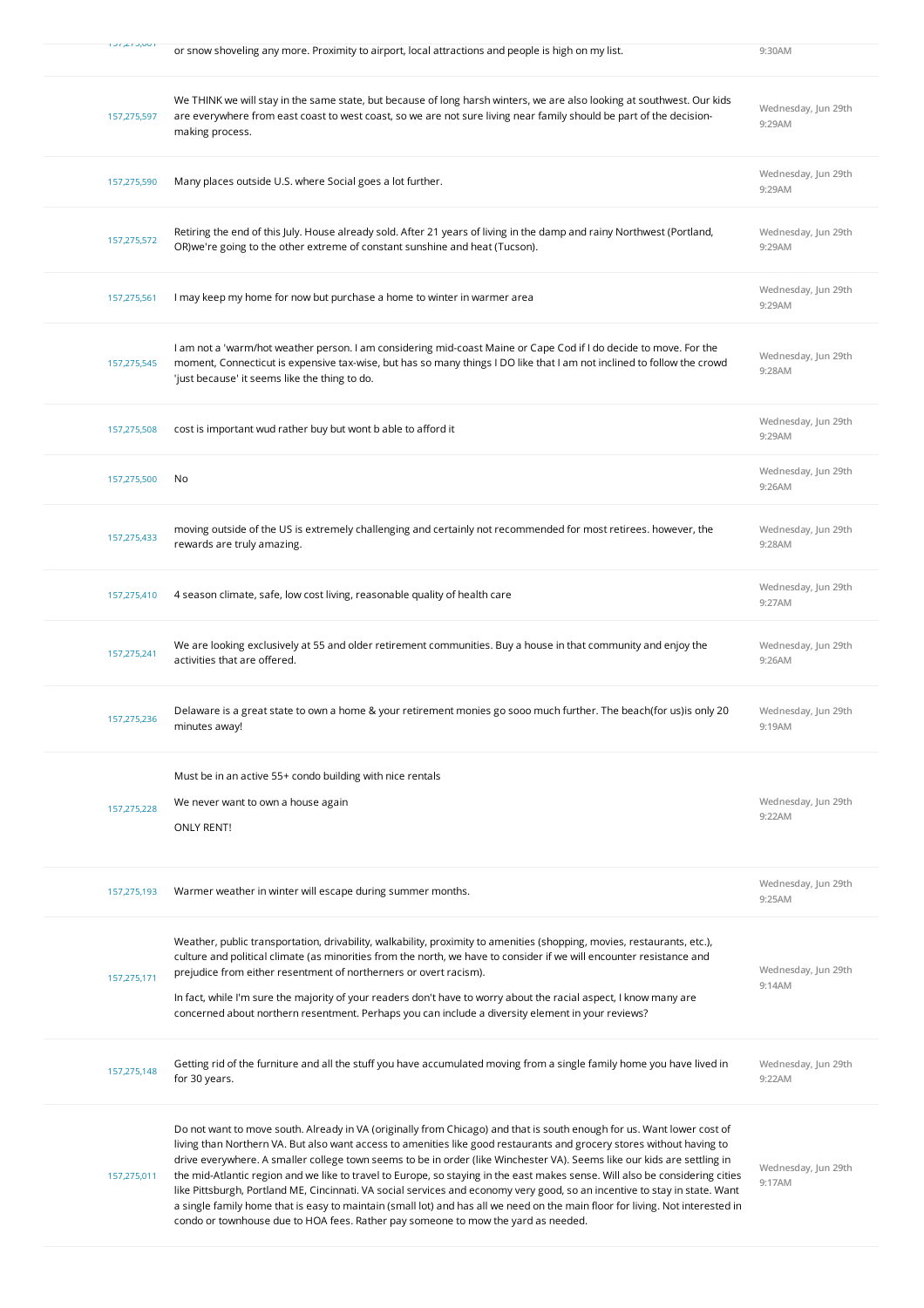| 1.97.27.9091 | or snow shoveling any more. Proximity to airport, local attractions and people is high on my list.                                                                                                                                                                                                                                                                                                                                                                                                                                                                                                                                                                                                                                                                                                                                                             | 9:30AM                        |
|--------------|----------------------------------------------------------------------------------------------------------------------------------------------------------------------------------------------------------------------------------------------------------------------------------------------------------------------------------------------------------------------------------------------------------------------------------------------------------------------------------------------------------------------------------------------------------------------------------------------------------------------------------------------------------------------------------------------------------------------------------------------------------------------------------------------------------------------------------------------------------------|-------------------------------|
| 157,275,597  | We THINK we will stay in the same state, but because of long harsh winters, we are also looking at southwest. Our kids<br>are everywhere from east coast to west coast, so we are not sure living near family should be part of the decision-<br>making process.                                                                                                                                                                                                                                                                                                                                                                                                                                                                                                                                                                                               | Wednesday, Jun 29th<br>9:29AM |
| 157,275,590  | Many places outside U.S. where Social goes a lot further.                                                                                                                                                                                                                                                                                                                                                                                                                                                                                                                                                                                                                                                                                                                                                                                                      | Wednesday, Jun 29th<br>9:29AM |
| 157,275,572  | Retiring the end of this July. House already sold. After 21 years of living in the damp and rainy Northwest (Portland,<br>OR) we're going to the other extreme of constant sunshine and heat (Tucson).                                                                                                                                                                                                                                                                                                                                                                                                                                                                                                                                                                                                                                                         | Wednesday, Jun 29th<br>9:29AM |
| 157,275,561  | I may keep my home for now but purchase a home to winter in warmer area                                                                                                                                                                                                                                                                                                                                                                                                                                                                                                                                                                                                                                                                                                                                                                                        | Wednesday, Jun 29th<br>9:29AM |
| 157,275,545  | I am not a 'warm/hot weather person. I am considering mid-coast Maine or Cape Cod if I do decide to move. For the<br>moment, Connecticut is expensive tax-wise, but has so many things IDO like that I am not inclined to follow the crowd<br>'just because' it seems like the thing to do.                                                                                                                                                                                                                                                                                                                                                                                                                                                                                                                                                                    | Wednesday, Jun 29th<br>9:28AM |
| 157,275,508  | cost is important wud rather buy but wont b able to afford it                                                                                                                                                                                                                                                                                                                                                                                                                                                                                                                                                                                                                                                                                                                                                                                                  | Wednesday, Jun 29th<br>9:29AM |
| 157,275,500  | No                                                                                                                                                                                                                                                                                                                                                                                                                                                                                                                                                                                                                                                                                                                                                                                                                                                             | Wednesday, Jun 29th<br>9:26AM |
| 157,275,433  | moving outside of the US is extremely challenging and certainly not recommended for most retirees. however, the<br>rewards are truly amazing.                                                                                                                                                                                                                                                                                                                                                                                                                                                                                                                                                                                                                                                                                                                  | Wednesday, Jun 29th<br>9:28AM |
| 157,275,410  | 4 season climate, safe, low cost living, reasonable quality of health care                                                                                                                                                                                                                                                                                                                                                                                                                                                                                                                                                                                                                                                                                                                                                                                     | Wednesday, Jun 29th<br>9:27AM |
| 157,275,241  | We are looking exclusively at 55 and older retirement communities. Buy a house in that community and enjoy the<br>activities that are offered.                                                                                                                                                                                                                                                                                                                                                                                                                                                                                                                                                                                                                                                                                                                 | Wednesday, Jun 29th<br>9:26AM |
| 157,275,236  | Delaware is a great state to own a home & your retirement monies go sooo much further. The beach(for us) is only 20<br>minutes away!                                                                                                                                                                                                                                                                                                                                                                                                                                                                                                                                                                                                                                                                                                                           | Wednesday, Jun 29th<br>9:19AM |
| 157,275,228  | Must be in an active 55+ condo building with nice rentals<br>We never want to own a house again<br><b>ONLY RENT!</b>                                                                                                                                                                                                                                                                                                                                                                                                                                                                                                                                                                                                                                                                                                                                           | Wednesday, Jun 29th<br>9:22AM |
| 157,275,193  | Warmer weather in winter will escape during summer months.                                                                                                                                                                                                                                                                                                                                                                                                                                                                                                                                                                                                                                                                                                                                                                                                     | Wednesday, Jun 29th<br>9:25AM |
| 157,275,171  | Weather, public transportation, drivability, walkability, proximity to amenities (shopping, movies, restaurants, etc.),<br>culture and political climate (as minorities from the north, we have to consider if we will encounter resistance and<br>prejudice from either resentment of northerners or overt racism).<br>In fact, while I'm sure the majority of your readers don't have to worry about the racial aspect, I know many are<br>concerned about northern resentment. Perhaps you can include a diversity element in your reviews?                                                                                                                                                                                                                                                                                                                 | Wednesday, Jun 29th<br>9:14AM |
| 157,275,148  | Getting rid of the furniture and all the stuff you have accumulated moving from a single family home you have lived in<br>for 30 years.                                                                                                                                                                                                                                                                                                                                                                                                                                                                                                                                                                                                                                                                                                                        | Wednesday, Jun 29th<br>9:22AM |
| 157,275,011  | Do not want to move south. Already in VA (originally from Chicago) and that is south enough for us. Want lower cost of<br>living than Northern VA. But also want access to amenities like good restaurants and grocery stores without having to<br>drive everywhere. A smaller college town seems to be in order (like Winchester VA). Seems like our kids are settling in<br>the mid-Atlantic region and we like to travel to Europe, so staying in the east makes sense. Will also be considering cities<br>like Pittsburgh, Portland ME, Cincinnati. VA social services and economy very good, so an incentive to stay in state. Want<br>a single family home that is easy to maintain (small lot) and has all we need on the main floor for living. Not interested in<br>condo or townhouse due to HOA fees. Rather pay someone to mow the yard as needed. | Wednesday, Jun 29th<br>9:17AM |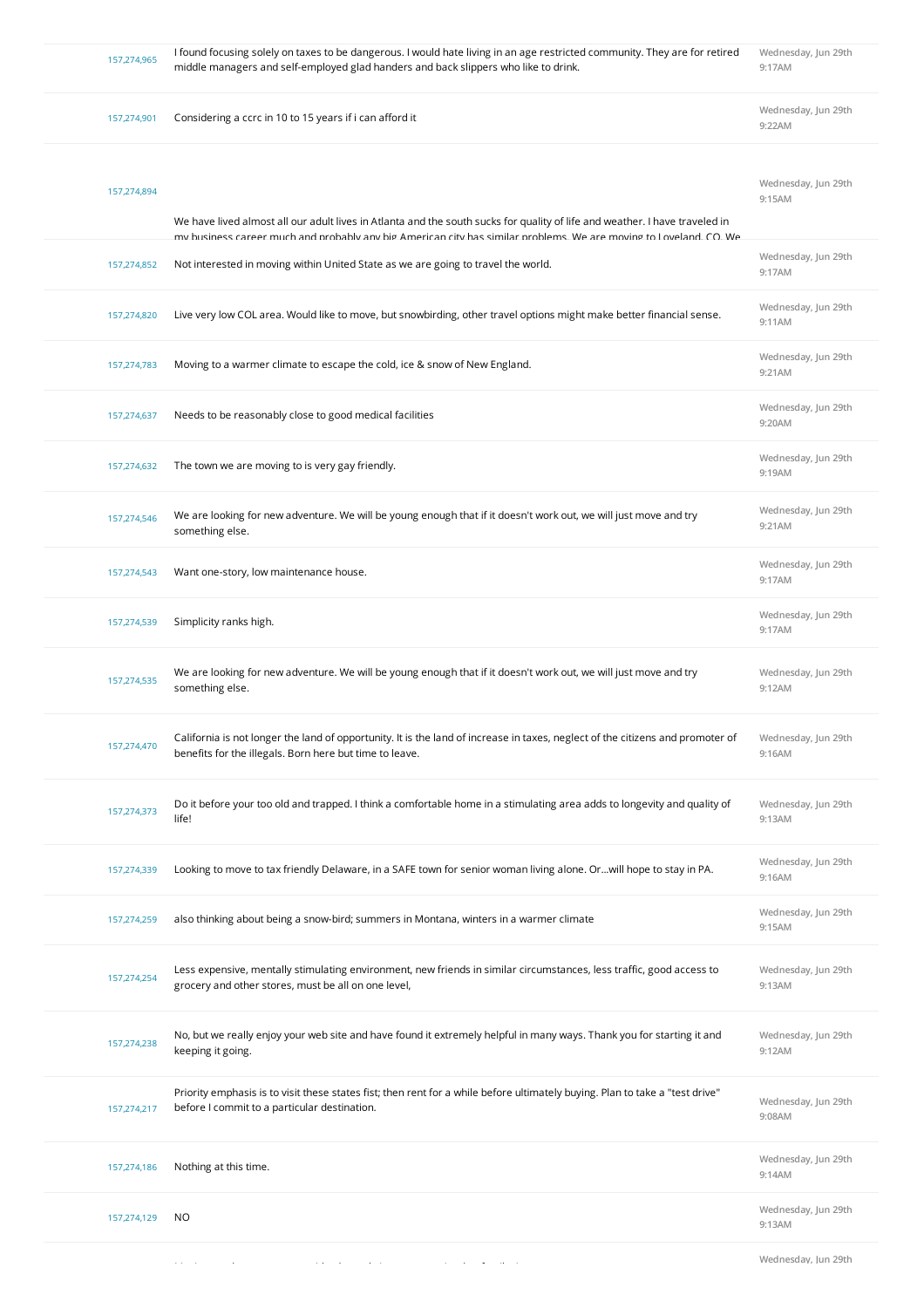| 157,274,965 | I found focusing solely on taxes to be dangerous. I would hate living in an age restricted community. They are for retired<br>middle managers and self-employed glad handers and back slippers who like to drink.                                 | Wednesday, Jun 29th<br>9:17AM |
|-------------|---------------------------------------------------------------------------------------------------------------------------------------------------------------------------------------------------------------------------------------------------|-------------------------------|
| 157,274,901 | Considering a ccrc in 10 to 15 years if i can afford it                                                                                                                                                                                           | Wednesday, Jun 29th<br>9:22AM |
| 157,274,894 | We have lived almost all our adult lives in Atlanta and the south sucks for quality of life and weather. I have traveled in<br>my business career much and probably any big American city has similar problems. We are moving to Loveland, CO, We | Wednesday, Jun 29th<br>9:15AM |
| 157,274,852 | Not interested in moving within United State as we are going to travel the world.                                                                                                                                                                 | Wednesday, Jun 29th<br>9:17AM |
| 157,274,820 | Live very low COL area. Would like to move, but snowbirding, other travel options might make better financial sense.                                                                                                                              | Wednesday, Jun 29th<br>9:11AM |
| 157,274,783 | Moving to a warmer climate to escape the cold, ice & snow of New England.                                                                                                                                                                         | Wednesday, Jun 29th<br>9:21AM |
| 157,274,637 | Needs to be reasonably close to good medical facilities                                                                                                                                                                                           | Wednesday, Jun 29th<br>9:20AM |
| 157,274,632 | The town we are moving to is very gay friendly.                                                                                                                                                                                                   | Wednesday, Jun 29th<br>9:19AM |
| 157,274,546 | We are looking for new adventure. We will be young enough that if it doesn't work out, we will just move and try<br>something else.                                                                                                               | Wednesday, Jun 29th<br>9:21AM |
| 157,274,543 | Want one-story, low maintenance house.                                                                                                                                                                                                            | Wednesday, Jun 29th<br>9:17AM |
| 157,274,539 | Simplicity ranks high.                                                                                                                                                                                                                            | Wednesday, Jun 29th<br>9:17AM |
| 157,274,535 | We are looking for new adventure. We will be young enough that if it doesn't work out, we will just move and try<br>something else.                                                                                                               | Wednesday, Jun 29th<br>9:12AM |
| 157,274,470 | California is not longer the land of opportunity. It is the land of increase in taxes, neglect of the citizens and promoter of<br>benefits for the illegals. Born here but time to leave.                                                         | Wednesday, Jun 29th<br>9:16AM |
| 157,274,373 | Do it before your too old and trapped. I think a comfortable home in a stimulating area adds to longevity and quality of<br>life!                                                                                                                 | Wednesday, Jun 29th<br>9:13AM |
| 157,274,339 | Looking to move to tax friendly Delaware, in a SAFE town for senior woman living alone. Orwill hope to stay in PA.                                                                                                                                | Wednesday, Jun 29th<br>9:16AM |
| 157,274,259 | also thinking about being a snow-bird; summers in Montana, winters in a warmer climate                                                                                                                                                            | Wednesday, Jun 29th<br>9:15AM |
| 157,274,254 | Less expensive, mentally stimulating environment, new friends in similar circumstances, less traffic, good access to<br>grocery and other stores, must be all on one level,                                                                       | Wednesday, Jun 29th<br>9:13AM |
| 157,274,238 | No, but we really enjoy your web site and have found it extremely helpful in many ways. Thank you for starting it and<br>keeping it going.                                                                                                        | Wednesday, Jun 29th<br>9:12AM |
| 157,274,217 | Priority emphasis is to visit these states fist; then rent for a while before ultimately buying. Plan to take a "test drive"<br>before I commit to a particular destination.                                                                      | Wednesday, Jun 29th<br>9:08AM |
| 157,274,186 | Nothing at this time.                                                                                                                                                                                                                             | Wednesday, Jun 29th<br>9:14AM |
| 157,274,129 | NO                                                                                                                                                                                                                                                | Wednesday, Jun 29th<br>9:13AM |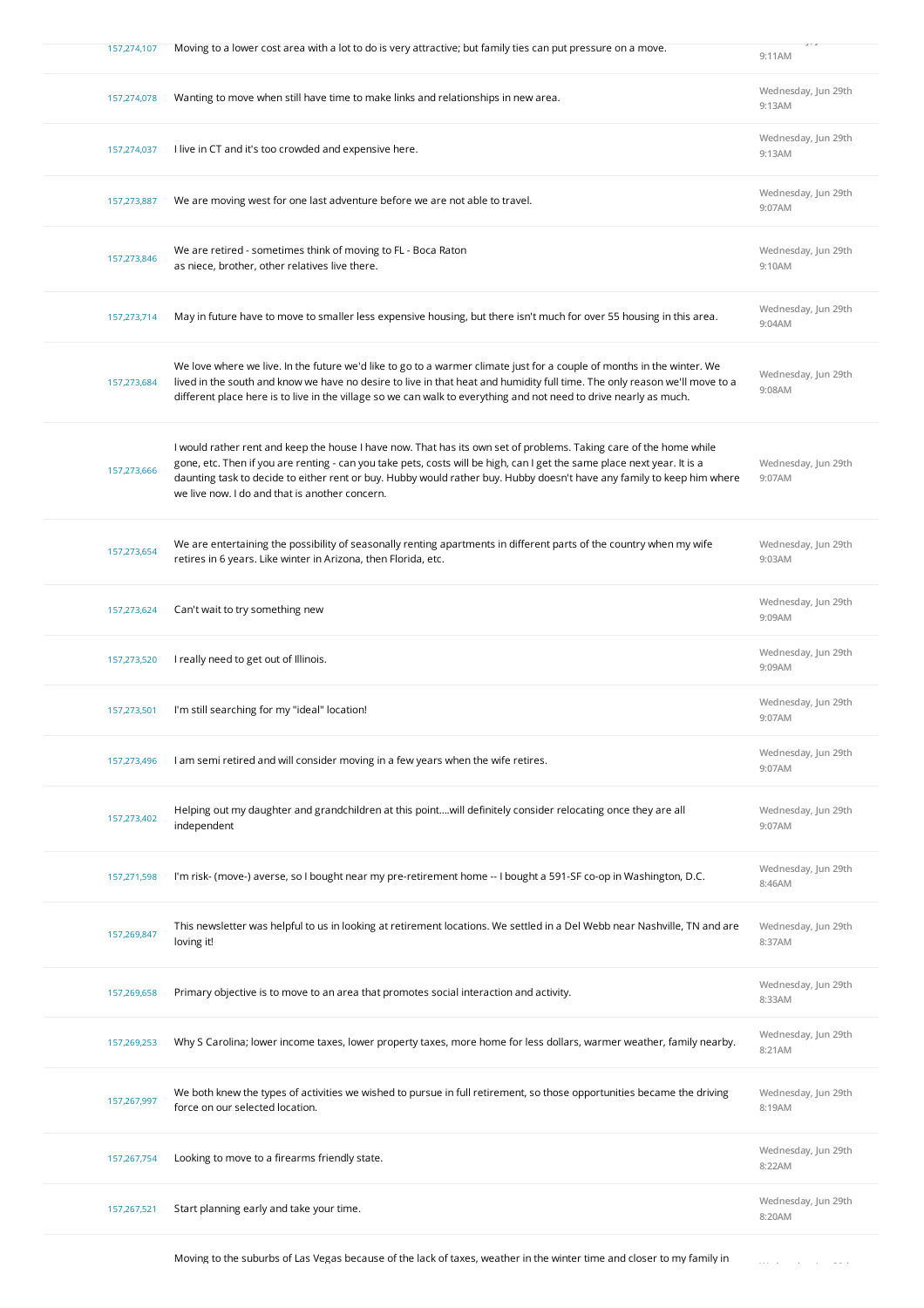| 157,274,107 | Moving to a lower cost area with a lot to do is very attractive; but family ties can put pressure on a move.                                                                                                                                                                                                                                                                                                              | ニューコー<br>9:11AM               |
|-------------|---------------------------------------------------------------------------------------------------------------------------------------------------------------------------------------------------------------------------------------------------------------------------------------------------------------------------------------------------------------------------------------------------------------------------|-------------------------------|
| 157,274,078 | Wanting to move when still have time to make links and relationships in new area.                                                                                                                                                                                                                                                                                                                                         | Wednesday, Jun 29th<br>9:13AM |
| 157,274,037 | I live in CT and it's too crowded and expensive here.                                                                                                                                                                                                                                                                                                                                                                     | Wednesday, Jun 29th<br>9:13AM |
| 157,273,887 | We are moving west for one last adventure before we are not able to travel.                                                                                                                                                                                                                                                                                                                                               | Wednesday, Jun 29th<br>9:07AM |
| 157,273,846 | We are retired - sometimes think of moving to FL - Boca Raton<br>as niece, brother, other relatives live there.                                                                                                                                                                                                                                                                                                           | Wednesday, Jun 29th<br>9:10AM |
| 157,273,714 | May in future have to move to smaller less expensive housing, but there isn't much for over 55 housing in this area.                                                                                                                                                                                                                                                                                                      | Wednesday, Jun 29th<br>9:04AM |
| 157,273,684 | We love where we live. In the future we'd like to go to a warmer climate just for a couple of months in the winter. We<br>lived in the south and know we have no desire to live in that heat and humidity full time. The only reason we'll move to a<br>different place here is to live in the village so we can walk to everything and not need to drive nearly as much.                                                 | Wednesday, Jun 29th<br>9:08AM |
| 157,273,666 | I would rather rent and keep the house I have now. That has its own set of problems. Taking care of the home while<br>gone, etc. Then if you are renting - can you take pets, costs will be high, can I get the same place next year. It is a<br>daunting task to decide to either rent or buy. Hubby would rather buy. Hubby doesn't have any family to keep him where<br>we live now. I do and that is another concern. | Wednesday, Jun 29th<br>9:07AM |
| 157,273,654 | We are entertaining the possibility of seasonally renting apartments in different parts of the country when my wife<br>retires in 6 years. Like winter in Arizona, then Florida, etc.                                                                                                                                                                                                                                     | Wednesday, Jun 29th<br>9:03AM |
| 157,273,624 | Can't wait to try something new                                                                                                                                                                                                                                                                                                                                                                                           | Wednesday, Jun 29th<br>9:09AM |
| 157,273,520 | I really need to get out of Illinois.                                                                                                                                                                                                                                                                                                                                                                                     | Wednesday, Jun 29th<br>9:09AM |
| 157,273,501 | I'm still searching for my "ideal" location!                                                                                                                                                                                                                                                                                                                                                                              | Wednesday, Jun 29th<br>9:07AM |
| 157,273,496 | I am semi retired and will consider moving in a few years when the wife retires.                                                                                                                                                                                                                                                                                                                                          | Wednesday, Jun 29th<br>9:07AM |
| 157,273,402 | Helping out my daughter and grandchildren at this pointwill definitely consider relocating once they are all<br>independent                                                                                                                                                                                                                                                                                               | Wednesday, Jun 29th<br>9:07AM |
| 157,271,598 | I'm risk- (move-) averse, so I bought near my pre-retirement home -- I bought a 591-SF co-op in Washington, D.C.                                                                                                                                                                                                                                                                                                          | Wednesday, Jun 29th<br>8:46AM |
| 157,269,847 | This newsletter was helpful to us in looking at retirement locations. We settled in a Del Webb near Nashville, TN and are<br>loving it!                                                                                                                                                                                                                                                                                   | Wednesday, Jun 29th<br>8:37AM |
| 157,269,658 | Primary objective is to move to an area that promotes social interaction and activity.                                                                                                                                                                                                                                                                                                                                    | Wednesday, Jun 29th<br>8:33AM |
| 157,269,253 | Why S Carolina; lower income taxes, lower property taxes, more home for less dollars, warmer weather, family nearby.                                                                                                                                                                                                                                                                                                      | Wednesday, Jun 29th<br>8:21AM |
| 157,267,997 | We both knew the types of activities we wished to pursue in full retirement, so those opportunities became the driving<br>force on our selected location.                                                                                                                                                                                                                                                                 | Wednesday, Jun 29th<br>8:19AM |
| 157,267,754 | Looking to move to a firearms friendly state.                                                                                                                                                                                                                                                                                                                                                                             | Wednesday, Jun 29th<br>8:22AM |
| 157,267,521 | Start planning early and take your time.                                                                                                                                                                                                                                                                                                                                                                                  | Wednesday, Jun 29th<br>8:20AM |
|             |                                                                                                                                                                                                                                                                                                                                                                                                                           |                               |

Moving to the suburbs of Las Vegas because of the lack of taxes, weather in the winter time and closer to my family in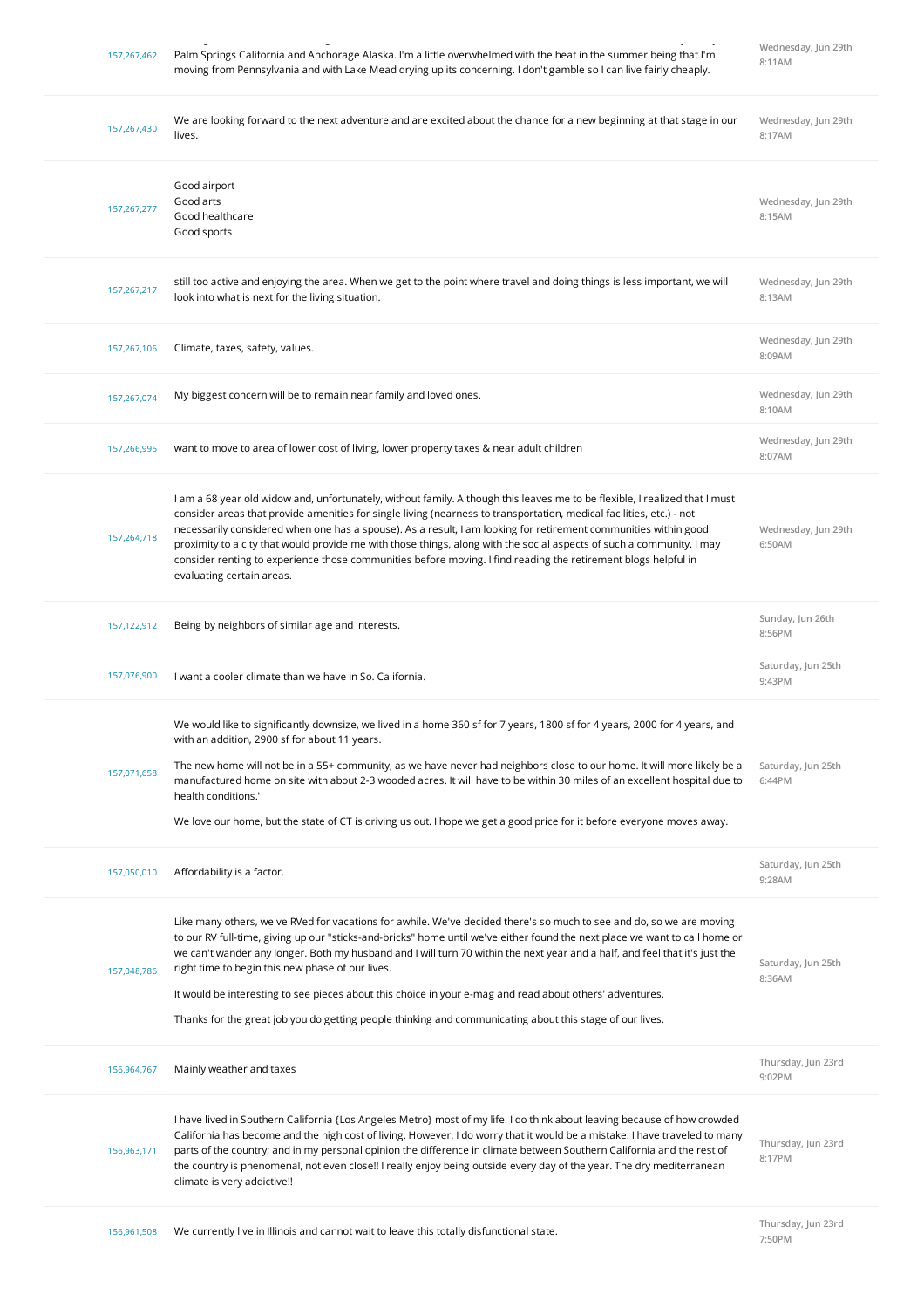| 157,267,462 | Palm Springs California and Anchorage Alaska. I'm a little overwhelmed with the heat in the summer being that I'm<br>moving from Pennsylvania and with Lake Mead drying up its concerning. I don't gamble so I can live fairly cheaply.                                                                                                                                                                                                                                                                                                                                                                                                                        | Wednesday, Jun 29th<br>8:11AM |
|-------------|----------------------------------------------------------------------------------------------------------------------------------------------------------------------------------------------------------------------------------------------------------------------------------------------------------------------------------------------------------------------------------------------------------------------------------------------------------------------------------------------------------------------------------------------------------------------------------------------------------------------------------------------------------------|-------------------------------|
| 157,267,430 | We are looking forward to the next adventure and are excited about the chance for a new beginning at that stage in our<br>lives.                                                                                                                                                                                                                                                                                                                                                                                                                                                                                                                               | Wednesday, Jun 29th<br>8:17AM |
| 157,267,277 | Good airport<br>Good arts<br>Good healthcare<br>Good sports                                                                                                                                                                                                                                                                                                                                                                                                                                                                                                                                                                                                    | Wednesday, Jun 29th<br>8:15AM |
| 157,267,217 | still too active and enjoying the area. When we get to the point where travel and doing things is less important, we will<br>look into what is next for the living situation.                                                                                                                                                                                                                                                                                                                                                                                                                                                                                  | Wednesday, Jun 29th<br>8:13AM |
| 157,267,106 | Climate, taxes, safety, values.                                                                                                                                                                                                                                                                                                                                                                                                                                                                                                                                                                                                                                | Wednesday, Jun 29th<br>8:09AM |
| 157,267,074 | My biggest concern will be to remain near family and loved ones.                                                                                                                                                                                                                                                                                                                                                                                                                                                                                                                                                                                               | Wednesday, Jun 29th<br>8:10AM |
| 157,266,995 | want to move to area of lower cost of living, lower property taxes & near adult children                                                                                                                                                                                                                                                                                                                                                                                                                                                                                                                                                                       | Wednesday, Jun 29th<br>8:07AM |
| 157,264,718 | I am a 68 year old widow and, unfortunately, without family. Although this leaves me to be flexible, I realized that I must<br>consider areas that provide amenities for single living (nearness to transportation, medical facilities, etc.) - not<br>necessarily considered when one has a spouse). As a result, I am looking for retirement communities within good<br>proximity to a city that would provide me with those things, along with the social aspects of such a community. I may<br>consider renting to experience those communities before moving. I find reading the retirement blogs helpful in<br>evaluating certain areas.                 | Wednesday, Jun 29th<br>6:50AM |
| 157,122,912 | Being by neighbors of similar age and interests.                                                                                                                                                                                                                                                                                                                                                                                                                                                                                                                                                                                                               | Sunday, Jun 26th<br>8:56PM    |
| 157,076,900 | I want a cooler climate than we have in So. California.                                                                                                                                                                                                                                                                                                                                                                                                                                                                                                                                                                                                        | Saturday, Jun 25th<br>9:43PM  |
|             |                                                                                                                                                                                                                                                                                                                                                                                                                                                                                                                                                                                                                                                                |                               |
| 157,071,658 | We would like to significantly downsize, we lived in a home 360 sf for 7 years, 1800 sf for 4 years, 2000 for 4 years, and<br>with an addition, 2900 sf for about 11 years.<br>The new home will not be in a 55+ community, as we have never had neighbors close to our home. It will more likely be a<br>manufactured home on site with about 2-3 wooded acres. It will have to be within 30 miles of an excellent hospital due to<br>health conditions.'<br>We love our home, but the state of CT is driving us out. I hope we get a good price for it before everyone moves away.                                                                           | Saturday, Jun 25th<br>6:44PM  |
| 157,050,010 | Affordability is a factor.                                                                                                                                                                                                                                                                                                                                                                                                                                                                                                                                                                                                                                     | Saturday, Jun 25th<br>9:28AM  |
| 157,048,786 | Like many others, we've RVed for vacations for awhile. We've decided there's so much to see and do, so we are moving<br>to our RV full-time, giving up our "sticks-and-bricks" home until we've either found the next place we want to call home or<br>we can't wander any longer. Both my husband and I will turn 70 within the next year and a half, and feel that it's just the<br>right time to begin this new phase of our lives.<br>It would be interesting to see pieces about this choice in your e-mag and read about others' adventures.<br>Thanks for the great job you do getting people thinking and communicating about this stage of our lives. | Saturday, Jun 25th<br>8:36AM  |
| 156,964,767 | Mainly weather and taxes                                                                                                                                                                                                                                                                                                                                                                                                                                                                                                                                                                                                                                       | Thursday, Jun 23rd<br>9:02PM  |
| 156,963,171 | I have lived in Southern California {Los Angeles Metro} most of my life. I do think about leaving because of how crowded<br>California has become and the high cost of living. However, I do worry that it would be a mistake. I have traveled to many<br>parts of the country; and in my personal opinion the difference in climate between Southern California and the rest of<br>the country is phenomenal, not even close!! I really enjoy being outside every day of the year. The dry mediterranean<br>climate is very addictive!!                                                                                                                       | Thursday, Jun 23rd<br>8:17PM  |
| 156,961,508 | We currently live in Illinois and cannot wait to leave this totally disfunctional state.                                                                                                                                                                                                                                                                                                                                                                                                                                                                                                                                                                       | Thursday, Jun 23rd<br>7:50PM  |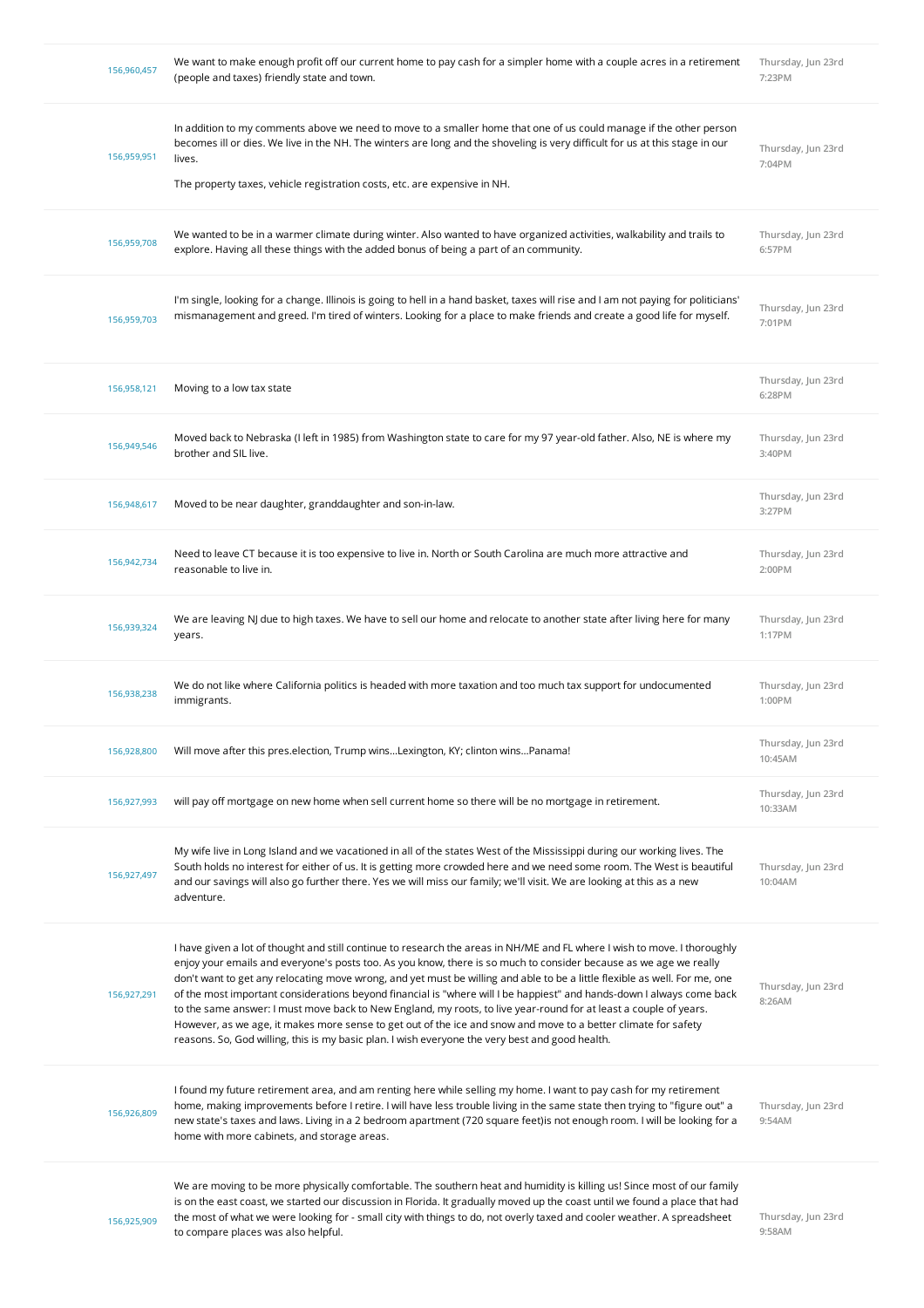| 156,960,457 | We want to make enough profit off our current home to pay cash for a simpler home with a couple acres in a retirement<br>(people and taxes) friendly state and town.                                                                                                                                                                                                                                                                                                                                                                                                                                                                                                                                                                                                                                                                            | Thursday, Jun 23rd<br>7:23PM  |
|-------------|-------------------------------------------------------------------------------------------------------------------------------------------------------------------------------------------------------------------------------------------------------------------------------------------------------------------------------------------------------------------------------------------------------------------------------------------------------------------------------------------------------------------------------------------------------------------------------------------------------------------------------------------------------------------------------------------------------------------------------------------------------------------------------------------------------------------------------------------------|-------------------------------|
| 156,959,951 | In addition to my comments above we need to move to a smaller home that one of us could manage if the other person<br>becomes ill or dies. We live in the NH. The winters are long and the shoveling is very difficult for us at this stage in our<br>lives.<br>The property taxes, vehicle registration costs, etc. are expensive in NH.                                                                                                                                                                                                                                                                                                                                                                                                                                                                                                       | Thursday, Jun 23rd<br>7:04PM  |
| 156,959,708 | We wanted to be in a warmer climate during winter. Also wanted to have organized activities, walkability and trails to<br>explore. Having all these things with the added bonus of being a part of an community.                                                                                                                                                                                                                                                                                                                                                                                                                                                                                                                                                                                                                                | Thursday, Jun 23rd<br>6:57PM  |
| 156,959,703 | I'm single, looking for a change. Illinois is going to hell in a hand basket, taxes will rise and I am not paying for politicians'<br>mismanagement and greed. I'm tired of winters. Looking for a place to make friends and create a good life for myself.                                                                                                                                                                                                                                                                                                                                                                                                                                                                                                                                                                                     | Thursday, Jun 23rd<br>7:01PM  |
| 156,958,121 | Moving to a low tax state                                                                                                                                                                                                                                                                                                                                                                                                                                                                                                                                                                                                                                                                                                                                                                                                                       | Thursday, Jun 23rd<br>6:28PM  |
| 156,949,546 | Moved back to Nebraska (I left in 1985) from Washington state to care for my 97 year-old father. Also, NE is where my<br>brother and SIL live.                                                                                                                                                                                                                                                                                                                                                                                                                                                                                                                                                                                                                                                                                                  | Thursday, Jun 23rd<br>3:40PM  |
| 156,948,617 | Moved to be near daughter, granddaughter and son-in-law.                                                                                                                                                                                                                                                                                                                                                                                                                                                                                                                                                                                                                                                                                                                                                                                        | Thursday, Jun 23rd<br>3:27PM  |
| 156,942,734 | Need to leave CT because it is too expensive to live in. North or South Carolina are much more attractive and<br>reasonable to live in.                                                                                                                                                                                                                                                                                                                                                                                                                                                                                                                                                                                                                                                                                                         | Thursday, Jun 23rd<br>2:00PM  |
| 156,939,324 | We are leaving NJ due to high taxes. We have to sell our home and relocate to another state after living here for many<br>years.                                                                                                                                                                                                                                                                                                                                                                                                                                                                                                                                                                                                                                                                                                                | Thursday, Jun 23rd<br>1:17PM  |
| 156,938,238 | We do not like where California politics is headed with more taxation and too much tax support for undocumented<br>immigrants.                                                                                                                                                                                                                                                                                                                                                                                                                                                                                                                                                                                                                                                                                                                  | Thursday, Jun 23rd<br>1:00PM  |
| 156,928,800 | Will move after this pres.election, Trump winsLexington, KY; clinton winsPanama!                                                                                                                                                                                                                                                                                                                                                                                                                                                                                                                                                                                                                                                                                                                                                                | Thursday, Jun 23rd<br>10:45AM |
| 156,927,993 | will pay off mortgage on new home when sell current home so there will be no mortgage in retirement.                                                                                                                                                                                                                                                                                                                                                                                                                                                                                                                                                                                                                                                                                                                                            | Thursday, Jun 23rd<br>10:33AM |
| 156,927,497 | My wife live in Long Island and we vacationed in all of the states West of the Mississippi during our working lives. The<br>South holds no interest for either of us. It is getting more crowded here and we need some room. The West is beautiful<br>and our savings will also go further there. Yes we will miss our family; we'll visit. We are looking at this as a new<br>adventure.                                                                                                                                                                                                                                                                                                                                                                                                                                                       | Thursday, Jun 23rd<br>10:04AM |
| 156,927,291 | I have given a lot of thought and still continue to research the areas in NH/ME and FL where I wish to move. I thoroughly<br>enjoy your emails and everyone's posts too. As you know, there is so much to consider because as we age we really<br>don't want to get any relocating move wrong, and yet must be willing and able to be a little flexible as well. For me, one<br>of the most important considerations beyond financial is "where will I be happiest" and hands-down I always come back<br>to the same answer: I must move back to New England, my roots, to live year-round for at least a couple of years.<br>However, as we age, it makes more sense to get out of the ice and snow and move to a better climate for safety<br>reasons. So, God willing, this is my basic plan. I wish everyone the very best and good health. | Thursday, Jun 23rd<br>8:26AM  |
| 156,926,809 | I found my future retirement area, and am renting here while selling my home. I want to pay cash for my retirement<br>home, making improvements before I retire. I will have less trouble living in the same state then trying to "figure out" a<br>new state's taxes and laws. Living in a 2 bedroom apartment (720 square feet)is not enough room. I will be looking for a<br>home with more cabinets, and storage areas.                                                                                                                                                                                                                                                                                                                                                                                                                     | Thursday, Jun 23rd<br>9:54AM  |
| 156,925,909 | We are moving to be more physically comfortable. The southern heat and humidity is killing us! Since most of our family<br>is on the east coast, we started our discussion in Florida. It gradually moved up the coast until we found a place that had<br>the most of what we were looking for - small city with things to do, not overly taxed and cooler weather. A spreadsheet<br>to compare places was also helpful.                                                                                                                                                                                                                                                                                                                                                                                                                        | Thursday, Jun 23rd<br>9:58AM  |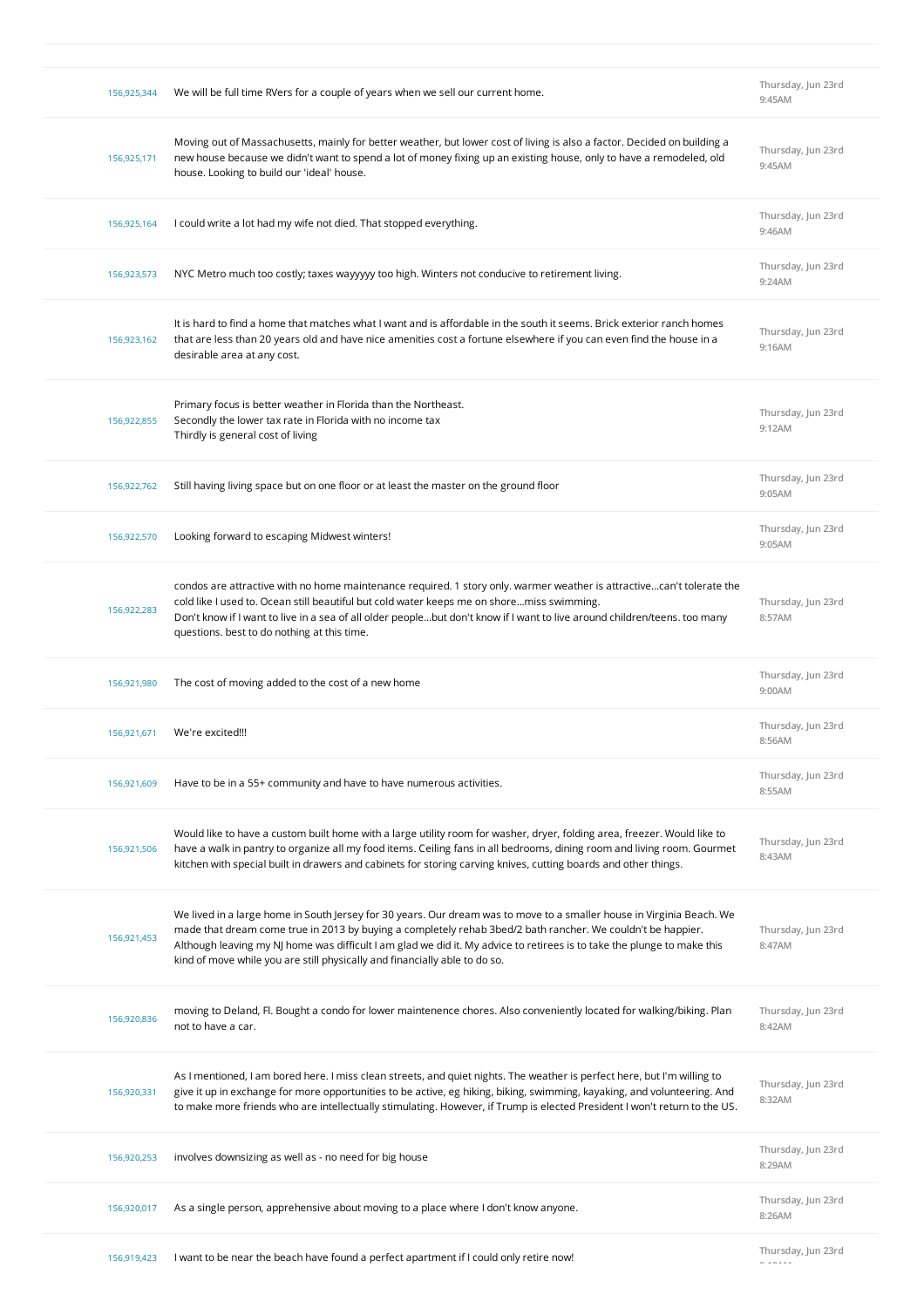| 156.925.344 | We will be full time RVers for a couple of years when we sell our current home.                                                                                                                                                                                                                                                                                                                                                               | Thursday, Jun 23rd<br>9:45AM  |
|-------------|-----------------------------------------------------------------------------------------------------------------------------------------------------------------------------------------------------------------------------------------------------------------------------------------------------------------------------------------------------------------------------------------------------------------------------------------------|-------------------------------|
| 156,925,171 | Moving out of Massachusetts, mainly for better weather, but lower cost of living is also a factor. Decided on building a<br>new house because we didn't want to spend a lot of money fixing up an existing house, only to have a remodeled, old<br>house. Looking to build our 'ideal' house.                                                                                                                                                 | Thursday, Jun 23rd<br>9:45AM  |
| 156,925,164 | I could write a lot had my wife not died. That stopped everything.                                                                                                                                                                                                                                                                                                                                                                            | Thursday, Jun 23rd<br>9:46AM  |
| 156,923,573 | NYC Metro much too costly; taxes wayyyyy too high. Winters not conducive to retirement living.                                                                                                                                                                                                                                                                                                                                                | Thursday, Jun 23rd<br>9:24AM  |
| 156,923,162 | It is hard to find a home that matches what I want and is affordable in the south it seems. Brick exterior ranch homes<br>that are less than 20 years old and have nice amenities cost a fortune elsewhere if you can even find the house in a<br>desirable area at any cost.                                                                                                                                                                 | Thursday, Jun 23rd<br>9:16AM  |
| 156,922,855 | Primary focus is better weather in Florida than the Northeast.<br>Secondly the lower tax rate in Florida with no income tax<br>Thirdly is general cost of living                                                                                                                                                                                                                                                                              | Thursday, Jun 23rd<br>9:12AM  |
| 156,922,762 | Still having living space but on one floor or at least the master on the ground floor                                                                                                                                                                                                                                                                                                                                                         | Thursday, Jun 23rd<br>9:05AM  |
| 156,922,570 | Looking forward to escaping Midwest winters!                                                                                                                                                                                                                                                                                                                                                                                                  | Thursday, Jun 23rd<br>9:05AM  |
| 156,922,283 | condos are attractive with no home maintenance required. 1 story only, warmer weather is attractivecan't tolerate the<br>cold like I used to. Ocean still beautiful but cold water keeps me on shoremiss swimming.<br>Don't know if I want to live in a sea of all older peoplebut don't know if I want to live around children/teens. too many<br>questions. best to do nothing at this time.                                                | Thursday, Jun 23rd<br>8:57AM  |
| 156,921,980 | The cost of moving added to the cost of a new home                                                                                                                                                                                                                                                                                                                                                                                            | Thursday, Jun 23rd<br>9:00AM  |
| 156,921,671 | We're excited!!!                                                                                                                                                                                                                                                                                                                                                                                                                              | Thursday, Jun 23rd<br>8:56AM  |
| 156,921,609 | Have to be in a 55+ community and have to have numerous activities.                                                                                                                                                                                                                                                                                                                                                                           | Thursday, Jun 23rd<br>8:55AM  |
| 156,921,506 | Would like to have a custom built home with a large utility room for washer, dryer, folding area, freezer. Would like to<br>have a walk in pantry to organize all my food items. Ceiling fans in all bedrooms, dining room and living room. Gourmet<br>kitchen with special built in drawers and cabinets for storing carving knives, cutting boards and other things.                                                                        | Thursday, Jun 23rd<br>8:43AM  |
| 156,921,453 | We lived in a large home in South Jersey for 30 years. Our dream was to move to a smaller house in Virginia Beach. We<br>made that dream come true in 2013 by buying a completely rehab 3bed/2 bath rancher. We couldn't be happier.<br>Although leaving my NJ home was difficult I am glad we did it. My advice to retirees is to take the plunge to make this<br>kind of move while you are still physically and financially able to do so. | Thursday, Jun 23rd<br>8:47AM  |
| 156,920,836 | moving to Deland, Fl. Bought a condo for lower maintenence chores. Also conveniently located for walking/biking. Plan<br>not to have a car.                                                                                                                                                                                                                                                                                                   | Thursday, Jun 23rd<br>8:42AM  |
| 156,920,331 | As I mentioned, I am bored here. I miss clean streets, and quiet nights. The weather is perfect here, but I'm willing to<br>give it up in exchange for more opportunities to be active, eg hiking, biking, swimming, kayaking, and volunteering. And<br>to make more friends who are intellectually stimulating. However, if Trump is elected President I won't return to the US.                                                             | Thursday, Jun 23rd<br>8:32AM  |
| 156,920,253 | involves downsizing as well as - no need for big house                                                                                                                                                                                                                                                                                                                                                                                        | Thursday, Jun 23rd<br>8:29AM  |
| 156,920,017 | As a single person, apprehensive about moving to a place where I don't know anyone.                                                                                                                                                                                                                                                                                                                                                           | Thursday, Jun 23rd<br>8:26AM  |
| 156,919,423 | I want to be near the beach have found a perfect apartment if I could only retire now!                                                                                                                                                                                                                                                                                                                                                        | Thursday, Jun 23rd<br>- ----- |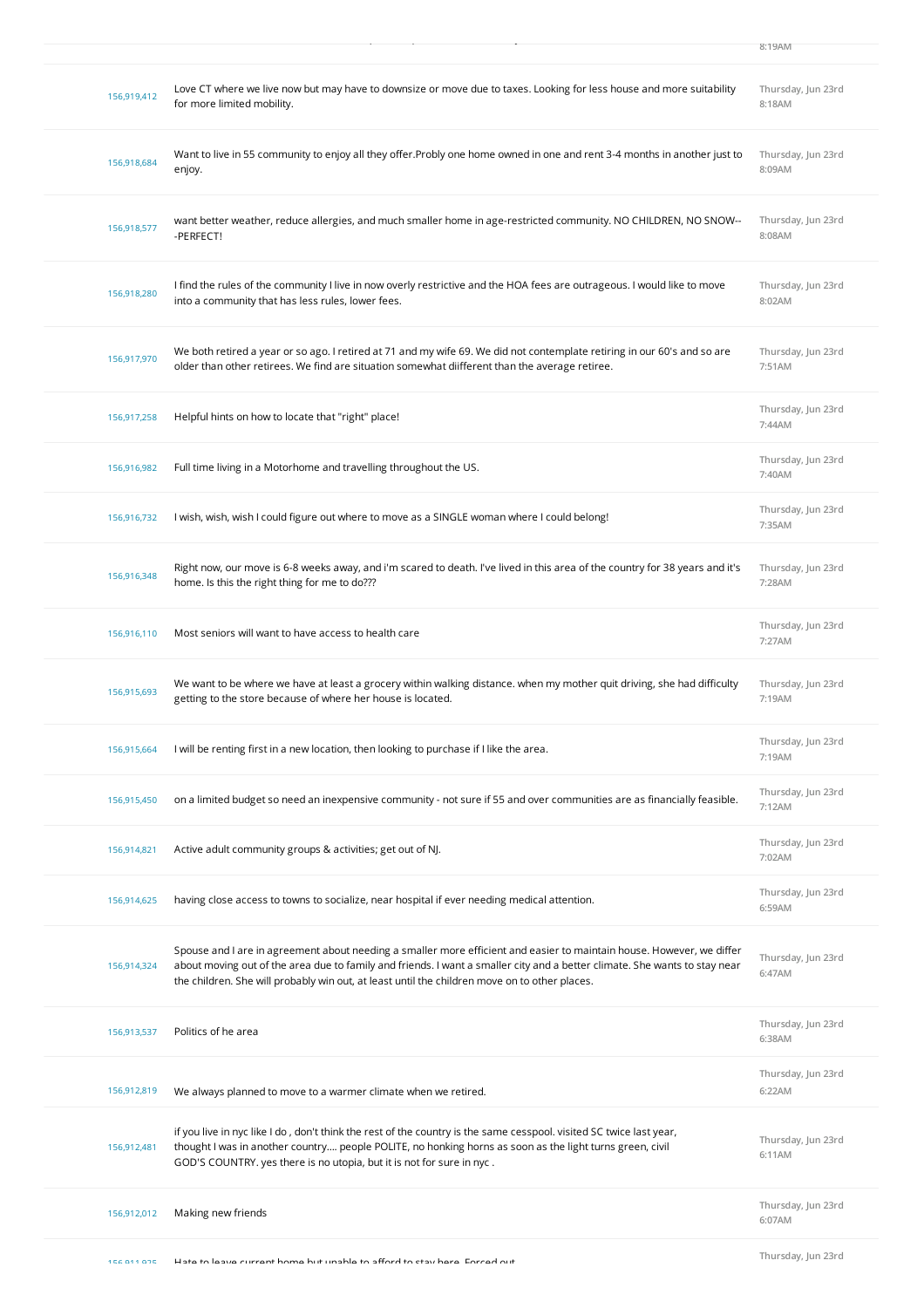| 156,919,412 | Love CT where we live now but may have to downsize or move due to taxes. Looking for less house and more suitability<br>for more limited mobility.                                                                                                                                                                                                   | Thursday, Jun 23rd<br>8:18AM |
|-------------|------------------------------------------------------------------------------------------------------------------------------------------------------------------------------------------------------------------------------------------------------------------------------------------------------------------------------------------------------|------------------------------|
| 156,918,684 | Want to live in 55 community to enjoy all they offer. Probly one home owned in one and rent 3-4 months in another just to<br>enjoy.                                                                                                                                                                                                                  | Thursday, Jun 23rd<br>8:09AM |
| 156,918,577 | want better weather, reduce allergies, and much smaller home in age-restricted community. NO CHILDREN, NO SNOW--<br>-PERFECT!                                                                                                                                                                                                                        | Thursday, Jun 23rd<br>8:08AM |
| 156,918,280 | I find the rules of the community I live in now overly restrictive and the HOA fees are outrageous. I would like to move<br>into a community that has less rules, lower fees.                                                                                                                                                                        | Thursday, Jun 23rd<br>8:02AM |
| 156,917,970 | We both retired a year or so ago. I retired at 71 and my wife 69. We did not contemplate retiring in our 60's and so are<br>older than other retirees. We find are situation somewhat diifferent than the average retiree.                                                                                                                           | Thursday, Jun 23rd<br>7:51AM |
| 156,917,258 | Helpful hints on how to locate that "right" place!                                                                                                                                                                                                                                                                                                   | Thursday, Jun 23rd<br>7:44AM |
| 156,916,982 | Full time living in a Motorhome and travelling throughout the US.                                                                                                                                                                                                                                                                                    | Thursday, Jun 23rd<br>7:40AM |
| 156,916,732 | I wish, wish, wish I could figure out where to move as a SINGLE woman where I could belong!                                                                                                                                                                                                                                                          | Thursday, Jun 23rd<br>7:35AM |
| 156,916,348 | Right now, our move is 6-8 weeks away, and i'm scared to death. I've lived in this area of the country for 38 years and it's<br>home. Is this the right thing for me to do???                                                                                                                                                                        | Thursday, Jun 23rd<br>7:28AM |
| 156,916,110 | Most seniors will want to have access to health care                                                                                                                                                                                                                                                                                                 | Thursday, Jun 23rd<br>7:27AM |
|             |                                                                                                                                                                                                                                                                                                                                                      |                              |
| 156,915,693 | We want to be where we have at least a grocery within walking distance. when my mother quit driving, she had difficulty<br>getting to the store because of where her house is located.                                                                                                                                                               | Thursday, Jun 23rd<br>7:19AM |
| 156,915,664 | I will be renting first in a new location, then looking to purchase if I like the area.                                                                                                                                                                                                                                                              | Thursday, Jun 23rd<br>7:19AM |
| 156,915,450 | on a limited budget so need an inexpensive community - not sure if 55 and over communities are as financially feasible.                                                                                                                                                                                                                              | Thursday, Jun 23rd<br>7:12AM |
| 156,914,821 | Active adult community groups & activities; get out of NJ.                                                                                                                                                                                                                                                                                           | Thursday, Jun 23rd<br>7:02AM |
| 156,914,625 | having close access to towns to socialize, near hospital if ever needing medical attention.                                                                                                                                                                                                                                                          | Thursday, Jun 23rd<br>6:59AM |
| 156,914,324 | Spouse and I are in agreement about needing a smaller more efficient and easier to maintain house. However, we differ<br>about moving out of the area due to family and friends. I want a smaller city and a better climate. She wants to stay near<br>the children. She will probably win out, at least until the children move on to other places. | Thursday, Jun 23rd<br>6:47AM |
| 156,913,537 | Politics of he area                                                                                                                                                                                                                                                                                                                                  | Thursday, Jun 23rd<br>6:38AM |
| 156,912,819 | We always planned to move to a warmer climate when we retired.                                                                                                                                                                                                                                                                                       | Thursday, Jun 23rd<br>6:22AM |
| 156,912,481 | if you live in nyc like I do, don't think the rest of the country is the same cesspool. visited SC twice last year,<br>thought I was in another country people POLITE, no honking horns as soon as the light turns green, civil<br>GOD'S COUNTRY. yes there is no utopia, but it is not for sure in nyc.                                             | Thursday, Jun 23rd<br>6:11AM |
| 156,912,012 | Making new friends                                                                                                                                                                                                                                                                                                                                   | Thursday, Jun 23rd<br>6:07AM |

156,919,423 I want to be near the beach have found a perfect apartment if I could only retire now!

**8:19AM**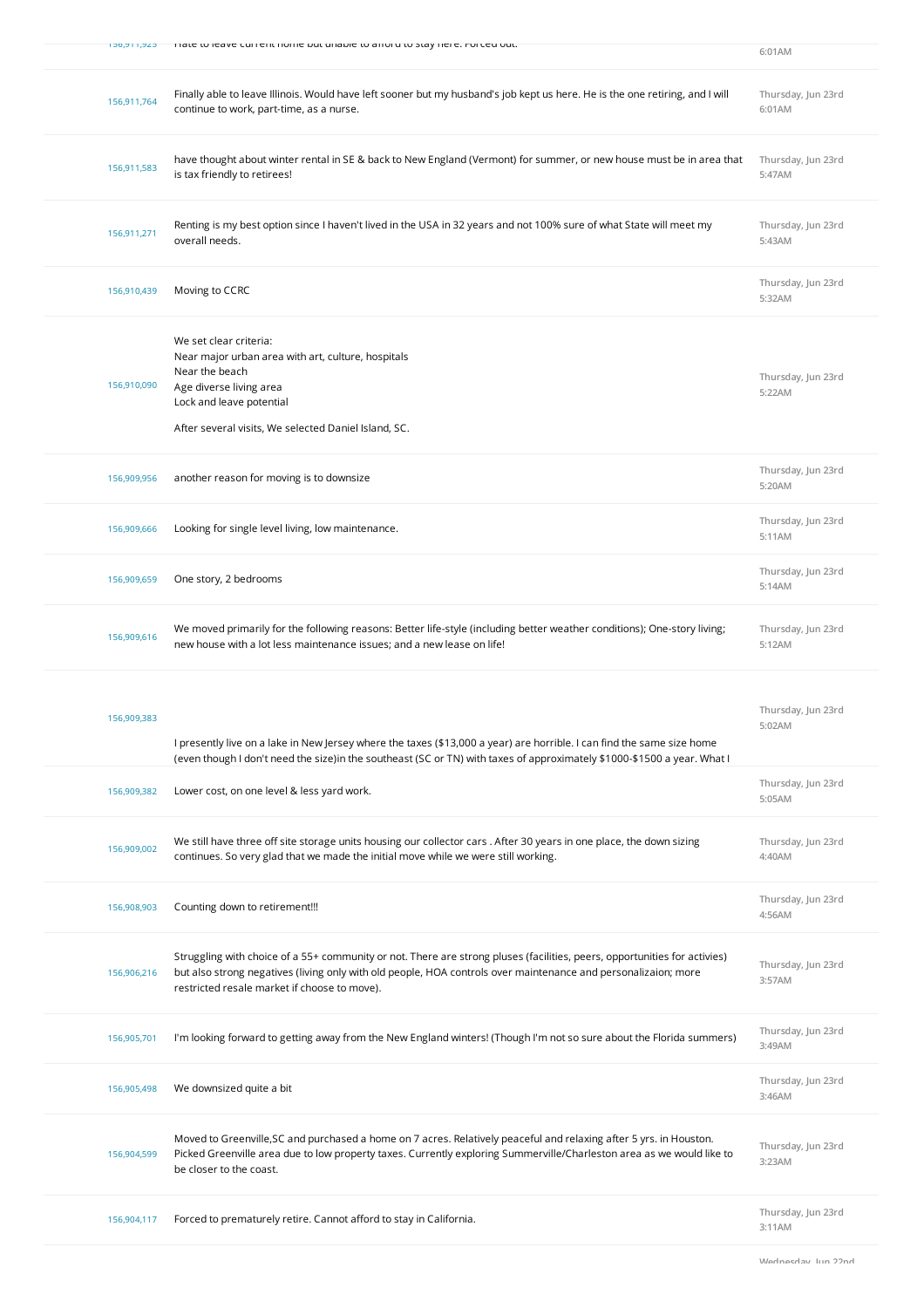| Tiate to leave current nonie but unable to arror u stay nere, nor ceu out.                                                                                                                                                                                                                                 | 6:01AM                       |
|------------------------------------------------------------------------------------------------------------------------------------------------------------------------------------------------------------------------------------------------------------------------------------------------------------|------------------------------|
| Finally able to leave Illinois. Would have left sooner but my husband's job kept us here. He is the one retiring, and I will<br>156,911,764<br>continue to work, part-time, as a nurse.                                                                                                                    | Thursday, Jun 23rd<br>6:01AM |
| have thought about winter rental in SE & back to New England (Vermont) for summer, or new house must be in area that<br>156,911,583<br>is tax friendly to retirees!                                                                                                                                        | Thursday, Jun 23rd<br>5:47AM |
| Renting is my best option since I haven't lived in the USA in 32 years and not 100% sure of what State will meet my<br>156,911,271<br>overall needs.                                                                                                                                                       | Thursday, Jun 23rd<br>5:43AM |
| Moving to CCRC<br>156,910,439                                                                                                                                                                                                                                                                              | Thursday, Jun 23rd<br>5:32AM |
| We set clear criteria:<br>Near major urban area with art, culture, hospitals<br>Near the beach<br>156,910,090<br>Age diverse living area<br>Lock and leave potential<br>After several visits, We selected Daniel Island, SC.                                                                               | Thursday, Jun 23rd<br>5:22AM |
| another reason for moving is to downsize<br>156,909,956                                                                                                                                                                                                                                                    | Thursday, Jun 23rd<br>5:20AM |
| Looking for single level living, low maintenance.<br>156,909,666                                                                                                                                                                                                                                           | Thursday, Jun 23rd<br>5:11AM |
| One story, 2 bedrooms<br>156,909,659                                                                                                                                                                                                                                                                       | Thursday, Jun 23rd<br>5:14AM |
| We moved primarily for the following reasons: Better life-style (including better weather conditions); One-story living;<br>156,909,616<br>new house with a lot less maintenance issues; and a new lease on life!                                                                                          | Thursday, Jun 23rd<br>5:12AM |
| 156,909,383<br>I presently live on a lake in New Jersey where the taxes (\$13,000 a year) are horrible. I can find the same size home<br>(even though I don't need the size)in the southeast (SC or TN) with taxes of approximately \$1000-\$1500 a year. What I                                           | Thursday, Jun 23rd<br>5:02AM |
| Lower cost, on one level & less yard work.<br>156,909,382                                                                                                                                                                                                                                                  | Thursday, Jun 23rd<br>5:05AM |
| We still have three off site storage units housing our collector cars . After 30 years in one place, the down sizing<br>156,909,002<br>continues. So very glad that we made the initial move while we were still working.                                                                                  | Thursday, Jun 23rd<br>4:40AM |
| Counting down to retirement!!!<br>156,908,903                                                                                                                                                                                                                                                              | Thursday, Jun 23rd<br>4:56AM |
| Struggling with choice of a 55+ community or not. There are strong pluses (facilities, peers, opportunities for activies)<br>but also strong negatives (living only with old people, HOA controls over maintenance and personalizaion; more<br>156,906,216<br>restricted resale market if choose to move). | Thursday, Jun 23rd<br>3:57AM |
| I'm looking forward to getting away from the New England winters! (Though I'm not so sure about the Florida summers)<br>156,905,701                                                                                                                                                                        | Thursday, Jun 23rd<br>3:49AM |
| We downsized quite a bit<br>156,905,498                                                                                                                                                                                                                                                                    | Thursday, Jun 23rd<br>3:46AM |
| Moved to Greenville, SC and purchased a home on 7 acres. Relatively peaceful and relaxing after 5 yrs. in Houston.<br>Picked Greenville area due to low property taxes. Currently exploring Summerville/Charleston area as we would like to<br>156,904,599<br>be closer to the coast.                      | Thursday, Jun 23rd<br>3:23AM |
| Forced to prematurely retire. Cannot afford to stay in California.<br>156,904,117                                                                                                                                                                                                                          | Thursday, Jun 23rd<br>3:11AM |
|                                                                                                                                                                                                                                                                                                            |                              |